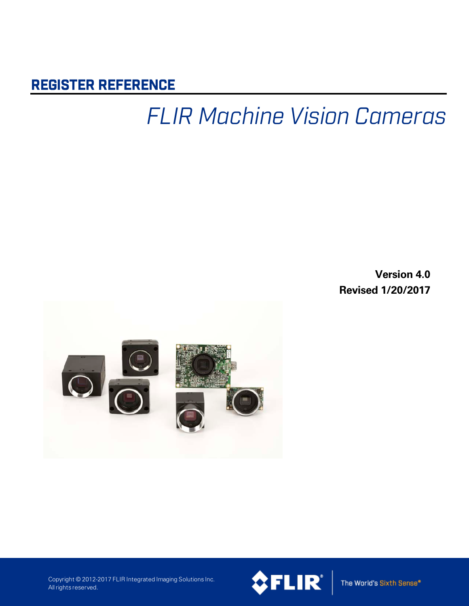## REGISTER REFERENCE

## *FLIR Machine Vision Cameras*

**Version 4.0 Revised 1/20/2017**



Copyright © 2012-2017 FLIR Integrated Imaging Solutions Inc. All rights reserved.



The World's Sixth Sense\*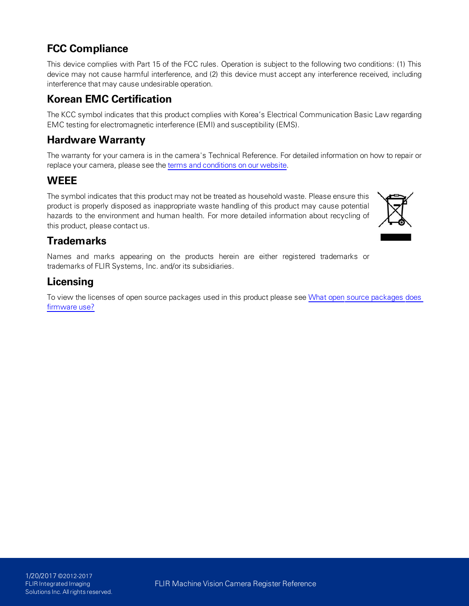### **FCC Compliance**

This device complies with Part 15 of the FCC rules. Operation is subject to the following two conditions: (1) This device may not cause harmful interference, and (2) this device must accept any interference received, including interference that may cause undesirable operation.

### **Korean EMC Certification**

The KCC symbol indicates that this product complies with Korea's Electrical Communication Basic Law regarding EMC testing for electromagnetic interference (EMI) and susceptibility (EMS).

### **Hardware Warranty**

The warranty for your camera is in the camera's Technical Reference. For detailed information on how to repair or replace your camera, please see the terms and [conditions](http://www.ptgrey.com/Corporate/conditions-of-use) on our website.

### **WEEE**

The symbol indicates that this product may not be treated as household waste. Please ensure this product is properly disposed as inappropriate waste handling of this product may cause potential hazards to the environment and human health. For more detailed information about recycling of this product, please contact us.



### **Trademarks**

Names and marks appearing on the products herein are either registered trademarks or trademarks of FLIR Systems, Inc. and/or its subsidiaries.

### **Licensing**

To view the licenses of open source packages used in this product please see What open source [packages](http://www.ptgrey.com/KB/11069) does [firmware](http://www.ptgrey.com/KB/11069) use?

FLIR Machine Vision Camera Register Reference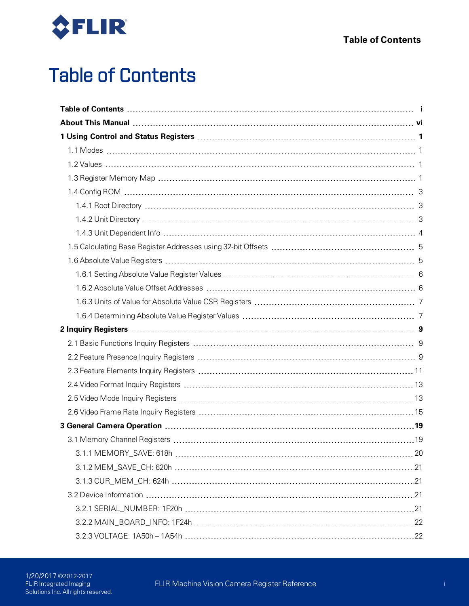<span id="page-2-0"></span>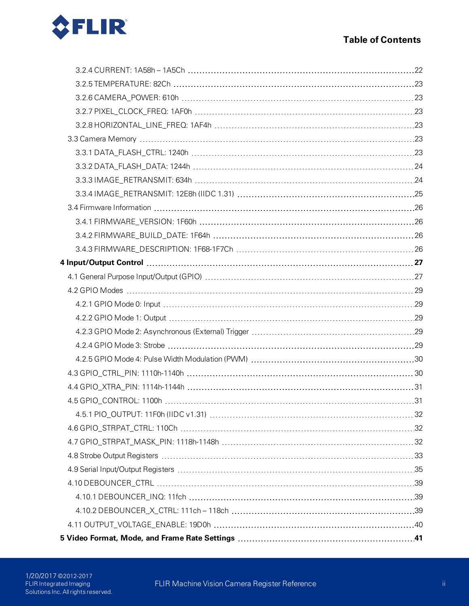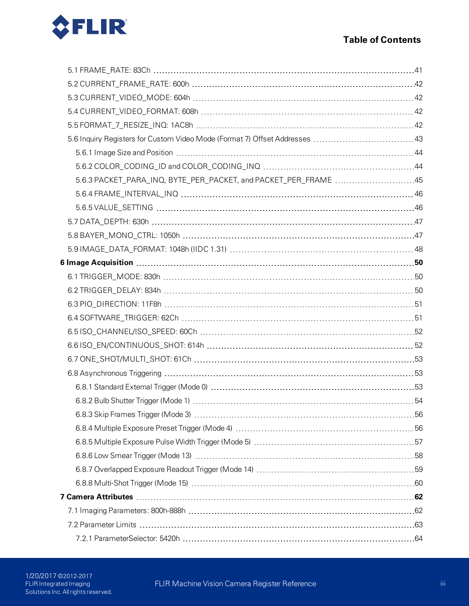

| 5.6.3 PACKET_PARA_INQ, BYTE_PER_PACKET, and PACKET_PER_FRAME 45 |  |
|-----------------------------------------------------------------|--|
|                                                                 |  |
|                                                                 |  |
|                                                                 |  |
|                                                                 |  |
|                                                                 |  |
|                                                                 |  |
|                                                                 |  |
|                                                                 |  |
|                                                                 |  |
|                                                                 |  |
|                                                                 |  |
|                                                                 |  |
|                                                                 |  |
|                                                                 |  |
|                                                                 |  |
|                                                                 |  |
|                                                                 |  |
|                                                                 |  |
|                                                                 |  |
|                                                                 |  |
|                                                                 |  |
|                                                                 |  |
|                                                                 |  |
|                                                                 |  |
|                                                                 |  |
|                                                                 |  |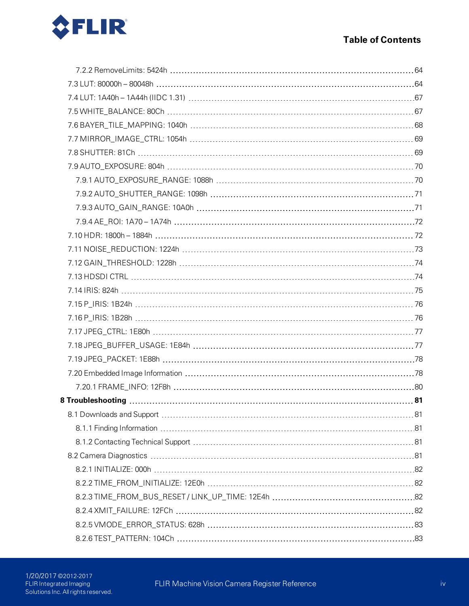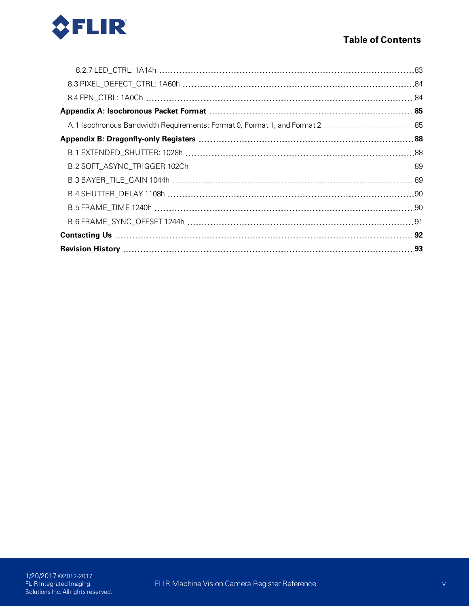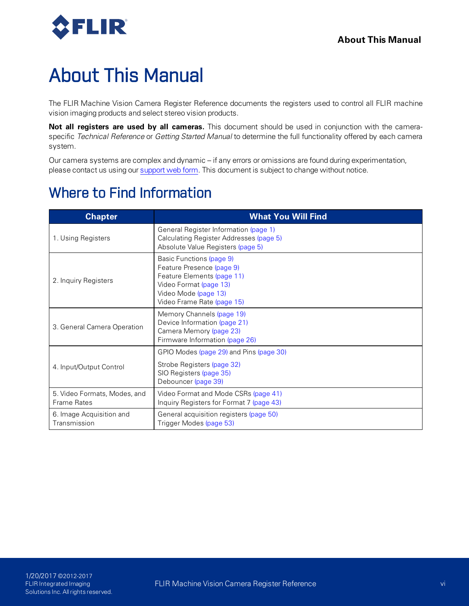

## <span id="page-7-0"></span>About This Manual

The FLIR Machine Vision Camera Register Reference documents the registers used to control all FLIR machine vision imaging products and select stereo vision products.

**Not all registers are used by all cameras.** This document should be used in conjunction with the cameraspecific *Technical Reference* or *Getting Started Manual* to determine the full functionality offered by each camera system.

Our camera systems are complex and dynamic – if any errors or omissions are found during experimentation, please contact us using our [support](http://www.ptgrey.com/support/ticket) web form. This document is subject to change without notice.

## Where to Find Information

| <b>Chapter</b>                                     | <b>What You Will Find</b>                                                                                                                                           |  |  |
|----------------------------------------------------|---------------------------------------------------------------------------------------------------------------------------------------------------------------------|--|--|
| 1. Using Registers                                 | General Register Information (page 1)<br>Calculating Register Addresses (page 5)<br>Absolute Value Registers (page 5)                                               |  |  |
| 2. Inquiry Registers                               | Basic Functions (page 9)<br>Feature Presence (page 9)<br>Feature Elements (page 11)<br>Video Format (page 13)<br>Video Mode (page 13)<br>Video Frame Rate (page 15) |  |  |
| 3. General Camera Operation                        | Memory Channels (page 19)<br>Device Information (page 21)<br>Camera Memory (page 23)<br>Firmware Information (page 26)                                              |  |  |
| 4. Input/Output Control                            | GPIO Modes (page 29) and Pins (page 30)<br>Strobe Registers (page 32)<br>SIO Registers (page 35)<br>Debouncer (page 39)                                             |  |  |
| 5. Video Formats, Modes, and<br><b>Frame Rates</b> | Video Format and Mode CSRs (page 41)<br>Inquiry Registers for Format 7 (page 43)                                                                                    |  |  |
| 6. Image Acquisition and<br>Transmission           | General acquisition registers (page 50)<br>Trigger Modes (page 53)                                                                                                  |  |  |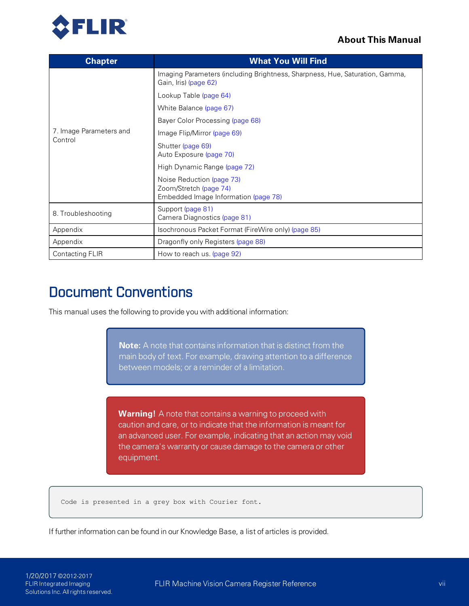### **About This Manual**



| <b>Chapter</b>          | <b>What You Will Find</b>                                                                             |  |  |
|-------------------------|-------------------------------------------------------------------------------------------------------|--|--|
|                         | Imaging Parameters (including Brightness, Sharpness, Hue, Saturation, Gamma,<br>Gain, Iris) (page 62) |  |  |
|                         | Lookup Table (page 64)                                                                                |  |  |
|                         | White Balance (page 67)                                                                               |  |  |
|                         | Bayer Color Processing (page 68)                                                                      |  |  |
| 7. Image Parameters and | Image Flip/Mirror (page 69)                                                                           |  |  |
| Control                 | Shutter (page 69)<br>Auto Exposure (page 70)                                                          |  |  |
|                         | High Dynamic Range (page 72)                                                                          |  |  |
|                         | Noise Reduction (page 73)<br>Zoom/Stretch (page 74)<br>Embedded Image Information (page 78)           |  |  |
| 8. Troubleshooting      | Support (page 81)<br>Camera Diagnostics (page 81)                                                     |  |  |
| Appendix                | Isochronous Packet Format (FireWire only) (page 85)                                                   |  |  |
| Appendix                | Dragonfly only Registers (page 88)                                                                    |  |  |
| Contacting FLIR         | How to reach us. (page 92)                                                                            |  |  |

## Document Conventions

This manual uses the following to provide you with additional information:

**Note:** A note that contains information that is distinct from the main body of text. For example, drawing attention to a difference between models; or a reminder of a limitation.

**Warning!** A note that contains a warning to proceed with caution and care, or to indicate that the information is meant for an advanced user. For example, indicating that an action may void the camera's warranty or cause damage to the camera or other equipment.

Code is presented in a grey box with Courier font.

If further information can be found in our Knowledge Base, a list of articles is provided.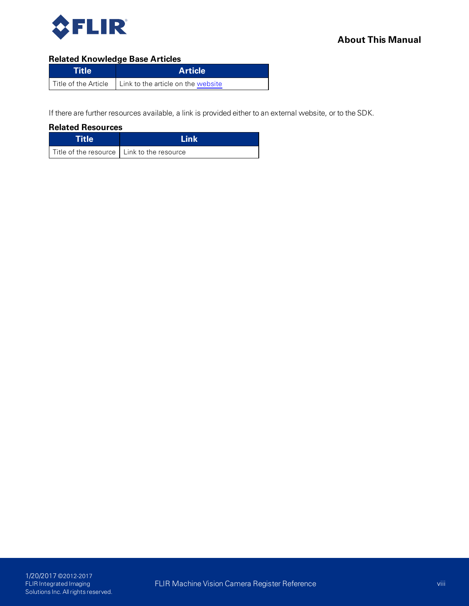

### **Related Knowledge Base Articles**

| <b>Title</b> | <b>Article</b>                                            |
|--------------|-----------------------------------------------------------|
|              | Title of the Article   Link to the article on the website |

If there are further resources available, a link is provided either to an external website, or to the SDK.

**Related Resources**

| <b>Title</b>                                 | 'l ink |
|----------------------------------------------|--------|
| Title of the resource   Link to the resource |        |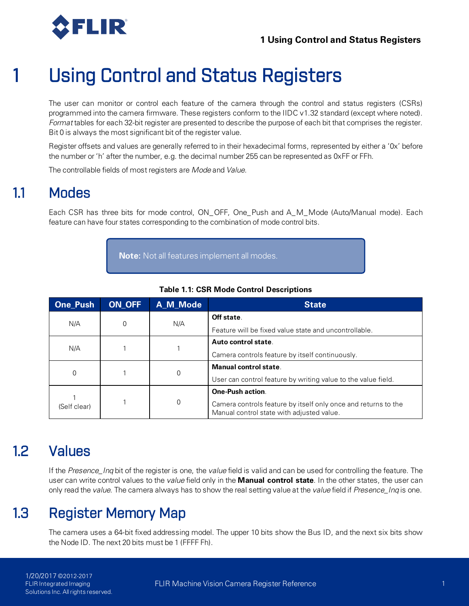<span id="page-10-0"></span>

The user can monitor or control each feature of the camera through the control and status registers (CSRs) programmed into the camera firmware. These registers conform to the IIDC v1.32 standard (except where noted). *Format* tables for each 32-bit register are presented to describe the purpose of each bit that comprises the register. Bit 0 is always the most significant bit of the register value.

Register offsets and values are generally referred to in their hexadecimal forms, represented by either a '0x' before the number or 'h' after the number, e.g. the decimal number 255 can be represented as 0xFF or FFh.

<span id="page-10-1"></span>The controllable fields of most registers are *Mode* and *Value*.

## 1.1 Modes

Each CSR has three bits for mode control, ON\_OFF, One\_Push and A\_M\_Mode (Auto/Manual mode). Each feature can have four states corresponding to the combination of mode control bits.

**Note:** Not all features implement all modes.

| <b>One Push</b> | ON OFF | A M Mode   | <b>State</b>                                                                                                |
|-----------------|--------|------------|-------------------------------------------------------------------------------------------------------------|
| N/A<br>0        | N/A    | Off state. |                                                                                                             |
|                 |        |            | Feature will be fixed value state and uncontrollable.                                                       |
| N/A             |        |            | Auto control state.                                                                                         |
|                 |        |            | Camera controls feature by itself continuously.                                                             |
| 0               |        |            | Manual control state.                                                                                       |
|                 |        | O          | User can control feature by writing value to the value field.                                               |
|                 |        |            | <b>One-Push action.</b>                                                                                     |
| (Self clear)    |        | O          | Camera controls feature by itself only once and returns to the<br>Manual control state with adjusted value. |

| Table 1.1: CSR Mode Control Descriptions |  |  |
|------------------------------------------|--|--|
|------------------------------------------|--|--|

## <span id="page-10-2"></span>1.2 Values

<span id="page-10-3"></span>If the *Presence\_Inq* bit of the register is one, the *value* field is valid and can be used for controlling the feature. The user can write control values to the *value* field only in the **Manual control state**. In the other states, the user can only read the *value*. The camera always has to show the real setting value at the *value* field if *Presence\_Inq* is one.

## 1.3 Register Memory Map

The camera uses a 64-bit fixed addressing model. The upper 10 bits show the Bus ID, and the next six bits show the Node ID. The next 20 bits must be 1 (FFFF Fh).

1/20/2017 ©2012-2017 FLIR Integrated Imaging Solutions Inc. All rights reserved.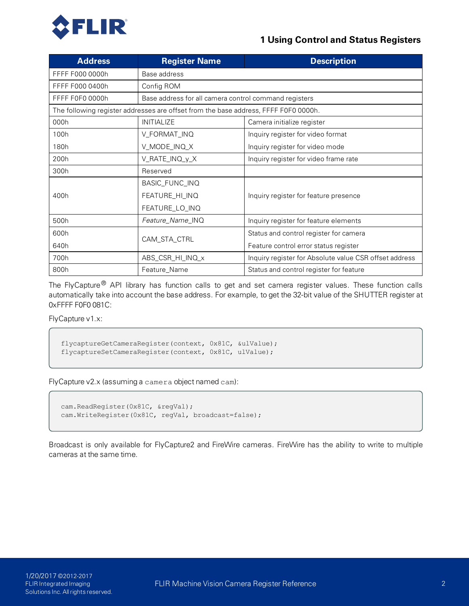

| <b>Address</b>                                                                      | <b>Register Name</b>                                      | <b>Description</b>                                     |  |  |
|-------------------------------------------------------------------------------------|-----------------------------------------------------------|--------------------------------------------------------|--|--|
| FFFF F000 0000h                                                                     | Base address                                              |                                                        |  |  |
| FFFF F000 0400h                                                                     | Config ROM                                                |                                                        |  |  |
| FFFF F0F0 0000h                                                                     | Base address for all camera control command registers     |                                                        |  |  |
| The following register addresses are offset from the base address, FFFF F0F0 0000h. |                                                           |                                                        |  |  |
| 000h                                                                                | <b>INITIALIZE</b>                                         | Camera initialize register                             |  |  |
| 100h                                                                                | V_FORMAT_INQ                                              | Inquiry register for video format                      |  |  |
| 180h                                                                                | V_MODE_INQ_X                                              | Inquiry register for video mode                        |  |  |
| 200h                                                                                | V_RATE_INQ_y_X<br>Inquiry register for video frame rate   |                                                        |  |  |
| 300h                                                                                | Reserved                                                  |                                                        |  |  |
|                                                                                     | BASIC_FUNC_INQ                                            |                                                        |  |  |
| 400h                                                                                | FEATURE_HI_INQ                                            | Inquiry register for feature presence                  |  |  |
|                                                                                     | FEATURE_LO_INQ                                            |                                                        |  |  |
| 500h                                                                                | Feature_Name_INQ<br>Inquiry register for feature elements |                                                        |  |  |
| 600h                                                                                |                                                           | Status and control register for camera                 |  |  |
| 640h                                                                                | CAM_STA_CTRL                                              | Feature control error status register                  |  |  |
| 700h                                                                                | ABS_CSR_HI_INQ_x                                          | Inquiry register for Absolute value CSR offset address |  |  |
| 800h                                                                                | Feature_Name                                              | Status and control register for feature                |  |  |

The FlyCapture® API library has function calls to get and set camera register values. These function calls automatically take into account the base address. For example, to get the 32-bit value of the SHUTTER register at 0xFFFF F0F0 081C:

FlyCapture v1.x:

```
flycaptureGetCameraRegister(context, 0x81C, &ulValue);
flycaptureSetCameraRegister(context, 0x81C, ulValue);
```
FlyCapture v2.x (assuming a camera object named cam):

```
cam.ReadRegister(0x81C, &regVal);
cam.WriteRegister(0x81C, regVal, broadcast=false);
```
Broadcast is only available for FlyCapture2 and FireWire cameras. FireWire has the ability to write to multiple cameras at the same time.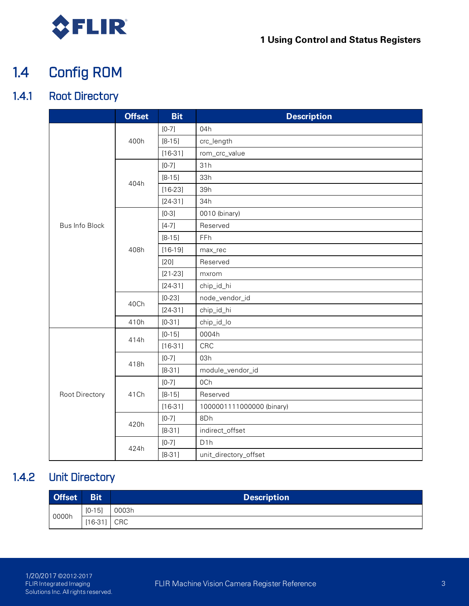<span id="page-12-0"></span>

## 1.4 Config ROM

## 1.4.1 Root Directory

<span id="page-12-1"></span>

|                | <b>Offset</b> | <b>Bit</b> | <b>Description</b>        |
|----------------|---------------|------------|---------------------------|
|                |               | $[0-7]$    | 04h                       |
|                | 400h          | $[8-15]$   | crc_length                |
|                |               | $[16-31]$  | rom_crc_value             |
|                |               | $[0-7]$    | 31h                       |
|                | 404h          | $[8-15]$   | 33h                       |
|                |               | $[16-23]$  | 39h                       |
|                |               | $[24-31]$  | 34h                       |
|                |               | $[0-3]$    | 0010 (binary)             |
| Bus Info Block |               | $[4-7]$    | Reserved                  |
|                |               | $[8-15]$   | FFh                       |
|                | 408h          | $[16-19]$  | max_rec                   |
|                |               | [20]       | Reserved                  |
|                |               | $[21-23]$  | mxrom                     |
|                |               | $[24-31]$  | chip_id_hi                |
|                | 40Ch          | $[0-23]$   | node_vendor_id            |
|                |               | $[24-31]$  | chip_id_hi                |
|                | 410h          | $[0-31]$   | chip_id_lo                |
|                | 414h          | $[0-15]$   | 0004h                     |
|                |               | $[16-31]$  | CRC                       |
|                | 418h          | $[0-7]$    | 03h                       |
|                |               | $[8-31]$   | module_vendor_id          |
|                |               | $[0-7]$    | 0Ch                       |
| Root Directory | 41Ch          | $[8-15]$   | Reserved                  |
|                |               | $[16-31]$  | 1000001111000000 (binary) |
|                |               | $[0-7]$    | 8Dh                       |
|                | 420h          | $[8-31]$   | indirect_offset           |
|                |               | $[0-7]$    | D1h                       |
|                | 424h          | $[8-31]$   | unit_directory_offset     |

## 1.4.2 Unit Directory

<span id="page-12-2"></span>

| <b>Offset</b> | <b>Bit</b> | <b>Description</b> |
|---------------|------------|--------------------|
|               | $[0-15]$   | 0003h              |
| 0000h         | $[16-31]$  | CRC                |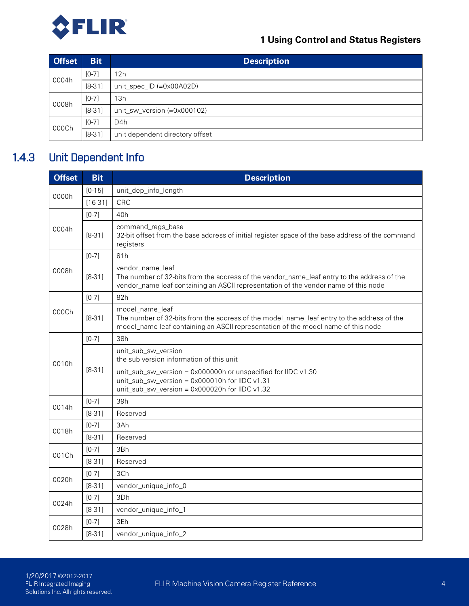

| <b>Offset</b> | <b>Bit</b> | <b>Description</b>              |
|---------------|------------|---------------------------------|
|               | $[0-7]$    | 12h                             |
| 0004h         | $[8-31]$   | unit_spec_ID (=0x00A02D)        |
| $[0-7]$       |            | 13h                             |
| 0008h         | $[8-31]$   | unit_sw_version (=0x000102)     |
|               | $[0-7]$    | D <sub>4</sub> h                |
| 000Ch         | $[8-31]$   | unit dependent directory offset |

## 1.4.3 Unit Dependent Info

<span id="page-13-0"></span>

| <b>Offset</b> | <b>Bit</b> | <b>Description</b>                                                                                                                                                                                    |  |  |  |  |
|---------------|------------|-------------------------------------------------------------------------------------------------------------------------------------------------------------------------------------------------------|--|--|--|--|
| 0000h         | $[0-15]$   | unit_dep_info_length                                                                                                                                                                                  |  |  |  |  |
|               | $[16-31]$  | <b>CRC</b>                                                                                                                                                                                            |  |  |  |  |
|               | $[0-7]$    | 40h                                                                                                                                                                                                   |  |  |  |  |
| 0004h         | $[8-31]$   | command_regs_base<br>32-bit offset from the base address of initial register space of the base address of the command<br>registers                                                                    |  |  |  |  |
|               | $[0-7]$    | 81h                                                                                                                                                                                                   |  |  |  |  |
| 0008h         | $[8-31]$   | vendor_name_leaf<br>The number of 32-bits from the address of the vendor_name_leaf entry to the address of the<br>vendor_name leaf containing an ASCII representation of the vendor name of this node |  |  |  |  |
|               | $[0-7]$    | 82h                                                                                                                                                                                                   |  |  |  |  |
| 000Ch         | $[8-31]$   | model_name_leaf<br>The number of 32-bits from the address of the model_name_leaf entry to the address of the<br>model_name leaf containing an ASCII representation of the model name of this node     |  |  |  |  |
|               | $[0-7]$    | 38h                                                                                                                                                                                                   |  |  |  |  |
| 0010h         | $[8-31]$   | unit_sub_sw_version<br>the sub version information of this unit                                                                                                                                       |  |  |  |  |
|               |            | unit_sub_sw_version = 0x000000h or unspecified for IIDC v1.30<br>unit_sub_sw_version = 0x000010h for IIDC v1.31<br>unit_sub_sw_version = 0x000020h for IIDC v1.32                                     |  |  |  |  |
|               | $[0-7]$    | 39h                                                                                                                                                                                                   |  |  |  |  |
| 0014h         | $[8-31]$   | Reserved                                                                                                                                                                                              |  |  |  |  |
| 0018h         | $[0-7]$    | 3Ah                                                                                                                                                                                                   |  |  |  |  |
|               | $[8-31]$   | Reserved                                                                                                                                                                                              |  |  |  |  |
| 001Ch         | $[0-7]$    | 3Bh                                                                                                                                                                                                   |  |  |  |  |
|               | $[8-31]$   | Reserved                                                                                                                                                                                              |  |  |  |  |
| 0020h         | $[0-7]$    | 3Ch                                                                                                                                                                                                   |  |  |  |  |
|               | $[8-31]$   | vendor_unique_info_0                                                                                                                                                                                  |  |  |  |  |
| 0024h         | $[0-7]$    | 3Dh                                                                                                                                                                                                   |  |  |  |  |
|               | $[8-31]$   | vendor_unique_info_1                                                                                                                                                                                  |  |  |  |  |
| 0028h         | $[0-7]$    | 3Eh                                                                                                                                                                                                   |  |  |  |  |
|               | $[8-31]$   | vendor_unique_info_2                                                                                                                                                                                  |  |  |  |  |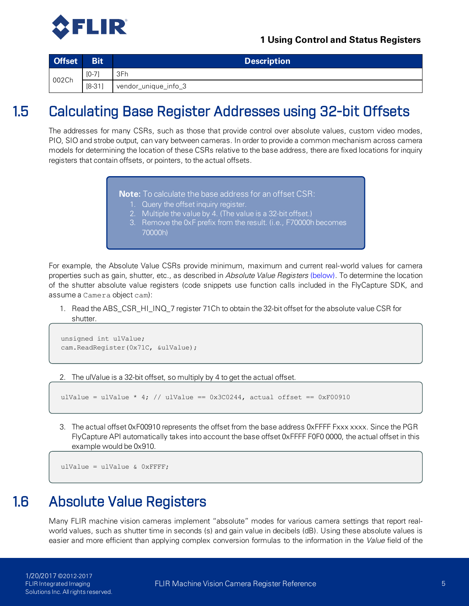

<span id="page-14-0"></span>

| <b>Offset</b> | <b>Bit</b> | <b>Description</b>   |
|---------------|------------|----------------------|
| 002Ch         | $[0-7]$    | 3Fh                  |
|               | $[8-31]$   | vendor_unique_info_3 |

## 1.5 Calculating Base Register Addresses using 32-bit Offsets

The addresses for many CSRs, such as those that provide control over absolute values, custom video modes, PIO, SIO and strobe output, can vary between cameras. In order to provide a common mechanism across camera models for determining the location of these CSRs relative to the base address, there are fixed locations for inquiry registers that contain offsets, or pointers, to the actual offsets.

**Note:** To calculate the base address for an offset CSR:

- 1. Query the offset inquiry register.
- 2. Multiple the value by 4. (The value is a 32-bit offset.)
- 3. Remove the 0xF prefix from the result. (i.e., F70000h becomes 70000h)

For example, the Absolute Value CSRs provide minimum, maximum and current real-world values for camera properties such as gain, shutter, etc., as described in *Absolute Value Registers* [\(below\).](#page-14-1) To determine the location of the shutter absolute value registers (code snippets use function calls included in the FlyCapture SDK, and assume a Camera object cam):

1. Read the ABS\_CSR\_HI\_INQ\_7 register 71Ch to obtain the 32-bit offset for the absolute value CSR for shutter.

```
unsigned int ulValue;
cam.ReadRegister(0x71C, &ulValue);
```
2. The ulValue is a 32-bit offset, so multiply by 4 to get the actual offset.

```
ulValue = ulValue * 4; // ulValue == 0 \times 300244, actual offset == 0 \times 700910
```
3. The actual offset 0xF00910 represents the offset from the base address 0xFFFF Fxxx xxxx. Since the PGR FlyCapture API automatically takes into account the base offset 0xFFFF F0F0 0000, the actual offset in this example would be 0x910.

```
ulValue = ulValue & 0xFFFF;
```
## 1.6 Absolute Value Registers

Many FLIR machine vision cameras implement "absolute" modes for various camera settings that report realworld values, such as shutter time in seconds (s) and gain value in decibels (dB). Using these absolute values is easier and more efficient than applying complex conversion formulas to the information in the *Value* field of the

1/20/2017 ©2012-2017 FLIR Integrated Imaging Solutions Inc. All rights reserved.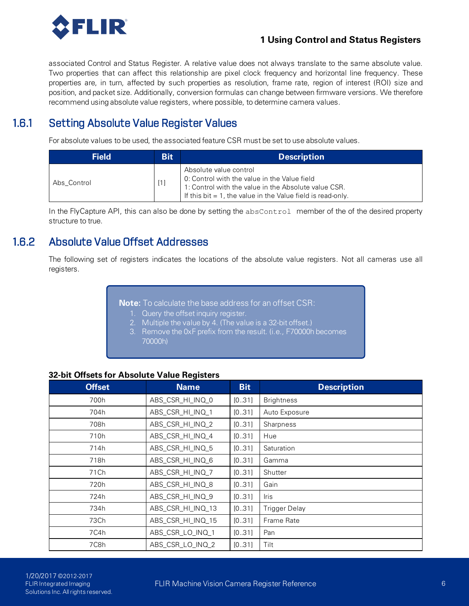

associated Control and Status Register. A relative value does not always translate to the same absolute value. Two properties that can affect this relationship are pixel clock frequency and horizontal line frequency. These properties are, in turn, affected by such properties as resolution, frame rate, region of interest (ROI) size and position, and packet size. Additionally, conversion formulas can change between firmware versions. We therefore recommend using absolute value registers, where possible, to determine camera values.

### 1.6.1 Setting Absolute Value Register Values

<span id="page-15-0"></span>For absolute values to be used, the associated feature CSR must be set to use absolute values.

| <b>Field</b> | <b>Bit</b> | <b>Description</b>                                                                                                                                                                               |
|--------------|------------|--------------------------------------------------------------------------------------------------------------------------------------------------------------------------------------------------|
| Abs Control  | [1]        | Absolute value control<br>0: Control with the value in the Value field<br>1: Control with the value in the Absolute value CSR.<br>If this bit $= 1$ , the value in the Value field is read-only. |

<span id="page-15-1"></span>In the FlyCapture API, this can also be done by setting the absControl member of the of the desired property structure to true.

### 1.6.2 Absolute Value Offset Addresses

The following set of registers indicates the locations of the absolute value registers. Not all cameras use all registers.

**Note:** To calculate the base address for an offset CSR:

- 1. Query the offset inquiry register.
- 2. Multiple the value by 4. (The value is a 32-bit offset.)
- 3. Remove the 0xF prefix from the result. (i.e., F70000h becomes 70000h)

### **32-bit Offsets for Absolute Value Registers**

| <b>Offset</b> | <b>Name</b>       | <b>Bit</b> | <b>Description</b>   |
|---------------|-------------------|------------|----------------------|
| 700h          | ABS_CSR_HI_INQ_0  | [0.31]     | <b>Brightness</b>    |
| 704h          | ABS_CSR_HI_INQ_1  | [0.31]     | Auto Exposure        |
| 708h          | ABS_CSR_HI_INQ_2  | [0.31]     | Sharpness            |
| 710h          | ABS_CSR_HI_INQ_4  | [0.31]     | Hue                  |
| 714h          | ABS_CSR_HI_INQ_5  | [0.31]     | Saturation           |
| 718h          | ABS_CSR_HI_INQ_6  | [031]      | Gamma                |
| 71 Ch         | ABS_CSR_HI_INQ_7  | [0.31]     | Shutter              |
| 720h          | ABS_CSR_HI_INQ_8  | [0.31]     | Gain                 |
| 724h          | ABS_CSR_HI_INQ_9  | [031]      | <b>Iris</b>          |
| 734h          | ABS_CSR_HI_INQ_13 | [0.31]     | <b>Trigger Delay</b> |
| 73Ch          | ABS_CSR_HI_INQ_15 | [0.31]     | Frame Rate           |
| 7C4h          | ABS_CSR_LO_INQ_1  | [031]      | Pan                  |
| 7C8h          | ABS_CSR_LO_INQ_2  | [0.31]     | Tilt                 |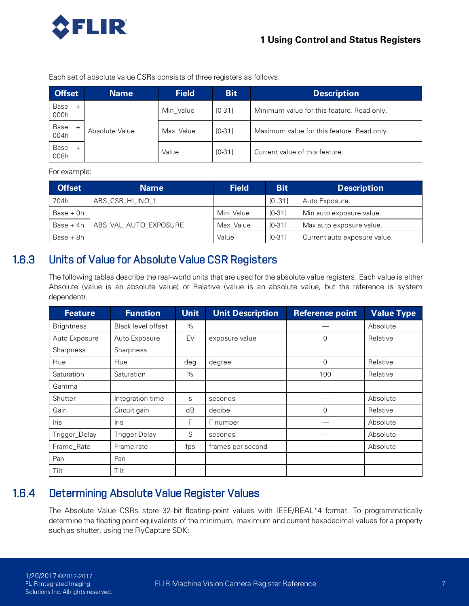

Each set of absolute value CSRs consists of three registers as follows:

| <b>Offset</b> | <b>Name</b>    | <b>Field</b> | <b>Bit</b> | <b>Description</b>                         |
|---------------|----------------|--------------|------------|--------------------------------------------|
| Base<br>000h  |                | Min Value    | $IO-311$   | Minimum value for this feature. Read only. |
| Base<br>004h  | Absolute Value | Max Value    | $IO-311$   | Maximum value for this feature. Read only. |
| Base<br>008h  |                | Value        | $IO-311$   | Current value of this feature.             |

For example:

| <b>Offset</b> | <b>Name</b>           | <b>Field</b> | <b>Bit</b> | <b>Description</b>           |
|---------------|-----------------------|--------------|------------|------------------------------|
| 704h          | ABS CSR HI INQ 1      |              | [0.31]     | Auto Exposure.               |
| $Base + 0h$   |                       | Min Value    | $IO-311$   | Min auto exposure value.     |
| $Base + 4h$   | ABS_VAL_AUTO_EXPOSURE | Max Value    | $IO-311$   | Max auto exposure value.     |
| $Base + 8h$   |                       | Value        | $IO-311$   | Current auto exposure value. |

### 1.6.3 Units of Value for Absolute Value CSR Registers

<span id="page-16-0"></span>The following tables describe the real-world units that are used for the absolute value registers. Each value is either Absolute (value is an absolute value) or Relative (value is an absolute value, but the reference is system dependent).

| <b>Feature</b>    | <b>Function</b>      | <b>Unit</b> | <b>Unit Description</b> | <b>Reference point</b> | <b>Value Type</b> |
|-------------------|----------------------|-------------|-------------------------|------------------------|-------------------|
| <b>Brightness</b> | Black level offset   | $\%$        |                         |                        | Absolute          |
| Auto Exposure     | Auto Exposure        | EV          | exposure value          | 0                      | Relative          |
| <b>Sharpness</b>  | Sharpness            |             |                         |                        |                   |
| Hue               | Hue                  | deg         | degree                  | 0                      | Relative          |
| Saturation        | Saturation           | $\%$        |                         | 100                    | Relative          |
| Gamma             |                      |             |                         |                        |                   |
| Shutter           | Integration time     | S           | seconds                 |                        | Absolute          |
| Gain              | Circuit gain         | dB          | decibel                 | 0                      | Relative          |
| <b>Iris</b>       | <b>Iris</b>          | F           | F number                |                        | Absolute          |
| Trigger_Delay     | <b>Trigger Delay</b> | S           | seconds                 |                        | Absolute          |
| Frame_Rate        | Frame rate           | fps         | frames per second       |                        | Absolute          |
| Pan               | Pan                  |             |                         |                        |                   |
| Tilt              | Tilt                 |             |                         |                        |                   |

## 1.6.4 Determining Absolute Value Register Values

<span id="page-16-1"></span>The Absolute Value CSRs store 32-bit floating-point values with IEEE/REAL\*4 format. To programmatically determine the floating point equivalents of the minimum, maximum and current hexadecimal values for a property such as shutter, using the FlyCapture SDK: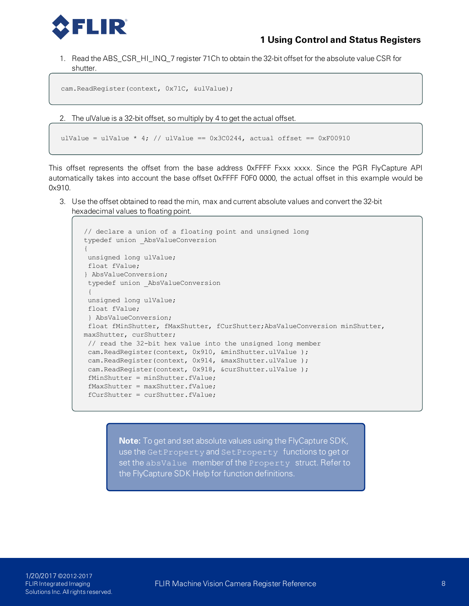

1. Read the ABS\_CSR\_HI\_INQ\_7 register 71Ch to obtain the 32-bit offset for the absolute value CSR for shutter.

```
cam.ReadRegister(context, 0x71C, &ulValue);
```
2. The ulValue is a 32-bit offset, so multiply by 4 to get the actual offset.

```
ulValue = ulValue * 4; // ulValue == 0 \times 300244, actual offset == 0 \times 500910
```
This offset represents the offset from the base address 0xFFFF Fxxx xxxx. Since the PGR FlyCapture API automatically takes into account the base offset 0xFFFF F0F0 0000, the actual offset in this example would be 0x910.

3. Use the offset obtained to read the min, max and current absolute values and convert the 32-bit hexadecimal values to floating point.

```
// declare a union of a floating point and unsigned long
typedef union _AbsValueConversion
{
unsigned long ulValue;
float fValue;
} AbsValueConversion;
typedef union _AbsValueConversion
{
unsigned long ulValue;
float fValue;
} AbsValueConversion;
float fMinShutter, fMaxShutter, fCurShutter;AbsValueConversion minShutter,
maxShutter, curShutter;
// read the 32-bit hex value into the unsigned long member
cam.ReadRegister(context, 0x910, &minShutter.ulValue );
cam.ReadRegister(context, 0x914, &maxShutter.ulValue );
cam.ReadRegister(context, 0x918, &curShutter.ulValue );
fMinShutter = minShutter.fValue;
 fMaxShutter = maxShutter.fValue;
 fCurShutter = curShutter.fValue;
```
**Note:** To get and set absolute values using the FlyCapture SDK, use the GetProperty and SetProperty functions to get or set the absValue member of the Property struct. Refer to the FlyCapture SDK Help for function definitions.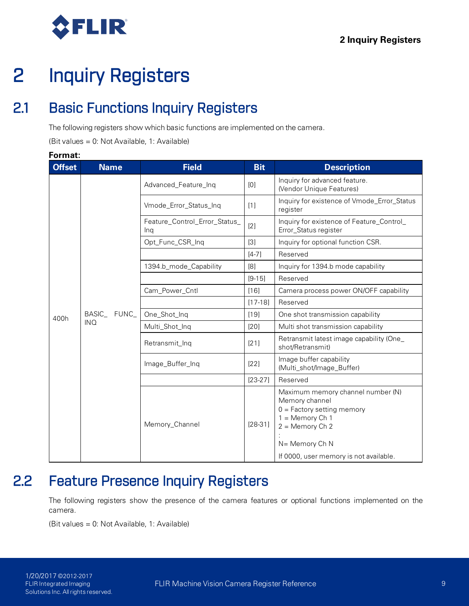<span id="page-18-0"></span>

## <span id="page-18-1"></span>2.1 Basic Functions Inquiry Registers

The following registers show which basic functions are implemented on the camera.

(Bit values = 0: Not Available, 1: Available)

# **Offset Name Field Bit Description** Feature\_Control\_Error\_Status\_ **Format:**

| UH361 | <u>IVALLIC</u><br>ו וסוע |                                      | יש         | <b>Destiplion</b>                                                                                                                                                                         |
|-------|--------------------------|--------------------------------------|------------|-------------------------------------------------------------------------------------------------------------------------------------------------------------------------------------------|
|       |                          | Advanced_Feature_Inq                 | [0]        | Inquiry for advanced feature.<br>(Vendor Unique Features)                                                                                                                                 |
|       |                          | Vmode_Error_Status_Inq               | $[1]$      | Inquiry for existence of Vmode_Error_Status<br>register                                                                                                                                   |
|       |                          | Feature_Control_Error_Status_<br>Ing | [2]        | Inquiry for existence of Feature_Control_<br>Error_Status register                                                                                                                        |
|       |                          | Opt_Func_CSR_Inq                     | $[3]$      | Inquiry for optional function CSR.                                                                                                                                                        |
|       |                          |                                      | $[4-7]$    | Reserved                                                                                                                                                                                  |
|       |                          | 1394.b_mode_Capability               | [8]        | Inquiry for 1394.b mode capability                                                                                                                                                        |
|       |                          |                                      | $[9 - 15]$ | Reserved                                                                                                                                                                                  |
|       |                          | Cam_Power_Cntl                       | $[16]$     | Camera process power ON/OFF capability                                                                                                                                                    |
|       |                          |                                      | $[17-18]$  | Reserved                                                                                                                                                                                  |
| 400h  | BASIC_<br>FUNC_          | One_Shot_Ing                         | $[19]$     | One shot transmission capability                                                                                                                                                          |
|       | <b>INQ</b>               | Multi_Shot_Inq                       | $[20]$     | Multi shot transmission capability                                                                                                                                                        |
|       |                          | Retransmit_Inq                       | $[21]$     | Retransmit latest image capability (One_<br>shot/Retransmit)                                                                                                                              |
|       |                          | Image_Buffer_Inq                     | $[22]$     | Image buffer capability<br>(Multi_shot/Image_Buffer)                                                                                                                                      |
|       |                          |                                      | $[23-27]$  | Reserved                                                                                                                                                                                  |
|       |                          | Memory_Channel                       | $[28-31]$  | Maximum memory channel number (N)<br>Memory channel<br>$0 =$ Factory setting memory<br>$1 =$ Memory Ch 1<br>$2 =$ Memory Ch 2<br>N= Memory Ch N<br>If 0000, user memory is not available. |

## <span id="page-18-2"></span>2.2 Feature Presence Inquiry Registers

The following registers show the presence of the camera features or optional functions implemented on the camera.

(Bit values = 0: Not Available, 1: Available)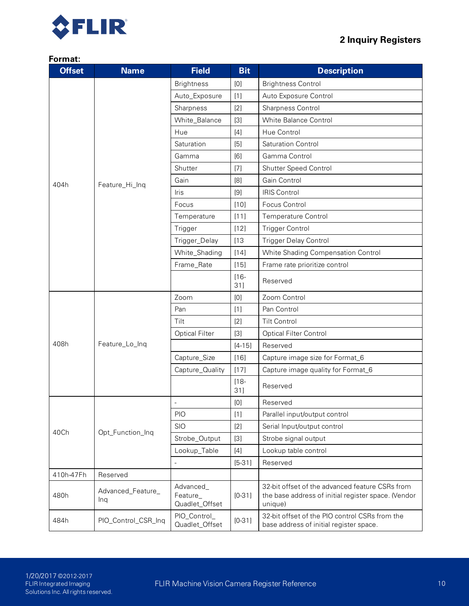



| <b>Offset</b> | <b>Name</b>              | <b>Field</b>                            | <b>Bit</b>                                                                                                                                                                                                                                                                                                                                                                                                                                                                                                                                                                                                   | <b>Description</b>                                                                                                |
|---------------|--------------------------|-----------------------------------------|--------------------------------------------------------------------------------------------------------------------------------------------------------------------------------------------------------------------------------------------------------------------------------------------------------------------------------------------------------------------------------------------------------------------------------------------------------------------------------------------------------------------------------------------------------------------------------------------------------------|-------------------------------------------------------------------------------------------------------------------|
|               |                          | <b>Brightness</b>                       | [0]                                                                                                                                                                                                                                                                                                                                                                                                                                                                                                                                                                                                          | <b>Brightness Control</b>                                                                                         |
|               |                          | Auto_Exposure                           | $[1]$                                                                                                                                                                                                                                                                                                                                                                                                                                                                                                                                                                                                        | Auto Exposure Control                                                                                             |
|               |                          | Sharpness                               | [2]                                                                                                                                                                                                                                                                                                                                                                                                                                                                                                                                                                                                          | Sharpness Control                                                                                                 |
|               |                          | White_Balance                           | $[3]$                                                                                                                                                                                                                                                                                                                                                                                                                                                                                                                                                                                                        | White Balance Control                                                                                             |
|               |                          | Hue                                     | $[4]$                                                                                                                                                                                                                                                                                                                                                                                                                                                                                                                                                                                                        | Hue Control                                                                                                       |
|               |                          | Saturation                              | [5]                                                                                                                                                                                                                                                                                                                                                                                                                                                                                                                                                                                                          | Saturation Control                                                                                                |
|               |                          | Gamma                                   | [6]                                                                                                                                                                                                                                                                                                                                                                                                                                                                                                                                                                                                          | Gamma Control                                                                                                     |
|               |                          | Shutter                                 | $[7]$                                                                                                                                                                                                                                                                                                                                                                                                                                                                                                                                                                                                        | Shutter Speed Control                                                                                             |
| 404h          | Feature_Hi_Inq           | Gain                                    | [8]                                                                                                                                                                                                                                                                                                                                                                                                                                                                                                                                                                                                          | Gain Control                                                                                                      |
|               |                          | <b>Iris</b>                             | [9]                                                                                                                                                                                                                                                                                                                                                                                                                                                                                                                                                                                                          | <b>IRIS Control</b>                                                                                               |
|               |                          | Focus                                   | $[10]$                                                                                                                                                                                                                                                                                                                                                                                                                                                                                                                                                                                                       | Focus Control                                                                                                     |
|               |                          | Temperature                             | [11]                                                                                                                                                                                                                                                                                                                                                                                                                                                                                                                                                                                                         | <b>Temperature Control</b>                                                                                        |
|               |                          | Trigger                                 | $[12]$                                                                                                                                                                                                                                                                                                                                                                                                                                                                                                                                                                                                       | <b>Trigger Control</b>                                                                                            |
|               |                          | Trigger_Delay                           | [13]                                                                                                                                                                                                                                                                                                                                                                                                                                                                                                                                                                                                         | <b>Trigger Delay Control</b>                                                                                      |
|               |                          | White_Shading                           | $[14]$                                                                                                                                                                                                                                                                                                                                                                                                                                                                                                                                                                                                       | White Shading Compensation Control                                                                                |
|               |                          | Frame_Rate                              | $[15]$                                                                                                                                                                                                                                                                                                                                                                                                                                                                                                                                                                                                       | Frame rate prioritize control                                                                                     |
|               |                          |                                         | $[16 -$<br>31]                                                                                                                                                                                                                                                                                                                                                                                                                                                                                                                                                                                               | Reserved                                                                                                          |
|               | Feature_Lo_Inq           | Zoom                                    | [0]                                                                                                                                                                                                                                                                                                                                                                                                                                                                                                                                                                                                          | Zoom Control                                                                                                      |
|               |                          | Pan                                     | $[1]$                                                                                                                                                                                                                                                                                                                                                                                                                                                                                                                                                                                                        | Pan Control                                                                                                       |
|               |                          | Tilt                                    | [2]                                                                                                                                                                                                                                                                                                                                                                                                                                                                                                                                                                                                          | <b>Tilt Control</b>                                                                                               |
|               |                          | <b>Optical Filter</b>                   | $[3]$                                                                                                                                                                                                                                                                                                                                                                                                                                                                                                                                                                                                        | <b>Optical Filter Control</b>                                                                                     |
| 408h          |                          |                                         | $[4 - 15]$                                                                                                                                                                                                                                                                                                                                                                                                                                                                                                                                                                                                   | Reserved                                                                                                          |
|               |                          | Capture_Size                            | $[16]$                                                                                                                                                                                                                                                                                                                                                                                                                                                                                                                                                                                                       | Capture image size for Format_6                                                                                   |
|               |                          | Capture_Quality                         | [17]                                                                                                                                                                                                                                                                                                                                                                                                                                                                                                                                                                                                         | Capture image quality for Format_6                                                                                |
|               |                          |                                         | $[18 -$<br>31]                                                                                                                                                                                                                                                                                                                                                                                                                                                                                                                                                                                               | Reserved                                                                                                          |
|               |                          | ÷                                       | $[0] % \begin{center} % \includegraphics[width=\linewidth]{imagesSupplemental_3.png} % \end{center} % \caption { % Our method is used for the method. % Note that the \emph{Stab} and the \emph{Stab} can be used for the \emph{Stab} and the \emph{Stab} can be used for the \emph{Stab} and the \emph{Stab} can be used for the \emph{Stab} and the \emph{Stab} can be used for the \emph{Stab} and the \emph{Stab} can be used for the \emph{Stab} and the \emph{Stab} can be used for the \emph{Stab} and the \emph{Stab} can be used for the \emph{Stab} and the \emph{Stab} can be used for the \emph$ | Reserved                                                                                                          |
|               |                          | <b>PIO</b>                              | $[1]$                                                                                                                                                                                                                                                                                                                                                                                                                                                                                                                                                                                                        | Parallel input/output control                                                                                     |
| 40Ch          | Opt_Function_Inq         | <b>SIO</b>                              | [2]                                                                                                                                                                                                                                                                                                                                                                                                                                                                                                                                                                                                          | Serial Input/output control                                                                                       |
|               |                          | Strobe_Output                           | $[3]$                                                                                                                                                                                                                                                                                                                                                                                                                                                                                                                                                                                                        | Strobe signal output                                                                                              |
|               |                          | Lookup_Table                            | $[4]$                                                                                                                                                                                                                                                                                                                                                                                                                                                                                                                                                                                                        | Lookup table control                                                                                              |
|               |                          |                                         | $[5-31]$                                                                                                                                                                                                                                                                                                                                                                                                                                                                                                                                                                                                     | Reserved                                                                                                          |
| 410h-47Fh     | Reserved                 |                                         |                                                                                                                                                                                                                                                                                                                                                                                                                                                                                                                                                                                                              |                                                                                                                   |
| 480h          | Advanced_Feature_<br>Ing | Advanced_<br>Feature_<br>Quadlet_Offset | $[0-31]$                                                                                                                                                                                                                                                                                                                                                                                                                                                                                                                                                                                                     | 32-bit offset of the advanced feature CSRs from<br>the base address of initial register space. (Vendor<br>unique) |
| 484h          | PIO_Control_CSR_Inq      | PIO_Control_<br>Quadlet_Offset          | $[0-31]$                                                                                                                                                                                                                                                                                                                                                                                                                                                                                                                                                                                                     | 32-bit offset of the PIO control CSRs from the<br>base address of initial register space.                         |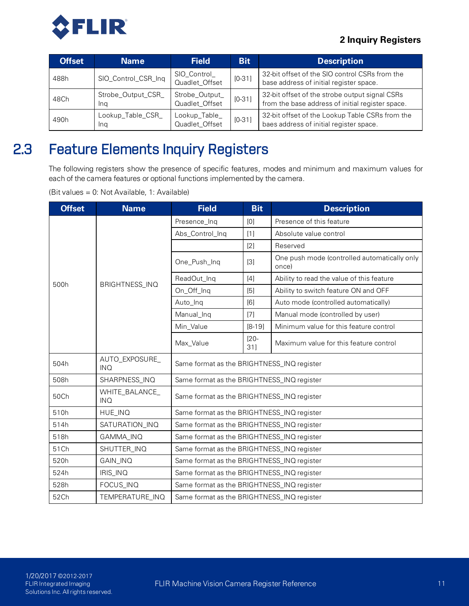

| <b>Offset</b> | <b>Name</b>               | <b>Field</b>                     | <b>Bit</b> | <b>Description</b>                                                                                 |
|---------------|---------------------------|----------------------------------|------------|----------------------------------------------------------------------------------------------------|
| 488h          | SIO_Control_CSR_Inq       | SIO_Control_<br>Quadlet_Offset   | $[0-31]$   | 32-bit offset of the SIO control CSRs from the<br>base address of initial register space.          |
| 48Ch          | Strobe_Output_CSR_<br>Ina | Strobe_Output_<br>Quadlet_Offset | $[0-31]$   | 32-bit offset of the strobe output signal CSRs<br>from the base address of initial register space. |
| 490h          | Lookup_Table_CSR_<br>Ina  | Lookup_Table_<br>Quadlet_Offset  | $[0-31]$   | 32-bit offset of the Lookup Table CSRs from the<br>baes address of initial register space.         |

## 2.3 Feature Elements Inquiry Registers

<span id="page-20-0"></span>The following registers show the presence of specific features, modes and minimum and maximum values for each of the camera features or optional functions implemented by the camera.

(Bit values = 0: Not Available, 1: Available)

| <b>Offset</b> | <b>Name</b>                  | <b>Field</b>                               | <b>Bit</b>     | <b>Description</b>                                    |  |  |
|---------------|------------------------------|--------------------------------------------|----------------|-------------------------------------------------------|--|--|
|               |                              | Presence_Inq                               | [0]            | Presence of this feature                              |  |  |
|               |                              | Abs_Control_Inq                            | $[1]$          | Absolute value control                                |  |  |
|               |                              | [2]                                        |                | Reserved                                              |  |  |
|               |                              | One_Push_Inq                               | $[3]$          | One push mode (controlled automatically only<br>once) |  |  |
| 500h          | BRIGHTNESS_INQ               | ReadOut_Inq                                | $[4]$          | Ability to read the value of this feature             |  |  |
|               |                              | On_Off_Inq                                 | [5]            | Ability to switch feature ON and OFF                  |  |  |
|               |                              | Auto_Inq                                   | [6]            | Auto mode (controlled automatically)                  |  |  |
|               |                              | Manual_Inq                                 | $[7]$          | Manual mode (controlled by user)                      |  |  |
|               |                              | Min_Value                                  | $[8-19]$       | Minimum value for this feature control                |  |  |
|               |                              | Max_Value                                  | $[20 -$<br>31] | Maximum value for this feature control                |  |  |
| 504h          | AUTO_EXPOSURE_<br><b>INQ</b> | Same format as the BRIGHTNESS_INQ register |                |                                                       |  |  |
| 508h          | SHARPNESS_INQ                | Same format as the BRIGHTNESS_INQ register |                |                                                       |  |  |
| 50Ch          | WHITE_BALANCE_<br><b>INQ</b> | Same format as the BRIGHTNESS_INQ register |                |                                                       |  |  |
| 510h          | HUE_INQ                      | Same format as the BRIGHTNESS_INQ register |                |                                                       |  |  |
| 514h          | SATURATION_INQ               | Same format as the BRIGHTNESS_INQ register |                |                                                       |  |  |
| 518h          | GAMMA_INQ                    | Same format as the BRIGHTNESS_INQ register |                |                                                       |  |  |
| 51Ch          | SHUTTER_INQ                  | Same format as the BRIGHTNESS_INQ register |                |                                                       |  |  |
| 520h          | GAIN_INQ                     | Same format as the BRIGHTNESS_INQ register |                |                                                       |  |  |
| 524h          | IRIS_INQ                     | Same format as the BRIGHTNESS_INQ register |                |                                                       |  |  |
| 528h          | FOCUS_INQ                    | Same format as the BRIGHTNESS_INQ register |                |                                                       |  |  |
| 52Ch          | TEMPERATURE_INQ              | Same format as the BRIGHTNESS_INQ register |                |                                                       |  |  |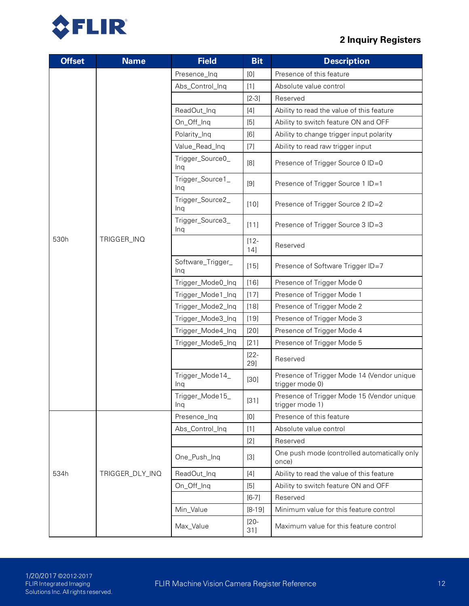

| <b>Offset</b> | <b>Name</b>     | <b>Field</b>             | <b>Bit</b>     | <b>Description</b>                                            |
|---------------|-----------------|--------------------------|----------------|---------------------------------------------------------------|
|               |                 | Presence_Inq             | [0]            | Presence of this feature                                      |
|               |                 | Abs_Control_Inq          | $[1]$          | Absolute value control                                        |
|               |                 |                          | $[2-3]$        | Reserved                                                      |
|               |                 | ReadOut_Inq              | $[4]$          | Ability to read the value of this feature                     |
|               |                 | On_Off_Inq               | $[5]$          | Ability to switch feature ON and OFF                          |
|               |                 | Polarity_Inq             | [6]            | Ability to change trigger input polarity                      |
|               |                 | Value_Read_Inq           | $[7]$          | Ability to read raw trigger input                             |
|               |                 | Trigger_Source0_<br>Ing  | [8]            | Presence of Trigger Source 0 ID=0                             |
|               |                 | Trigger_Source1_<br>Ing  | [9]            | Presence of Trigger Source 1 ID=1                             |
|               |                 | Trigger_Source2_<br>Ing  | $[10]$         | Presence of Trigger Source 2 ID=2                             |
|               |                 | Trigger_Source3_<br>Ing  | $[11]$         | Presence of Trigger Source 3 ID=3                             |
| 530h          | TRIGGER_INQ     |                          | $[12 -$<br>14] | Reserved                                                      |
|               |                 | Software_Trigger_<br>Ing | $[15]$         | Presence of Software Trigger ID=7                             |
|               |                 | Trigger_Mode0_Inq        | $[16]$         | Presence of Trigger Mode 0                                    |
|               |                 | Trigger_Mode1_Inq        | [17]           | Presence of Trigger Mode 1                                    |
|               |                 | Trigger_Mode2_Inq        | $[18]$         | Presence of Trigger Mode 2                                    |
|               |                 | Trigger_Mode3_Inq        | $[19]$         | Presence of Trigger Mode 3                                    |
|               |                 | Trigger_Mode4_Inq        | $[20]$         | Presence of Trigger Mode 4                                    |
|               |                 | Trigger_Mode5_Inq        | $[21]$         | Presence of Trigger Mode 5                                    |
|               |                 |                          | $[22 -$<br>29] | Reserved                                                      |
|               |                 | Trigger_Mode14_<br>Ing   | $[30]$         | Presence of Trigger Mode 14 (Vendor unique<br>trigger mode 0) |
|               |                 | Trigger_Mode15<br>Ing    | $[31]$         | Presence of Trigger Mode 15 (Vendor unique<br>trigger mode 1) |
|               |                 | Presence_Inq             | [0]            | Presence of this feature                                      |
|               |                 | Abs_Control_Inq          | $[1]$          | Absolute value control                                        |
|               |                 |                          | $[2]$          | Reserved                                                      |
|               |                 | One_Push_Inq             | $[3]$          | One push mode (controlled automatically only<br>once)         |
| 534h          | TRIGGER_DLY_INQ | ReadOut_Inq              | $[4]$          | Ability to read the value of this feature                     |
|               |                 | On_Off_Inq               | [5]            | Ability to switch feature ON and OFF                          |
|               |                 |                          | $[6-7]$        | Reserved                                                      |
|               |                 | Min_Value                | $[8-19]$       | Minimum value for this feature control                        |
|               |                 | Max_Value                | $[20 -$<br>31] | Maximum value for this feature control                        |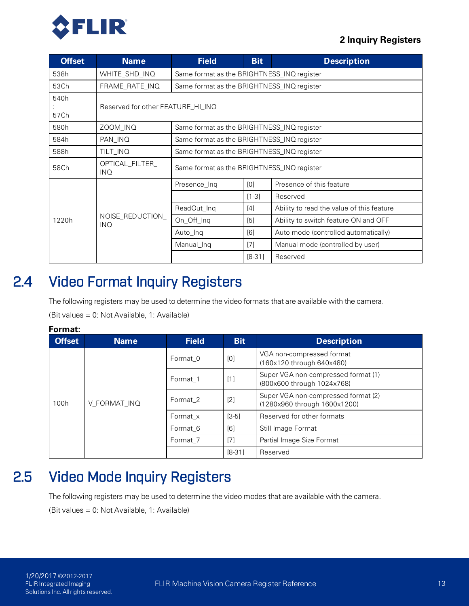

| <b>Offset</b> | <b>Name</b>                       | <b>Field</b>                               | <b>Bit</b> | <b>Description</b>                        |  |  |  |  |
|---------------|-----------------------------------|--------------------------------------------|------------|-------------------------------------------|--|--|--|--|
| 538h          | WHITE_SHD_INQ                     | Same format as the BRIGHTNESS_INQ register |            |                                           |  |  |  |  |
| 53Ch          | FRAME_RATE_INQ                    | Same format as the BRIGHTNESS_INQ register |            |                                           |  |  |  |  |
| 540h          |                                   |                                            |            |                                           |  |  |  |  |
| 57Ch          | Reserved for other FEATURE_HI_INQ |                                            |            |                                           |  |  |  |  |
| 580h          | ZOOM_INQ                          | Same format as the BRIGHTNESS_INQ register |            |                                           |  |  |  |  |
| 584h          | PAN_INQ                           | Same format as the BRIGHTNESS_INQ register |            |                                           |  |  |  |  |
| 588h          | TILT_INQ                          | Same format as the BRIGHTNESS_INQ register |            |                                           |  |  |  |  |
| 58Ch          | OPTICAL_FILTER_<br>INQ.           | Same format as the BRIGHTNESS_INQ register |            |                                           |  |  |  |  |
|               |                                   | Presence_Inq                               | [0]        | Presence of this feature                  |  |  |  |  |
|               |                                   |                                            | $[1-3]$    | Reserved                                  |  |  |  |  |
|               |                                   | ReadOut_Inq                                | $[4]$      | Ability to read the value of this feature |  |  |  |  |
| 1220h         | NOISE_REDUCTION_<br><b>INQ</b>    | On_Off_Inq                                 | $[5]$      | Ability to switch feature ON and OFF      |  |  |  |  |
|               |                                   | Auto_Inq                                   | [6]        | Auto mode (controlled automatically)      |  |  |  |  |
|               |                                   | Manual_Inq                                 | [7]        | Manual mode (controlled by user)          |  |  |  |  |
|               |                                   |                                            | $[8-31]$   | Reserved                                  |  |  |  |  |

## 2.4 Video Format Inquiry Registers

<span id="page-22-0"></span>The following registers may be used to determine the video formats that are available with the camera. (Bit values = 0: Not Available, 1: Available)

| Format:       |              |              |            |                                                                     |
|---------------|--------------|--------------|------------|---------------------------------------------------------------------|
| <b>Offset</b> | <b>Name</b>  | <b>Field</b> | <b>Bit</b> | <b>Description</b>                                                  |
| 100h          | V_FORMAT_INQ | Format 0     | [0]        | VGA non-compressed format<br>(160x120 through 640x480)              |
|               |              | Format 1     | [1]        | Super VGA non-compressed format (1)<br>(800x600 through 1024x768)   |
|               |              | Format 2     | [2]        | Super VGA non-compressed format (2)<br>(1280x960 through 1600x1200) |
|               |              | Format x     | $[3-5]$    | Reserved for other formats                                          |
|               |              | Format 6     | [6]        | Still Image Format                                                  |
|               |              | Format 7     | [7]        | Partial Image Size Format                                           |
|               |              |              | $[8-31]$   | Reserved                                                            |

## <span id="page-22-1"></span>2.5 Video Mode Inquiry Registers

The following registers may be used to determine the video modes that are available with the camera.

(Bit values = 0: Not Available, 1: Available)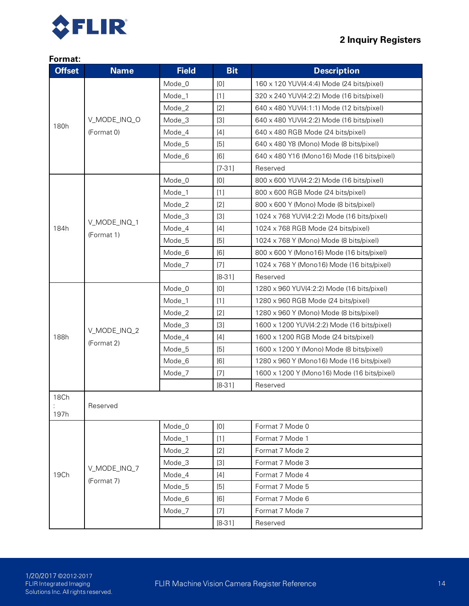

| <b>Offset</b> | <b>Name</b>  | <b>Field</b> | <b>Bit</b> | <b>Description</b>                          |
|---------------|--------------|--------------|------------|---------------------------------------------|
|               |              | Mode_0       | [0]        | 160 x 120 YUV(4:4:4) Mode (24 bits/pixel)   |
|               |              | Mode_1       | $[1]$      | 320 x 240 YUV(4:2:2) Mode (16 bits/pixel)   |
|               |              | Mode_2       | [2]        | 640 x 480 YUV(4:1:1) Mode (12 bits/pixel)   |
|               | V_MODE_INQ_O | Mode_3       | $[3]$      | 640 x 480 YUV(4.2:2) Mode (16 bits/pixel)   |
| 180h          | (Format 0)   | Mode_4       | $[4]$      | 640 x 480 RGB Mode (24 bits/pixel)          |
|               |              | Mode_5       | [5]        | 640 x 480 Y8 (Mono) Mode (8 bits/pixel)     |
|               |              | Mode_6       | [6]        | 640 x 480 Y16 (Mono16) Mode (16 bits/pixel) |
|               |              |              | $[7-31]$   | Reserved                                    |
|               |              | Mode_0       | [0]        | 800 x 600 YUV(4:2:2) Mode (16 bits/pixel)   |
|               |              | Mode_1       | $[1]$      | 800 x 600 RGB Mode (24 bits/pixel)          |
|               |              | Mode_2       | [2]        | 800 x 600 Y (Mono) Mode (8 bits/pixel)      |
|               | V_MODE_INQ_1 | Mode_3       | $[3]$      | 1024 x 768 YUV(4:2:2) Mode (16 bits/pixel)  |
| 184h          |              | Mode_4       | $[4]$      | 1024 x 768 RGB Mode (24 bits/pixel)         |
|               | (Format 1)   | Mode_5       | [5]        | 1024 x 768 Y (Mono) Mode (8 bits/pixel)     |
|               |              | Mode_6       | [6]        | 800 x 600 Y (Mono16) Mode (16 bits/pixel)   |
|               |              | Mode_7       | $[7]$      | 1024 x 768 Y (Mono16) Mode (16 bits/pixel)  |
|               |              |              | $[8-31]$   | Reserved                                    |
|               |              | Mode_0       | [0]        | 1280 x 960 YUV(4:2:2) Mode (16 bits/pixel)  |
|               |              | Mode_1       | $[1]$      | 1280 x 960 RGB Mode (24 bits/pixel)         |
|               |              | Mode_2       | $[2]$      | 1280 x 960 Y (Mono) Mode (8 bits/pixel)     |
|               | V_MODE_INQ_2 | Mode_3       | $[3]$      | 1600 x 1200 YUV(4:2:2) Mode (16 bits/pixel) |
| 188h          | (Format 2)   | Mode_4       | $[4]$      | 1600 x 1200 RGB Mode (24 bits/pixel)        |
|               |              | Mode_5       | [5]        | 1600 x 1200 Y (Mono) Mode (8 bits/pixel)    |
|               |              | Mode_6       | [6]        | 1280 x 960 Y (Mono16) Mode (16 bits/pixel)  |
|               |              | Mode_7       | $[7]$      | 1600 x 1200 Y (Mono16) Mode (16 bits/pixel) |
|               |              |              | $[8-31]$   | Reserved                                    |
| 18Ch          |              |              |            |                                             |
| 197h          | Reserved     |              |            |                                             |
|               |              | Mode_0       | [0]        | Format 7 Mode 0                             |
|               |              | Mode_1       | $[1]$      | Format 7 Mode 1                             |
|               |              | Mode_2       | $[2]$      | Format 7 Mode 2                             |
|               |              | Mode_3       | $[3]$      | Format 7 Mode 3                             |
| 19Ch          | V_MODE_INQ_7 | Mode_4       | $[4]$      | Format 7 Mode 4                             |
|               | (Format 7)   | Mode_5       | [5]        | Format 7 Mode 5                             |
|               |              | Mode_6       | [6]        | Format 7 Mode 6                             |
|               |              | Mode_7       | $[7]$      | Format 7 Mode 7                             |
|               |              |              | $[8-31]$   | Reserved                                    |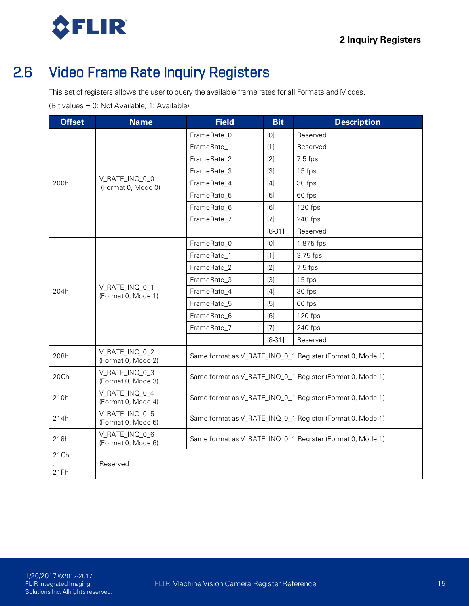<span id="page-24-0"></span>

## 2.6 Video Frame Rate Inquiry Registers

This set of registers allows the user to query the available frame rates for all Formats and Modes.

(Bit values = 0: Not Available, 1: Available)

| <b>Offset</b> | <b>Name</b>                          | <b>Field</b>                                              | <b>Bit</b> | <b>Description</b>                                        |  |
|---------------|--------------------------------------|-----------------------------------------------------------|------------|-----------------------------------------------------------|--|
|               |                                      | FrameRate_0                                               | [0]        | Reserved                                                  |  |
|               |                                      | FrameRate_1                                               | $[1]$      | Reserved                                                  |  |
|               |                                      | FrameRate_2                                               | [2]        | $7.5$ fps                                                 |  |
|               |                                      | FrameRate_3                                               | $[3]$      | 15 fps                                                    |  |
| 200h          | V_RATE_INQ_0_0<br>(Format 0, Mode 0) | FrameRate_4                                               | $[4]$      | 30 fps                                                    |  |
|               |                                      | FrameRate_5                                               | [5]        | 60 fps                                                    |  |
|               |                                      | FrameRate_6                                               | [6]        | 120 fps                                                   |  |
|               |                                      | FrameRate_7                                               | $[7]$      | 240 fps                                                   |  |
|               |                                      |                                                           | $[8-31]$   | Reserved                                                  |  |
|               |                                      | FrameRate_0                                               | [0]        | 1.875 fps                                                 |  |
|               |                                      | FrameRate_1                                               | $[1]$      | 3.75 fps                                                  |  |
|               |                                      | FrameRate_2                                               | [2]        | $7.5$ fps                                                 |  |
|               | V_RATE_INQ_0_1<br>(Format 0, Mode 1) | FrameRate_3                                               | $[3]$      | 15 fps                                                    |  |
| 204h          |                                      | FrameRate_4                                               | $[4]$      | 30 fps                                                    |  |
|               |                                      | FrameRate_5                                               | $[5]$      | 60 fps                                                    |  |
|               |                                      | FrameRate_6                                               | [6]        | 120 fps                                                   |  |
|               |                                      | FrameRate_7                                               | $[7]$      | 240 fps                                                   |  |
|               |                                      |                                                           | $[8-31]$   | Reserved                                                  |  |
| 208h          | V_RATE_INQ_0_2<br>(Format 0, Mode 2) |                                                           |            | Same format as V_RATE_INQ_0_1 Register (Format 0, Mode 1) |  |
| 20Ch          | V_RATE_INQ_0_3<br>(Format 0, Mode 3) |                                                           |            | Same format as V_RATE_INQ_0_1 Register (Format 0, Mode 1) |  |
| 210h          | V_RATE_INQ_0_4<br>(Format 0, Mode 4) | Same format as V_RATE_INQ_0_1 Register (Format 0, Mode 1) |            |                                                           |  |
| 214h          | V_RATE_INQ_0_5<br>(Format 0, Mode 5) | Same format as V_RATE_INQ_0_1 Register (Format 0, Mode 1) |            |                                                           |  |
| 218h          | V_RATE_INQ_0_6<br>(Format 0, Mode 6) | Same format as V_RATE_INQ_0_1 Register (Format 0, Mode 1) |            |                                                           |  |
| 21Ch          |                                      |                                                           |            |                                                           |  |
| 21Fh          | Reserved                             |                                                           |            |                                                           |  |
|               |                                      |                                                           |            |                                                           |  |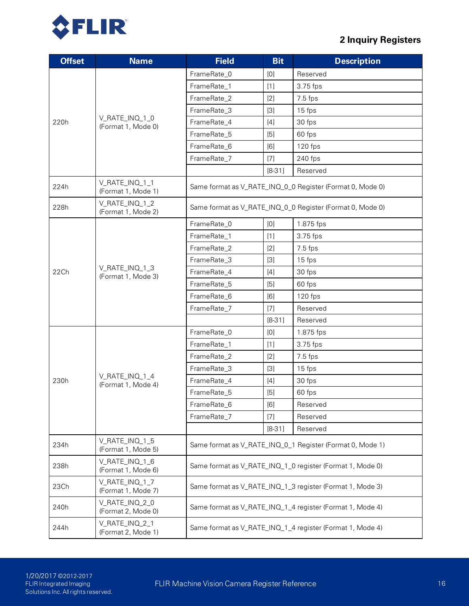

| <b>Offset</b> | <b>Name</b>                          | <b>Field</b>                                              | <b>Bit</b> | <b>Description</b>                                        |  |
|---------------|--------------------------------------|-----------------------------------------------------------|------------|-----------------------------------------------------------|--|
|               |                                      | FrameRate_0                                               | [0]        | Reserved                                                  |  |
|               |                                      | FrameRate_1                                               | $[1]$      | 3.75 fps                                                  |  |
|               |                                      | FrameRate_2                                               | [2]        | $7.5$ fps                                                 |  |
|               |                                      | FrameRate_3                                               | $[3]$      | 15 fps                                                    |  |
| 220h          | V_RATE_INQ_1_0<br>(Format 1, Mode 0) | FrameRate_4                                               | $[4]$      | 30 fps                                                    |  |
|               |                                      | FrameRate_5                                               | $[5]$      | 60 fps                                                    |  |
|               |                                      | FrameRate_6                                               | [6]        | 120 fps                                                   |  |
|               |                                      | FrameRate_7                                               | $[7]$      | 240 fps                                                   |  |
|               |                                      |                                                           | $[8-31]$   | Reserved                                                  |  |
| 224h          | V_RATE_INQ_1_1<br>(Format 1, Mode 1) |                                                           |            | Same format as V_RATE_INQ_0_0 Register (Format 0, Mode 0) |  |
| 228h          | V_RATE_INQ_1_2<br>(Format 1, Mode 2) | Same format as V_RATE_INQ_0_0 Register (Format 0, Mode 0) |            |                                                           |  |
|               |                                      | FrameRate_0                                               | [0]        | 1.875 fps                                                 |  |
|               |                                      | FrameRate_1                                               | $[1]$      | 3.75 fps                                                  |  |
|               |                                      | FrameRate_2                                               | $[2]$      | 7.5 fps                                                   |  |
|               |                                      | FrameRate_3                                               | $[3]$      | 15 fps                                                    |  |
| 22Ch          | V_RATE_INQ_1_3<br>(Format 1, Mode 3) | FrameRate_4                                               | $[4]$      | 30 fps                                                    |  |
|               |                                      | FrameRate_5                                               | [5]        | 60 fps                                                    |  |
|               |                                      | FrameRate_6                                               | [6]        | 120 fps                                                   |  |
|               |                                      | FrameRate_7                                               | $[7]$      | Reserved                                                  |  |
|               |                                      |                                                           | $[8-31]$   | Reserved                                                  |  |
|               |                                      | FrameRate_0                                               | [0]        | 1.875 fps                                                 |  |
|               |                                      | FrameRate_1                                               | $[1]$      | 3.75 fps                                                  |  |
|               |                                      | FrameRate_2                                               | [2]        | $7.5$ fps                                                 |  |
|               |                                      | FrameRate_3                                               | $[3]$      | 15 fps                                                    |  |
| 230h          | V_RATE_INQ_1_4<br>(Format 1, Mode 4) | FrameRate_4                                               | $[4]$      | 30 fps                                                    |  |
|               |                                      | FrameRate_5                                               | [5]        | 60 fps                                                    |  |
|               |                                      | FrameRate_6                                               | [6]        | Reserved                                                  |  |
|               |                                      | FrameRate_7                                               | $[7]$      | Reserved                                                  |  |
|               |                                      |                                                           | $[8-31]$   | Reserved                                                  |  |
| 234h          | V_RATE_INQ_1_5<br>(Format 1, Mode 5) | Same format as V_RATE_INQ_0_1 Register (Format 0, Mode 1) |            |                                                           |  |
| 238h          | V_RATE_INQ_1_6<br>(Format 1, Mode 6) | Same format as V_RATE_INQ_1_0 register (Format 1, Mode 0) |            |                                                           |  |
| 23Ch          | V_RATE_INQ_1_7<br>(Format 1, Mode 7) |                                                           |            | Same format as V_RATE_INQ_1_3 register (Format 1, Mode 3) |  |
| 240h          | V_RATE_INQ_2_0<br>(Format 2, Mode 0) | Same format as V_RATE_INQ_1_4 register (Format 1, Mode 4) |            |                                                           |  |
| 244h          | V_RATE_INQ_2_1<br>(Format 2, Mode 1) | Same format as V_RATE_INQ_1_4 register (Format 1, Mode 4) |            |                                                           |  |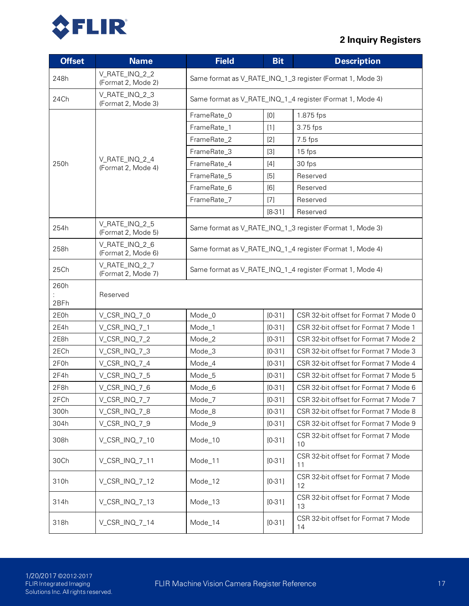

| <b>Offset</b> | <b>Name</b>                          | <b>Field</b>                                              | <b>Bit</b> | <b>Description</b>                                        |  |  |
|---------------|--------------------------------------|-----------------------------------------------------------|------------|-----------------------------------------------------------|--|--|
| 248h          | V_RATE_INQ_2_2<br>(Format 2, Mode 2) | Same format as V_RATE_INQ_1_3 register (Format 1, Mode 3) |            |                                                           |  |  |
| 24Ch          | V_RATE_INQ_2_3<br>(Format 2, Mode 3) | Same format as V_RATE_INQ_1_4 register (Format 1, Mode 4) |            |                                                           |  |  |
|               |                                      | FrameRate_0                                               | [0]        | 1.875 fps                                                 |  |  |
|               |                                      | FrameRate_1                                               | $[1]$      | 3.75 fps                                                  |  |  |
|               |                                      | FrameRate_2                                               | [2]        | $7.5$ fps                                                 |  |  |
|               |                                      | FrameRate_3                                               | $[3]$      | 15 fps                                                    |  |  |
| 250h          | V_RATE_INQ_2_4<br>(Format 2, Mode 4) | FrameRate_4                                               | $[4]$      | 30 fps                                                    |  |  |
|               |                                      | FrameRate_5                                               | [5]        | Reserved                                                  |  |  |
|               |                                      | FrameRate_6                                               | [6]        | Reserved                                                  |  |  |
|               |                                      | FrameRate_7                                               | $[7]$      | Reserved                                                  |  |  |
|               |                                      |                                                           | $[8-31]$   | Reserved                                                  |  |  |
| 254h          | V_RATE_INQ_2_5<br>(Format 2, Mode 5) |                                                           |            | Same format as V_RATE_INQ_1_3 register (Format 1, Mode 3) |  |  |
| 258h          | V_RATE_INQ_2_6<br>(Format 2, Mode 6) | Same format as V_RATE_INQ_1_4 register (Format 1, Mode 4) |            |                                                           |  |  |
| 25Ch          | V_RATE_INQ_2_7<br>(Format 2, Mode 7) | Same format as V_RATE_INQ_1_4 register (Format 1, Mode 4) |            |                                                           |  |  |
| 260h          |                                      |                                                           |            |                                                           |  |  |
| 2BFh          | Reserved                             |                                                           |            |                                                           |  |  |
| 2E0h          | V_CSR_INQ_7_0                        | Mode_0                                                    | $[0-31]$   | CSR 32-bit offset for Format 7 Mode 0                     |  |  |
| 2E4h          | V_CSR_INQ_7_1                        | Mode_1                                                    | $[0-31]$   | CSR 32-bit offset for Format 7 Mode 1                     |  |  |
| 2E8h          | V_CSR_INQ_7_2                        | Mode_2                                                    | $[0-31]$   | CSR 32-bit offset for Format 7 Mode 2                     |  |  |
| 2ECh          | V_CSR_INQ_7_3                        | Mode_3                                                    | $[0-31]$   | CSR 32-bit offset for Format 7 Mode 3                     |  |  |
| 2F0h          | V_CSR_INQ_7_4                        | Mode_4                                                    | $[0-31]$   | CSR 32-bit offset for Format 7 Mode 4                     |  |  |
| 2F4h          | V_CSR_INQ_7_5                        | Mode_5                                                    | $[0-31]$   | CSR 32-bit offset for Format 7 Mode 5                     |  |  |
| 2F8h          | V_CSR_INQ_7_6                        | Mode_6                                                    | $[0-31]$   | CSR 32-bit offset for Format 7 Mode 6                     |  |  |
| 2FCh          | V_CSR_INQ_7_7                        | Mode_7                                                    | $[0-31]$   | CSR 32-bit offset for Format 7 Mode 7                     |  |  |
| 300h          | V_CSR_INQ_7_8                        | Mode_8                                                    | $[0-31]$   | CSR 32-bit offset for Format 7 Mode 8                     |  |  |
| 304h          | V_CSR_INQ_7_9                        | Mode_9                                                    | $[0-31]$   | CSR 32-bit offset for Format 7 Mode 9                     |  |  |
| 308h          | V_CSR_INQ_7_10                       | Mode_10                                                   | $[0-31]$   | CSR 32-bit offset for Format 7 Mode<br>10                 |  |  |
| 30Ch          | V_CSR_INQ_7_11                       | Mode_11                                                   | $[0-31]$   | CSR 32-bit offset for Format 7 Mode<br>11                 |  |  |
| 310h          | V_CSR_INQ_7_12                       | Mode_12                                                   | $[0-31]$   | CSR 32-bit offset for Format 7 Mode<br>12                 |  |  |
| 314h          | V_CSR_INQ_7_13                       | Mode_13                                                   | $[0-31]$   | CSR 32-bit offset for Format 7 Mode<br>13                 |  |  |
| 318h          | V_CSR_INQ_7_14                       | Mode_14                                                   | $[0-31]$   | CSR 32-bit offset for Format 7 Mode<br>14                 |  |  |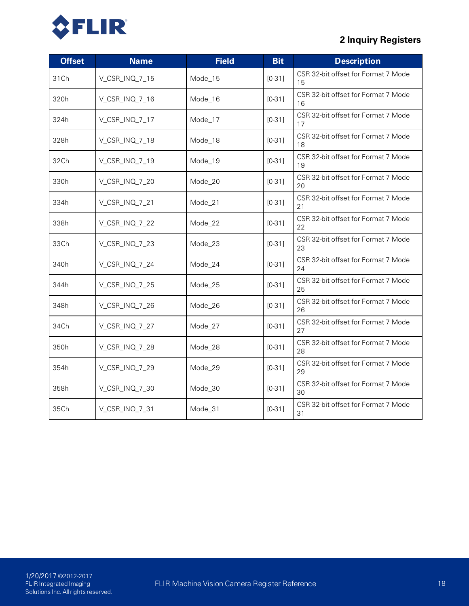

| <b>Offset</b> | <b>Name</b>    | <b>Field</b> | <b>Bit</b> | <b>Description</b>                        |
|---------------|----------------|--------------|------------|-------------------------------------------|
| 31Ch          | V_CSR_INQ_7_15 | Mode_15      | $[0-31]$   | CSR 32-bit offset for Format 7 Mode<br>15 |
| 320h          | V_CSR_INQ_7_16 | Mode_16      | $[0-31]$   | CSR 32-bit offset for Format 7 Mode<br>16 |
| 324h          | V_CSR_INQ_7_17 | Mode_17      | $[0-31]$   | CSR 32-bit offset for Format 7 Mode<br>17 |
| 328h          | V_CSR_INQ_7_18 | Mode_18      | $[0-31]$   | CSR 32-bit offset for Format 7 Mode<br>18 |
| 32Ch          | V_CSR_INQ_7_19 | Mode_19      | $[0-31]$   | CSR 32-bit offset for Format 7 Mode<br>19 |
| 330h          | V_CSR_INQ_7_20 | Mode_20      | $[0-31]$   | CSR 32-bit offset for Format 7 Mode<br>20 |
| 334h          | V_CSR_INQ_7_21 | Mode_21      | $[0-31]$   | CSR 32-bit offset for Format 7 Mode<br>21 |
| 338h          | V_CSR_INQ_7_22 | Mode_22      | $[0-31]$   | CSR 32-bit offset for Format 7 Mode<br>22 |
| 33Ch          | V_CSR_INQ_7_23 | Mode_23      | $[0-31]$   | CSR 32-bit offset for Format 7 Mode<br>23 |
| 340h          | V_CSR_INQ_7_24 | Mode_24      | $[0-31]$   | CSR 32-bit offset for Format 7 Mode<br>24 |
| 344h          | V_CSR_INQ_7_25 | Mode_25      | $[0-31]$   | CSR 32-bit offset for Format 7 Mode<br>25 |
| 348h          | V_CSR_INQ_7_26 | Mode_26      | $[0-31]$   | CSR 32-bit offset for Format 7 Mode<br>26 |
| 34Ch          | V_CSR_INQ_7_27 | Mode_27      | $[0-31]$   | CSR 32-bit offset for Format 7 Mode<br>27 |
| 350h          | V_CSR_INQ_7_28 | Mode_28      | $[0-31]$   | CSR 32-bit offset for Format 7 Mode<br>28 |
| 354h          | V_CSR_INQ_7_29 | Mode_29      | $[0-31]$   | CSR 32-bit offset for Format 7 Mode<br>29 |
| 358h          | V_CSR_INQ_7_30 | Mode_30      | $[0-31]$   | CSR 32-bit offset for Format 7 Mode<br>30 |
| 35Ch          | V_CSR_INQ_7_31 | Mode_31      | $[0-31]$   | CSR 32-bit offset for Format 7 Mode<br>31 |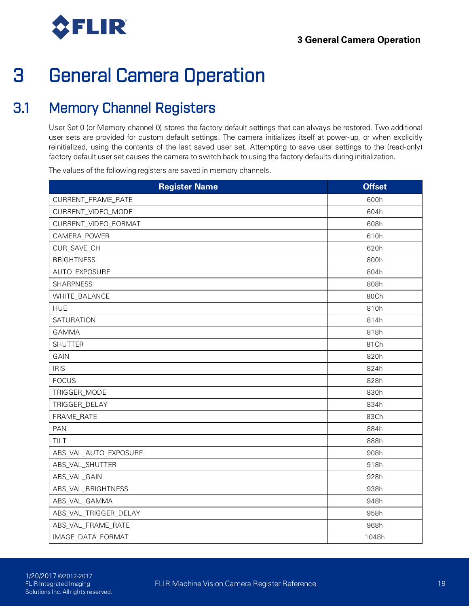<span id="page-28-0"></span>

## <span id="page-28-1"></span>3.1 Memory Channel Registers

User Set 0 (or Memory channel 0) stores the factory default settings that can always be restored. Two additional user sets are provided for custom default settings. The camera initializes itself at power-up, or when explicitly reinitialized, using the contents of the last saved user set. Attempting to save user settings to the (read-only) factory default user set causes the camera to switch back to using the factory defaults during initialization.

The values of the following registers are saved in memory channels.

| <b>Register Name</b>  | <b>Offset</b> |
|-----------------------|---------------|
| CURRENT_FRAME_RATE    | 600h          |
| CURRENT_VIDEO_MODE    | 604h          |
| CURRENT_VIDEO_FORMAT  | 608h          |
| CAMERA_POWER          | 610h          |
| CUR_SAVE_CH           | 620h          |
| <b>BRIGHTNESS</b>     | 800h          |
| AUTO_EXPOSURE         | 804h          |
| <b>SHARPNESS</b>      | 808h          |
| WHITE_BALANCE         | 80Ch          |
| <b>HUE</b>            | 810h          |
| <b>SATURATION</b>     | 814h          |
| <b>GAMMA</b>          | 818h          |
| <b>SHUTTER</b>        | 81Ch          |
| GAIN                  | 820h          |
| <b>IRIS</b>           | 824h          |
| <b>FOCUS</b>          | 828h          |
| TRIGGER_MODE          | 830h          |
| TRIGGER_DELAY         | 834h          |
| FRAME_RATE            | 83Ch          |
| <b>PAN</b>            | 884h          |
| TILT                  | 888h          |
| ABS_VAL_AUTO_EXPOSURE | 908h          |
| ABS_VAL_SHUTTER       | 918h          |
| ABS_VAL_GAIN          | 928h          |
| ABS_VAL_BRIGHTNESS    | 938h          |
| ABS_VAL_GAMMA         | 948h          |
| ABS_VAL_TRIGGER_DELAY | 958h          |
| ABS_VAL_FRAME_RATE    | 968h          |
| IMAGE_DATA_FORMAT     | 1048h         |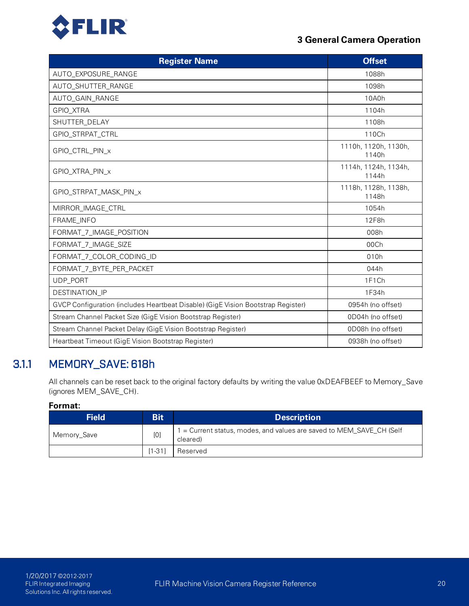

| <b>Register Name</b>                                                             | <b>Offset</b>                 |
|----------------------------------------------------------------------------------|-------------------------------|
| AUTO_EXPOSURE_RANGE                                                              | 1088h                         |
| AUTO_SHUTTER_RANGE                                                               | 1098h                         |
| AUTO_GAIN_RANGE                                                                  | 10A0h                         |
| GPIO_XTRA                                                                        | 1104h                         |
| SHUTTER_DELAY                                                                    | 1108h                         |
| GPIO_STRPAT_CTRL                                                                 | 110Ch                         |
| GPIO_CTRL_PIN_x                                                                  | 1110h, 1120h, 1130h,<br>1140h |
| GPIO_XTRA_PIN_x                                                                  | 1114h, 1124h, 1134h,<br>1144h |
| GPIO_STRPAT_MASK_PIN_x                                                           | 1118h, 1128h, 1138h,<br>1148h |
| MIRROR_IMAGE_CTRL                                                                | 1054h                         |
| FRAME_INFO                                                                       | 12F8h                         |
| FORMAT_7_IMAGE_POSITION                                                          | 008h                          |
| FORMAT_7_IMAGE_SIZE                                                              | 00Ch                          |
| FORMAT_7_COLOR_CODING_ID                                                         | 010h                          |
| FORMAT_7_BYTE_PER_PACKET                                                         | 044h                          |
| UDP_PORT                                                                         | 1F1Ch                         |
| DESTINATION_IP                                                                   | 1F34h                         |
| GVCP Configuration (includes Heartbeat Disable) (GigE Vision Bootstrap Register) | 0954h (no offset)             |
| Stream Channel Packet Size (GigE Vision Bootstrap Register)                      | 0D04h (no offset)             |
| Stream Channel Packet Delay (GigE Vision Bootstrap Register)                     | 0D08h (no offset)             |
| Heartbeat Timeout (GigE Vision Bootstrap Register)                               | 0938h (no offset)             |

## 3.1.1 MEMORY\_SAVE: 618h

<span id="page-29-0"></span>All channels can be reset back to the original factory defaults by writing the value 0xDEAFBEEF to Memory\_Save (ignores MEM\_SAVE\_CH).

| <b>Field</b> | <b>Bit</b> | <b>Description</b>                                                               |
|--------------|------------|----------------------------------------------------------------------------------|
| Memory_Save  | [0]        | 1 = Current status, modes, and values are saved to MEM_SAVE_CH (Self<br>cleared) |
|              | $[1-31]$   | Reserved                                                                         |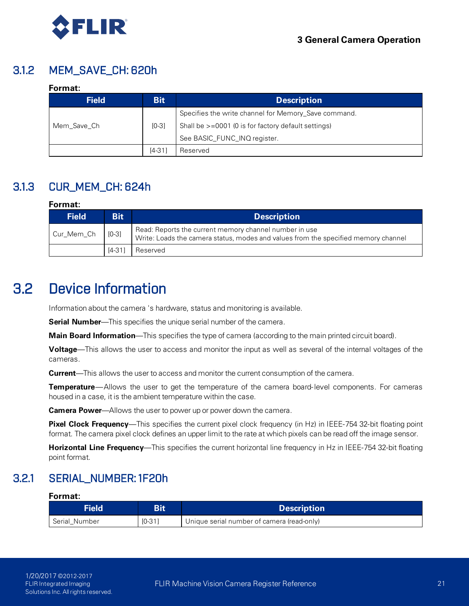

### 3.1.2 MEM\_SAVE\_CH: 620h

### <span id="page-30-0"></span>**Format:**

| <b>Field</b> | <b>Bit</b> | <b>Description</b>                                   |
|--------------|------------|------------------------------------------------------|
|              |            | Specifies the write channel for Memory_Save command. |
| Mem Save Ch  | $[0-3]$    | Shall be >=0001 (0 is for factory default settings)  |
|              |            | See BASIC FUNC INQ register.                         |
|              | $[4-31]$   | Reserved                                             |

## 3.1.3 CUR\_MEM\_CH: 624h

#### <span id="page-30-1"></span>**Format:**

| <b>Field</b>       | <b>Bit</b> | <b>Description</b>                                                                                                                           |
|--------------------|------------|----------------------------------------------------------------------------------------------------------------------------------------------|
| Cur_Mem_Ch   [0-3] |            | Read: Reports the current memory channel number in use<br>Write: Loads the camera status, modes and values from the specified memory channel |
|                    | $[4-31]$   | Reserved                                                                                                                                     |

## <span id="page-30-2"></span>3.2 Device Information

Information about the camera 's hardware, status and monitoring is available.

**Serial Number**—This specifies the unique serial number of the camera.

**Main Board Information**—This specifies the type of camera (according to the main printed circuit board).

**Voltage**—This allows the user to access and monitor the input as well as several of the internal voltages of the cameras.

**Current**—This allows the user to access and monitor the current consumption of the camera.

**Temperature**—Allows the user to get the temperature of the camera board- level components. For cameras housed in a case, it is the ambient temperature within the case.

**Camera Power**—Allows the user to power up or power down the camera.

**Pixel Clock Frequency**—This specifies the current pixel clock frequency (in Hz) in IEEE-754 32-bit floating point format. The camera pixel clock defines an upper limit to the rate at which pixels can be read off the image sensor.

<span id="page-30-3"></span>**Horizontal Line Frequency**—This specifies the current horizontal line frequency in Hz in IEEE-754 32-bit floating point format.

### 3.2.1 SERIAL\_NUMBER: 1F20h

| <b>Field</b>  | Bit      | <b>Description</b>                         |
|---------------|----------|--------------------------------------------|
| Serial_Number | $[0-31]$ | Unique serial number of camera (read-only) |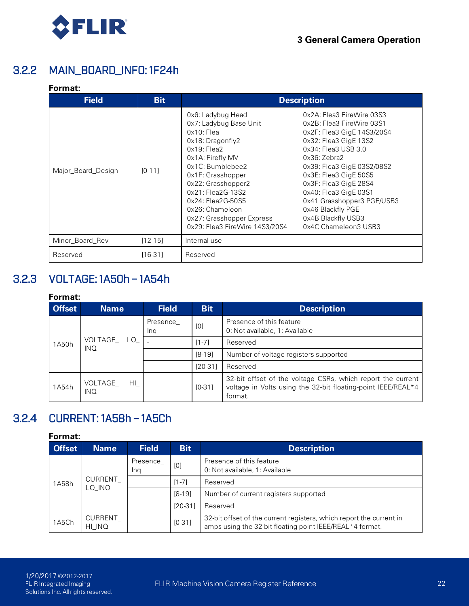

### 3.2.2 MAIN\_BOARD\_INFO: 1F24h

### <span id="page-31-0"></span>**Format:**

| <b>Field</b>       | <b>Bit</b>  | <b>Description</b>                                                                                                                                                                                                                                                                                                      |                                                                                                                                                                                                                                                                                                                                                                     |  |
|--------------------|-------------|-------------------------------------------------------------------------------------------------------------------------------------------------------------------------------------------------------------------------------------------------------------------------------------------------------------------------|---------------------------------------------------------------------------------------------------------------------------------------------------------------------------------------------------------------------------------------------------------------------------------------------------------------------------------------------------------------------|--|
| Major_Board_Design | $[0-11]$    | 0x6: Ladybug Head<br>0x7: Ladybug Base Unit<br>$0x10$ : Flea<br>0x18: Dragonfly2<br>$0x19$ : Flea2<br>0x1A: Firefly MV<br>$0x1C$ : Bumblebee $2$<br>0x1F: Grasshopper<br>0x22: Grasshopper2<br>0x21: Flea2G-13S2<br>0x24: Flea2G-50S5<br>0x26: Chameleon<br>0x27: Grasshopper Express<br>0x29: Flea3 FireWire 14S3/20S4 | 0x2A: Flea3 FireWire 03S3<br>0x2B: Flea3 FireWire 03S1<br>0x2F: Flea3 GigE 14S3/20S4<br>0x32: Flea3 GigE 13S2<br>0x34: Flea3 USB 3.0<br>$0x36:$ Zebra $2$<br>0x39: Flea3 GigE 03S2/08S2<br>0x3E: Flea3 GigE 50S5<br>0x3F: Flea3 GigE 28S4<br>0x40: Flea3 GigE 03S1<br>0x41 Grasshopper3 PGE/USB3<br>0x46 Blackfly PGE<br>0x4B Blackfly USB3<br>0x4C Chameleon3 USB3 |  |
| Minor_Board_Rev    | $[12 - 15]$ | Internal use                                                                                                                                                                                                                                                                                                            |                                                                                                                                                                                                                                                                                                                                                                     |  |
| Reserved           | $[16-31]$   | Reserved                                                                                                                                                                                                                                                                                                                |                                                                                                                                                                                                                                                                                                                                                                     |  |

## 3.2.3 VOLTAGE: 1A50h – 1A54h

### <span id="page-31-1"></span>**Format:**

| <b>Offset</b> | <b>Name</b>                    |                                                  | <b>Field</b>    | <b>Bit</b> | <b>Description</b>                                                                                                                     |          |
|---------------|--------------------------------|--------------------------------------------------|-----------------|------------|----------------------------------------------------------------------------------------------------------------------------------------|----------|
|               | VOLTAGE<br>1A50h<br><b>INQ</b> |                                                  | Presence<br>Ina | [0]        | Presence of this feature<br>0: Not available, 1: Available                                                                             |          |
|               |                                | LO.                                              |                 |            | $[1 - 7]$                                                                                                                              | Reserved |
|               |                                |                                                  |                 | $[8-19]$   | Number of voltage registers supported                                                                                                  |          |
|               |                                |                                                  |                 | $[20-31]$  | Reserved                                                                                                                               |          |
| 1A54h         | VOLTAGE<br><b>INQ</b>          | $\mathsf{HI}_{\scriptscriptstyle{\blacksquare}}$ |                 | $IO-311$   | 32-bit offset of the voltage CSRs, which report the current<br>voltage in Volts using the 32-bit floating-point IEEE/REAL*4<br>format. |          |

### <span id="page-31-2"></span>3.2.4 CURRENT: 1A58h – 1A5Ch

| <b>Offset</b> | <b>Name</b>       | <b>Field</b> | <b>Bit</b>                                                 | <b>Description</b>                                                                                                              |
|---------------|-------------------|--------------|------------------------------------------------------------|---------------------------------------------------------------------------------------------------------------------------------|
|               | Presence<br>Ina   | [0]          | Presence of this feature<br>0. Not available, 1: Available |                                                                                                                                 |
| 1A58h         | CURRENT<br>LO_INQ |              | $[1 - 7]$                                                  | Reserved                                                                                                                        |
|               |                   |              | $[8-19]$                                                   | Number of current registers supported                                                                                           |
|               |                   | $[20-31]$    | Reserved                                                   |                                                                                                                                 |
| 1A5Ch         | CURRENT<br>HI_INQ |              | $[0-31]$                                                   | 32-bit offset of the current registers, which report the current in<br>amps using the 32-bit floating-point IEEE/REAL*4 format. |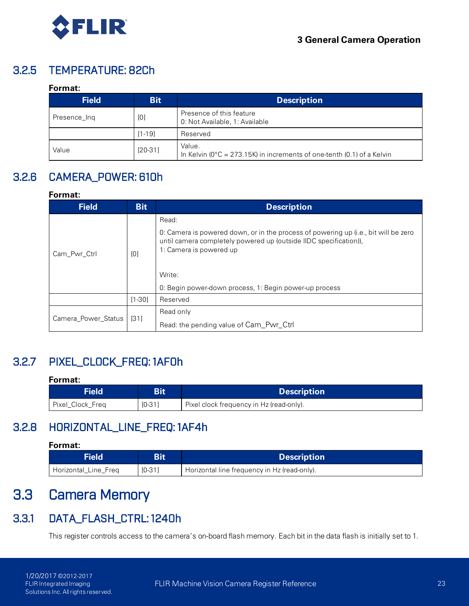

## 3.2.5 TEMPERATURE: 82Ch

### <span id="page-32-0"></span>**Format:**

| <b>Field</b> | <b>Bit</b> | <b>Description</b>                                                                          |
|--------------|------------|---------------------------------------------------------------------------------------------|
| Presence Ing | [0]        | Presence of this feature<br>0: Not Available, 1: Available                                  |
|              | $[1 - 19]$ | Reserved                                                                                    |
| Value        | $[20-31]$  | Value.<br>In Kelvin ( $0^{\circ}$ C = 273.15K) in increments of one-tenth (0.1) of a Kelvin |

## 3.2.6 CAMERA\_POWER: 610h

### <span id="page-32-1"></span>**Format:**

| <b>Field</b>        | <b>Bit</b> | <b>Description</b>                                                                                                                                                                  |
|---------------------|------------|-------------------------------------------------------------------------------------------------------------------------------------------------------------------------------------|
|                     |            | Read:                                                                                                                                                                               |
| Cam_Pwr_Ctrl        | [0]        | 0: Camera is powered down, or in the process of powering up (i.e., bit will be zero<br>until camera completely powered up (outside IIDC specification)),<br>1: Camera is powered up |
|                     |            | Write:                                                                                                                                                                              |
|                     |            | 0: Begin power-down process, 1: Begin power-up process                                                                                                                              |
|                     | $[1-30]$   | Reserved                                                                                                                                                                            |
| Camera_Power_Status |            | Read only                                                                                                                                                                           |
|                     | $[31]$     | Read: the pending value of Cam Pwr Ctrl                                                                                                                                             |

## 3.2.7 PIXEL\_CLOCK\_FREQ: 1AF0h

### <span id="page-32-2"></span>**Format:**

<span id="page-32-3"></span>

| Field            | Bit      | <b>Description</b>                       |
|------------------|----------|------------------------------------------|
| Pixel_Clock_Freq | $[0-31]$ | Pixel clock frequency in Hz (read-only). |

### 3.2.8 HORIZONTAL\_LINE\_FREQ: 1AF4h

#### **Format:**

<span id="page-32-4"></span>

| Field                |          | <b>Description</b>                           |
|----------------------|----------|----------------------------------------------|
| Horizontal Line Freg | $IO-311$ | Horizontal line frequency in Hz (read-only). |

## 3.3 Camera Memory

### 3.3.1 DATA\_FLASH\_CTRL: 1240h

<span id="page-32-5"></span>This register controls access to the camera's on-board flash memory. Each bit in the data flash is initially set to 1.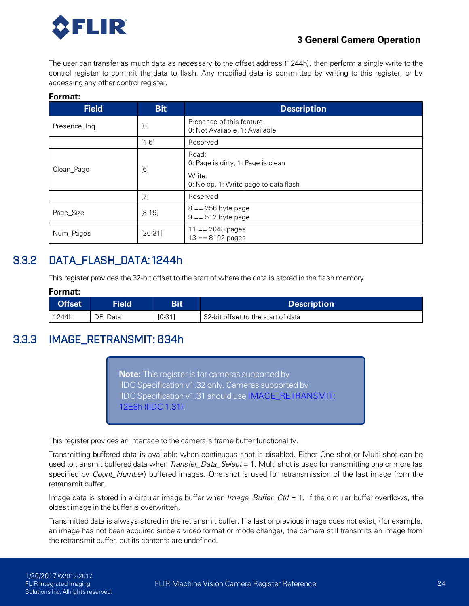

The user can transfer as much data as necessary to the offset address (1244h), then perform a single write to the control register to commit the data to flash. Any modified data is committed by writing to this register, or by accessing any other control register.

### **Format:**

| <b>Field</b> | <b>Bit</b> | <b>Description</b>                                         |
|--------------|------------|------------------------------------------------------------|
| Presence_Ing | [0]        | Presence of this feature<br>0: Not Available, 1: Available |
|              | $[1-5]$    | Reserved                                                   |
| Clean_Page   | [6]        | Read:<br>0: Page is dirty, 1: Page is clean<br>Write:      |
|              |            | 0. No-op, 1: Write page to data flash                      |
|              | [7]        | Reserved                                                   |
| Page_Size    | $[8-19]$   | $8 = 256$ byte page<br>$9 == 512$ byte page                |
| Num_Pages    | $[20-31]$  | $11 == 2048 pages$<br>$13 == 8192 pages$                   |

### 3.3.2 DATA\_FLASH\_DATA: 1244h

<span id="page-33-0"></span>This register provides the 32-bit offset to the start of where the data is stored in the flash memory.

### **Format:**

<span id="page-33-1"></span>

| <b>Offset</b> | <b>Field</b> | Bit      | <b>Description</b>                 |
|---------------|--------------|----------|------------------------------------|
| 1244h         | DF Data      | $[0-31]$ | 32-bit offset to the start of data |

### 3.3.3 IMAGE\_RETRANSMIT: 634h

**Note:** This register is for cameras supported by IIDC Specification v1.32 only. Cameras supported by IIDC Specification v1.31 should use IMAGE\_RETRANSMIT: 12E8h (IIDC 1.31).

This register provides an interface to the camera's frame buffer functionality.

Transmitting buffered data is available when continuous shot is disabled. Either One shot or Multi shot can be used to transmit buffered data when *Transfer\_Data\_Select* = 1. Multi shot is used for transmitting one or more (as specified by *Count\_Number*) buffered images. One shot is used for retransmission of the last image from the retransmit buffer.

Image data is stored in a circular image buffer when *Image\_Buffer\_Ctrl* = 1. If the circular buffer overflows, the oldest image in the buffer is overwritten.

Transmitted data is always stored in the retransmit buffer. If a last or previous image does not exist, (for example, an image has not been acquired since a video format or mode change), the camera still transmits an image from the retransmit buffer, but its contents are undefined.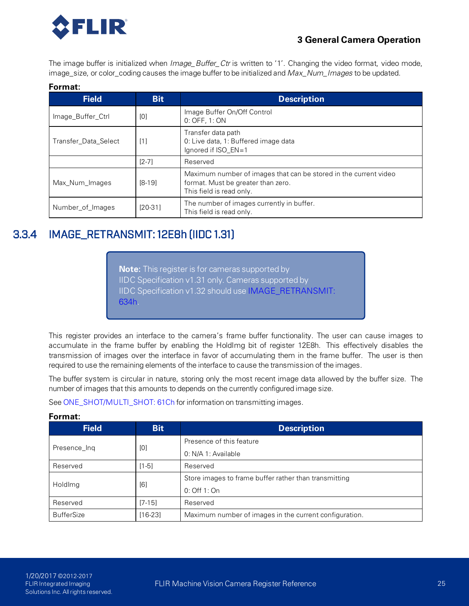

The image buffer is initialized when *Image\_Buffer\_Ctr* is written to '1'. Changing the video format, video mode, image\_size, or color\_coding causes the image buffer to be initialized and *Max\_Num\_Images* to be updated.

#### **Format:**

| <b>Field</b>         | <b>Bit</b>        | <b>Description</b>                                                                                                                 |
|----------------------|-------------------|------------------------------------------------------------------------------------------------------------------------------------|
| Image_Buffer_Ctrl    | [0]               | Image Buffer On/Off Control<br>0. OFF, 1. ON                                                                                       |
| Transfer Data Select | $\lceil 1 \rceil$ | Transfer data path<br>0. Live data, 1: Buffered image data<br>Ignored if $ISO EN=1$                                                |
|                      | $[2-7]$           | Reserved                                                                                                                           |
| Max Num Images       | $[8-19]$          | Maximum number of images that can be stored in the current video<br>format. Must be greater than zero.<br>This field is read only. |
| Number_of_Images     | $[20-31]$         | The number of images currently in buffer.<br>This field is read only.                                                              |

### <span id="page-34-0"></span>3.3.4 IMAGE\_RETRANSMIT: 12E8h (IIDC 1.31)

**Note:** This register is for cameras supported by IIDC Specification v1.31 only. Cameras supported by IIDC Specification v1.32 should use [IMAGE\\_RETRANSMIT:](#page-33-1) [634h](#page-33-1).

This register provides an interface to the camera's frame buffer functionality. The user can cause images to accumulate in the frame buffer by enabling the HoldImg bit of register 12E8h. This effectively disables the transmission of images over the interface in favor of accumulating them in the frame buffer. The user is then required to use the remaining elements of the interface to cause the transmission of the images.

The buffer system is circular in nature, storing only the most recent image data allowed by the buffer size. The number of images that this amounts to depends on the currently configured image size.

See [ONE\\_SHOT/MULTI\\_SHOT: 61Ch](#page-62-0) for information on transmitting images.

| <b>Field</b>      | <b>Bit</b> | <b>Description</b>                                     |
|-------------------|------------|--------------------------------------------------------|
|                   | [0]        | Presence of this feature                               |
| Presence_Ing      |            | 0. N/A 1. Available                                    |
| Reserved          | $[1-5]$    | Reserved                                               |
|                   |            | Store images to frame buffer rather than transmitting  |
| Holdlmg           | [6]        | 0: Off 1: On                                           |
| Reserved          | $[7-15]$   | Reserved                                               |
| <b>BufferSize</b> | $[16-23]$  | Maximum number of images in the current configuration. |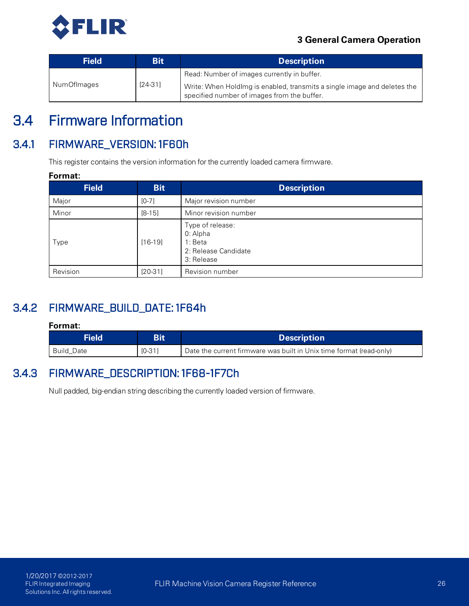

| <b>Field</b> | Bit       | <b>Description</b>                                                                                                      |
|--------------|-----------|-------------------------------------------------------------------------------------------------------------------------|
| NumOfImages  | $[24-31]$ | Read: Number of images currently in buffer.<br>Write: When Holdlmg is enabled, transmits a single image and deletes the |
|              |           | specified number of images from the buffer.                                                                             |

## <span id="page-35-0"></span>3.4 Firmware Information

## 3.4.1 FIRMWARE\_VERSION: 1F60h

<span id="page-35-1"></span>This register contains the version information for the currently loaded camera firmware.

#### **Format:**

| <b>Field</b> | <b>Bit</b> | <b>Description</b>                                                            |
|--------------|------------|-------------------------------------------------------------------------------|
| Major        | $[0-7]$    | Major revision number                                                         |
| Minor        | $[8-15]$   | Minor revision number                                                         |
| Type         | $[16-19]$  | Type of release:<br>0: Alpha<br>1: Beta<br>2: Release Candidate<br>3: Release |
| Revision     | $[20-31]$  | Revision number                                                               |

## 3.4.2 FIRMWARE\_BUILD\_DATE: 1F64h

### <span id="page-35-2"></span>**Format:**

<span id="page-35-3"></span>

| <b>Field</b>      | <b>Bit</b> | <b>Description</b>                                                  |
|-------------------|------------|---------------------------------------------------------------------|
| <b>Build Date</b> | $IO-31]$   | Date the current firmware was built in Unix time format (read-only) |

### 3.4.3 FIRMWARE\_DESCRIPTION: 1F68-1F7Ch

Null padded, big-endian string describing the currently loaded version of firmware.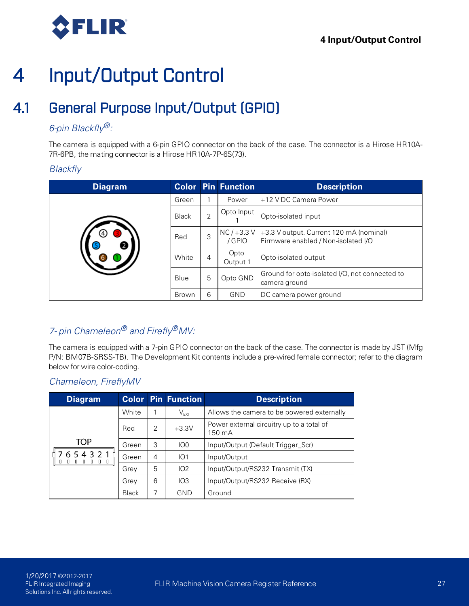

## 4.1 General Purpose Input/Output (GPIO)

### *6-pin Blackfly®:*

The camera is equipped with a 6-pin GPIO connector on the back of the case. The connector is a Hirose HR10A-7R-6PB, the mating connector is a Hirose HR10A-7P-6S(73).

#### *Blackfly*

| <b>Diagram</b> |              |                | <b>Color Pin Function</b> | <b>Description</b>                                                             |
|----------------|--------------|----------------|---------------------------|--------------------------------------------------------------------------------|
|                | Green        |                | Power                     | +12 V DC Camera Power                                                          |
|                | <b>Black</b> | $\overline{2}$ | Opto Input                | Opto-isolated input                                                            |
|                | Red          | 3              | $NC/+3.3$ V<br>/ GPIO     | +3.3 V output. Current 120 mA (nominal)<br>Firmware enabled / Non-isolated I/O |
|                | White        | 4              | Opto<br>Output 1          | Opto-isolated output                                                           |
|                | Blue         | 5              | Opto GND                  | Ground for opto-isolated I/O, not connected to<br>camera ground                |
|                | <b>Brown</b> | 6              | <b>GND</b>                | DC camera power ground                                                         |

### *7- pin Chameleon® and Firefly®MV:*

The camera is equipped with a 7-pin GPIO connector on the back of the case. The connector is made by JST (Mfg P/N: BM07B-SRSS-TB). The Development Kit contents include a pre-wired female connector; refer to the diagram below for wire color-coding.

#### *Chameleon, FireflyMV*

| <b>Diagram</b>                                                                   |              |                | <b>Color Pin Function</b> | <b>Description</b>                                  |
|----------------------------------------------------------------------------------|--------------|----------------|---------------------------|-----------------------------------------------------|
| TOP<br>654321<br>$\begin{array}{cccccccccccccc} 1 & 0 & 0 & 0 & 0 & \end{array}$ | White        |                | $V_{EXT}$                 | Allows the camera to be powered externally          |
|                                                                                  | Red          | 2              | $+3.3V$                   | Power external circuitry up to a total of<br>150 mA |
|                                                                                  | Green        | 3              | IO <sub>0</sub>           | Input/Output (Default Trigger_Scr)                  |
|                                                                                  | Green        | $\overline{4}$ | IO1                       | Input/Output                                        |
|                                                                                  | Grey         | 5              | 102                       | Input/Output/RS232 Transmit (TX)                    |
|                                                                                  | Grey         | 6              | IO3                       | Input/Output/RS232 Receive (RX)                     |
|                                                                                  | <b>Black</b> | 7              | GND                       | Ground                                              |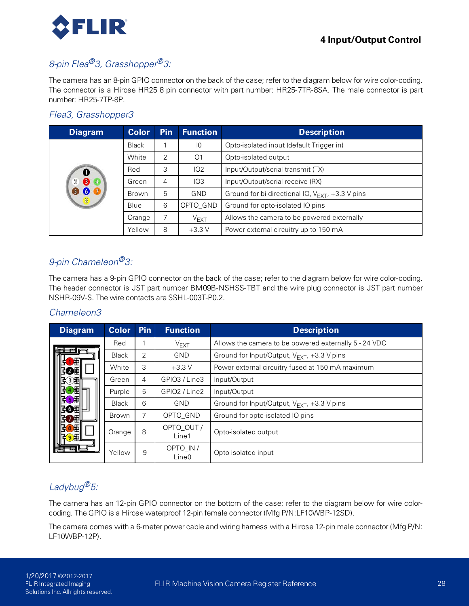

### *8-pin Flea®3, Grasshopper®3:*

The camera has an 8-pin GPIO connector on the back of the case; refer to the diagram below for wire color-coding. The connector is a Hirose HR25 8 pin connector with part number: HR25-7TR-8SA. The male connector is part number: HR25-7TP-8P.

#### *Flea3, Grasshopper3*

| <b>Diagram</b>     | <b>Color</b> | <b>Pin</b> | <b>Function</b> | <b>Description</b>                                    |
|--------------------|--------------|------------|-----------------|-------------------------------------------------------|
|                    | <b>Black</b> |            | $\overline{10}$ | Opto-isolated input (default Trigger in)              |
|                    | White        | 2          | O1              | Opto-isolated output                                  |
|                    | Red          | 3          | IO2             | Input/Output/serial transmit (TX)                     |
| $\mathbb{Z}$<br>64 | Green        | 4          | IO3             | Input/Output/serial receive (RX)                      |
| 【6                 | <b>Brown</b> | 5          | <b>GND</b>      | Ground for bi-directional IO, $V_{FXT}$ , +3.3 V pins |
|                    | Blue         | 6          | OPTO_GND        | Ground for opto-isolated IO pins                      |
|                    | Orange       |            | $V_{EXT}$       | Allows the camera to be powered externally            |
|                    | Yellow       | 8          | $+3.3V$         | Power external circuitry up to 150 mA                 |

#### *9-pin Chameleon®3:*

The camera has a 9-pin GPIO connector on the back of the case; refer to the diagram below for wire color-coding. The header connector is JST part number BM09B-NSHSS-TBT and the wire plug connector is JST part number NSHR-09V-S. The wire contacts are SSHL-003T-P0.2.

#### *Chameleon3*

| <b>Diagram</b> | <b>Color</b> | <b>Pin</b>     | <b>Function</b>                | <b>Description</b>                                    |
|----------------|--------------|----------------|--------------------------------|-------------------------------------------------------|
|                | Red          |                | $V_{EXT}$                      | Allows the camera to be powered externally 5 - 24 VDC |
|                | <b>Black</b> | $\overline{2}$ | <b>GND</b>                     | Ground for Input/Output, $V_{EXT}$ , +3.3 V pins      |
|                | White        | 3              | $+3.3V$                        | Power external circuitry fused at 150 mA maximum      |
|                | Green        | $\overline{4}$ | GPIO3 / Line3                  | Input/Output                                          |
|                | Purple       | 5              | GPIO2 / Line2                  | Input/Output                                          |
|                | <b>Black</b> | 6              | <b>GND</b>                     | Ground for Input/Output, $V_{EXT}$ , +3.3 V pins      |
|                | Brown        | 7              | OPTO_GND                       | Ground for opto-isolated IO pins                      |
|                | Orange       | 8              | OPTO_OUT /<br>Line1            | Opto-isolated output                                  |
|                | Yellow       | 9              | OPTO_IN /<br>Line <sub>0</sub> | Opto-isolated input                                   |

### *Ladybug®5:*

The camera has an 12-pin GPIO connector on the bottom of the case; refer to the diagram below for wire colorcoding. The GPIO is a Hirose waterproof 12-pin female connector (Mfg P/N:LF10WBP-12SD).

The camera comes with a 6-meter power cable and wiring harness with a Hirose 12-pin male connector (Mfg P/N: LF10WBP-12P).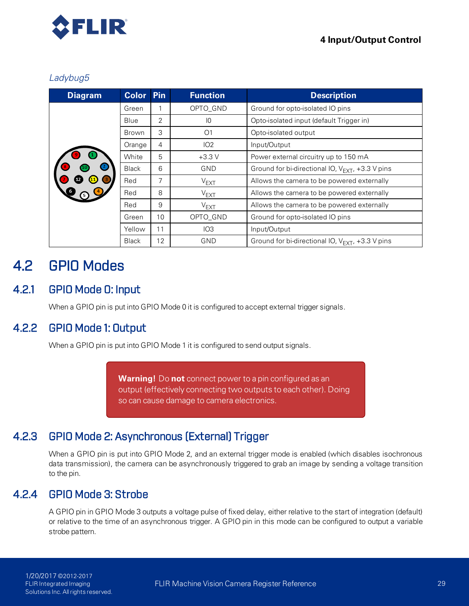

#### *Ladybug5*

| <b>Diagram</b> | <b>Color</b> | <b>Pin</b>     | <b>Function</b> | <b>Description</b>                                    |
|----------------|--------------|----------------|-----------------|-------------------------------------------------------|
|                | Green        |                | OPTO_GND        | Ground for opto-isolated IO pins                      |
|                | Blue         | 2              | 10              | Opto-isolated input (default Trigger in)              |
|                | Brown        | 3              | O <sub>1</sub>  | Opto-isolated output                                  |
|                | Orange       | $\overline{4}$ | IO2             | Input/Output                                          |
|                | White        | 5              | $+3.3V$         | Power external circuitry up to 150 mA                 |
|                | <b>Black</b> | 6              | <b>GND</b>      | Ground for bi-directional IO, $V_{FXT}$ , +3.3 V pins |
|                | Red          | 7              | $V_{EXT}$       | Allows the camera to be powered externally            |
|                | Red          | 8              | $V_{EXT}$       | Allows the camera to be powered externally            |
|                | Red          | 9              | $V_{EXT}$       | Allows the camera to be powered externally            |
|                | Green        | 10             | OPTO_GND        | Ground for opto-isolated IO pins                      |
|                | Yellow       | 11             | IO3             | Input/Output                                          |
|                | <b>Black</b> | 12             | <b>GND</b>      | Ground for bi-directional IO, $V_{FXT}$ , +3.3 V pins |

## 4.2 GPIO Modes

### 4.2.1 GPIO Mode 0: Input

When a GPIO pin is put into GPIO Mode 0 it is configured to accept external trigger signals.

### 4.2.2 GPIO Mode 1: Output

When a GPIO pin is put into GPIO Mode 1 it is configured to send output signals.

**Warning!** Do **not** connect power to a pin configured as an output (effectively connecting two outputs to each other). Doing so can cause damage to camera electronics.

### 4.2.3 GPIO Mode 2: Asynchronous (External) Trigger

When a GPIO pin is put into GPIO Mode 2, and an external trigger mode is enabled (which disables isochronous data transmission), the camera can be asynchronously triggered to grab an image by sending a voltage transition to the pin.

### 4.2.4 GPIO Mode 3: Strobe

A GPIO pin in GPIO Mode 3 outputs a voltage pulse of fixed delay, either relative to the start of integration (default) or relative to the time of an asynchronous trigger. A GPIO pin in this mode can be configured to output a variable strobe pattern.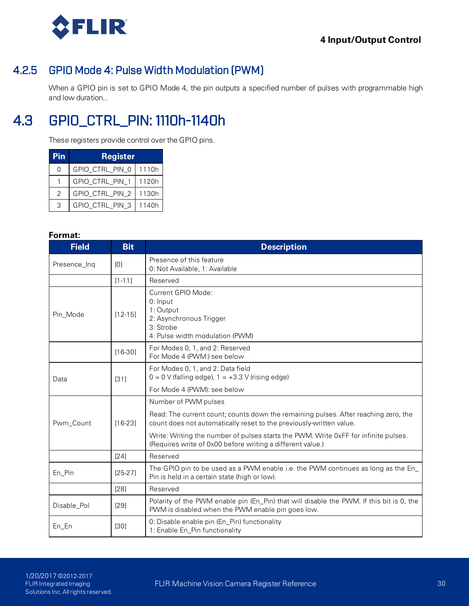

### 4.2.5 GPIO Mode 4: Pulse Width Modulation (PWM)

When a GPIO pin is set to GPIO Mode 4, the pin outputs a specified number of pulses with programmable high and low duration..

## 4.3 GPIO\_CTRL\_PIN: 1110h-1140h

These registers provide control over the GPIO pins.

| Pin | <b>Register</b> |       |
|-----|-----------------|-------|
| O   | GPIO_CTRL_PIN_0 | 1110h |
|     | GPIO_CTRL_PIN_1 | 1120h |
| 2   | GPIO_CTRL_PIN_2 | 1130h |
|     | GPIO_CTRL_PIN_3 | 1140h |

| <b>Field</b> | <b>Bit</b>  | <b>Description</b>                                                                                                                                         |
|--------------|-------------|------------------------------------------------------------------------------------------------------------------------------------------------------------|
| Presence_Inq | [0]         | Presence of this feature<br>0. Not Available, 1: Available                                                                                                 |
|              | $[1 - 11]$  | Reserved                                                                                                                                                   |
| Pin_Mode     | $[12 - 15]$ | Current GPIO Mode:<br>0: Input<br>1: Output<br>2: Asynchronous Trigger<br>3: Strobe<br>4: Pulse width modulation (PWM)                                     |
|              | $[16-30]$   | For Modes 0, 1, and 2: Reserved<br>For Mode 4 (PWM.) see below                                                                                             |
| Data         | $[31]$      | For Modes 0, 1, and 2: Data field<br>$0 = 0$ V (falling edge), $1 = +3.3$ V (rising edge)                                                                  |
|              |             | For Mode 4 (PWM); see below                                                                                                                                |
|              |             | Number of PWM pulses                                                                                                                                       |
| Pwm_Count    | $[16-23]$   | Read: The current count; counts down the remaining pulses. After reaching zero, the<br>count does not automatically reset to the previously-written value. |
|              |             | Write: Writing the number of pulses starts the PWM. Write 0xFF for infinite pulses.<br>(Requires write of 0x00 before writing a different value.)          |
|              | [24]        | Reserved                                                                                                                                                   |
| En_Pin       | $[25-27]$   | The GPIO pin to be used as a PWM enable i.e. the PWM continues as long as the En_<br>Pin is held in a certain state (high or low).                         |
|              | $[28]$      | Reserved                                                                                                                                                   |
| Disable_Pol  | $[29]$      | Polarity of the PWM enable pin (En_Pin) that will disable the PWM. If this bit is 0, the<br>PWM is disabled when the PWM enable pin goes low.              |
| En_En        | [30]        | 0: Disable enable pin (En_Pin) functionality<br>1: Enable En_Pin functionality                                                                             |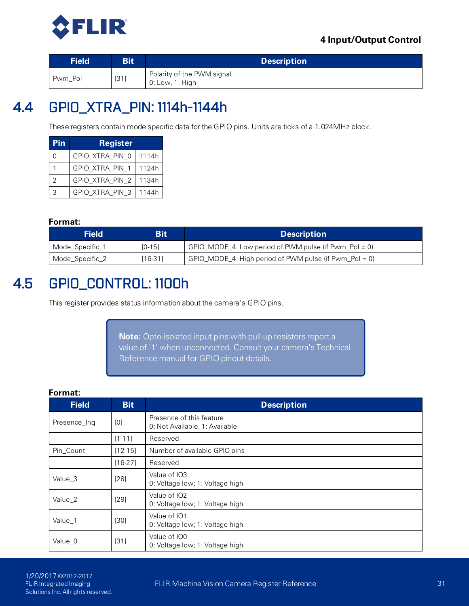

| <b>Field</b> | Bit    | <b>Description</b>                            |
|--------------|--------|-----------------------------------------------|
| Pwm Pol      | $[31]$ | Polarity of the PWM signal<br>0: Low, 1: High |

## 4.4 GPIO\_XTRA\_PIN: 1114h-1144h

These registers contain mode specific data for the GPIO pins. Units are ticks of a 1.024MHz clock.

| Pin | <b>Register</b> |       |
|-----|-----------------|-------|
| 0   | GPIO_XTRA_PIN_0 | 1114h |
|     | GPIO_XTRA_PIN_1 | 1124h |
| 2   | GPIO_XTRA_PIN_2 | 1134h |
| 3   | GPIO_XTRA_PIN_3 | 1144h |

#### **Format:**

| Field           | Bit      | <b>Description</b>                                        |
|-----------------|----------|-----------------------------------------------------------|
| Mode_Specific_1 | $[0-15]$ | $GPIO_MODE_4$ : Low period of PWM pulse (if Pwm_Pol = 0)  |
| Mode_Specific_2 | [16-31]  | $GPIO_MODE_4$ : High period of PWM pulse (if Pwm_Pol = 0) |

## 4.5 GPIO\_CONTROL: 1100h

This register provides status information about the camera's GPIO pins.

**Note:** Opto-isolated input pins with pull-up resistors report a value of '1' when unconnected. Consult your camera's Technical Reference manual for GPIO pinout details.

| Format:      |            |                                                            |
|--------------|------------|------------------------------------------------------------|
| <b>Field</b> | <b>Bit</b> | <b>Description</b>                                         |
| Presence_Ing | [0]        | Presence of this feature<br>0. Not Available, 1: Available |
|              | $[1 - 11]$ | Reserved                                                   |
| Pin_Count    | $[12-15]$  | Number of available GPIO pins                              |
|              | $[16-27]$  | Reserved                                                   |
| Value 3      | $[28]$     | Value of IO3<br>0. Voltage low; 1: Voltage high            |
| Value 2      | $[29]$     | Value of IO2<br>0. Voltage low; 1: Voltage high            |
| Value 1      | [30]       | Value of IO1<br>0. Voltage low; 1: Voltage high            |
| Value_0      | [31]       | Value of IO0<br>0. Voltage low; 1: Voltage high            |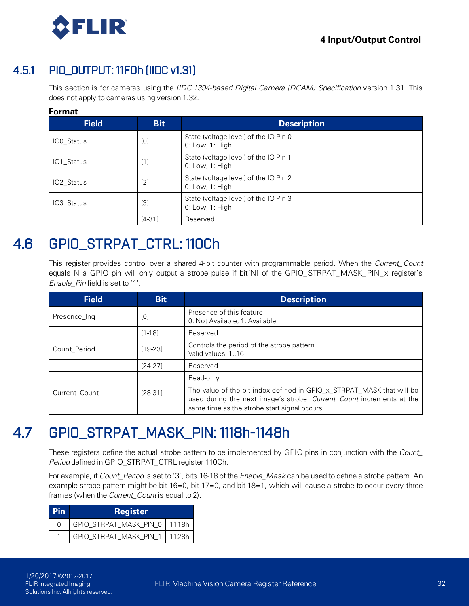

### 4.5.1 PIO\_OUTPUT: 11F0h (IIDC v1.31)

This section is for cameras using the *IIDC 1394-based Digital Camera (DCAM) Specification* version 1.31. This does not apply to cameras using version 1.32.

#### **Format**

| <b>Field</b>           | <b>Bit</b> | <b>Description</b>                                       |
|------------------------|------------|----------------------------------------------------------|
| <b>IO0_Status</b>      | [0]        | State (voltage level) of the IO Pin 0<br>0: Low, 1: High |
| IO1_Status             | $[1]$      | State (voltage level) of the IO Pin 1<br>0: Low, 1: High |
| IO <sub>2</sub> Status | [2]        | State (voltage level) of the IO Pin 2<br>0. Low, 1. High |
| IO <sub>3</sub> Status | $[3]$      | State (voltage level) of the IO Pin 3<br>0. Low, 1. High |
|                        | $[4-31]$   | Reserved                                                 |

## 4.6 GPIO\_STRPAT\_CTRL: 110Ch

This register provides control over a shared 4-bit counter with programmable period. When the *Current\_Count* equals N a GPIO pin will only output a strobe pulse if bit[N] of the GPIO\_STRPAT\_MASK\_PIN\_x register's *Enable\_Pin* field is set to '1'.

| <b>Field</b>  | <b>Bit</b> | <b>Description</b>                                                                                                                                                                            |  |
|---------------|------------|-----------------------------------------------------------------------------------------------------------------------------------------------------------------------------------------------|--|
| Presence Ing  | [0]        | Presence of this feature<br>0: Not Available, 1: Available                                                                                                                                    |  |
|               | $[1 - 18]$ | Reserved                                                                                                                                                                                      |  |
| Count_Period  | [19-23]    | Controls the period of the strobe pattern<br>Valid values: 116                                                                                                                                |  |
|               | $[24-27]$  | Reserved                                                                                                                                                                                      |  |
|               |            | Read-only                                                                                                                                                                                     |  |
| Current Count | $[28-31]$  | The value of the bit index defined in GPIO_x_STRPAT_MASK that will be<br>used during the next image's strobe. Current_Count increments at the<br>same time as the strobe start signal occurs. |  |

## 4.7 GPIO\_STRPAT\_MASK\_PIN: 1118h-1148h

These registers define the actual strobe pattern to be implemented by GPIO pins in conjunction with the *Count\_ Period* defined in GPIO\_STRPAT\_CTRL register 110Ch.

For example, if *Count\_Period* is set to '3', bits 16-18 of the *Enable\_Mask* can be used to define a strobe pattern. An example strobe pattern might be bit 16=0, bit 17=0, and bit 18=1, which will cause a strobe to occur every three frames (when the *Current\_Count* is equal to 2).

| l Pin        | <b>Register</b>              |  |
|--------------|------------------------------|--|
| <sup>0</sup> | GPIO_STRPAT_MASK_PIN_0 1118h |  |
|              | GPIO_STRPAT_MASK_PIN_1 1128h |  |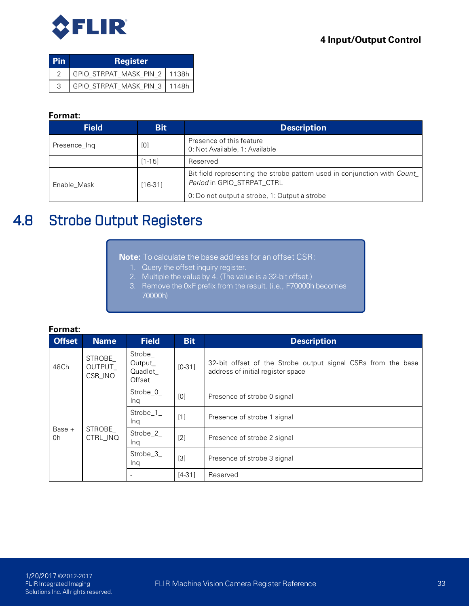

| l Pin | <b>Register</b>                |  |
|-------|--------------------------------|--|
|       | GPIO_STRPAT_MASK_PIN_2   1138h |  |
| 3     | GPIO_STRPAT_MASK_PIN_3   1148h |  |

#### **Format:**

| <b>Field</b> | <b>Bit</b> | <b>Description</b>                                                                                      |
|--------------|------------|---------------------------------------------------------------------------------------------------------|
| Presence_Ing | [0]        | Presence of this feature<br>0: Not Available, 1: Available                                              |
|              | $[1 - 15]$ | Reserved                                                                                                |
| Enable Mask  | $[16-31]$  | Bit field representing the strobe pattern used in conjunction with Count_<br>Period in GPIO_STRPAT_CTRL |
|              |            | 0: Do not output a strobe, 1: Output a strobe                                                           |

## 4.8 Strobe Output Registers

**Note:** To calculate the base address for an offset CSR:

- 1. Query the offset inquiry register.
- 2. Multiple the value by 4. (The value is a 32-bit offset.)
- 3. Remove the 0xF prefix from the result. (i.e., F70000h becomes 70000h)

| Format:       |                              |                                          |            |                                                                                                   |
|---------------|------------------------------|------------------------------------------|------------|---------------------------------------------------------------------------------------------------|
| <b>Offset</b> | <b>Name</b>                  | <b>Field</b>                             | <b>Bit</b> | <b>Description</b>                                                                                |
| 48Ch          | STROBE<br>OUTPUT_<br>CSR_INQ | Strobe_<br>Output_<br>Quadlet_<br>Offset | $[0-31]$   | 32-bit offset of the Strobe output signal CSRs from the base<br>address of initial register space |
| Base +<br>0h  |                              | Strobe_0_<br>Ing                         | [0]        | Presence of strobe 0 signal                                                                       |
|               |                              | Strobe_1_<br>Ing                         | $[1]$      | Presence of strobe 1 signal                                                                       |
|               | STROBE_<br>CTRL_INQ          | Strobe_2_<br>Ing                         | $[2]$      | Presence of strobe 2 signal                                                                       |
|               |                              | Strobe_3_<br>Ing                         | $[3]$      | Presence of strobe 3 signal                                                                       |
|               |                              | $\overline{\phantom{0}}$                 | $[4-31]$   | Reserved                                                                                          |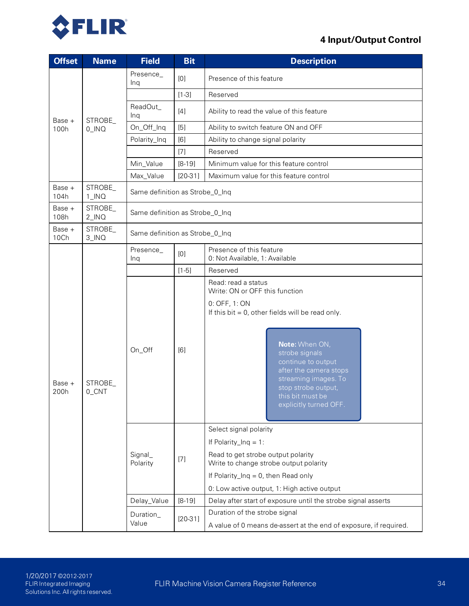

| <b>Offset</b>  | <b>Name</b>         | <b>Field</b>        | <b>Bit</b>                      | <b>Description</b>                                                                                                                                                            |  |  |  |
|----------------|---------------------|---------------------|---------------------------------|-------------------------------------------------------------------------------------------------------------------------------------------------------------------------------|--|--|--|
|                |                     | Presence_<br>Ing    | [0]                             | Presence of this feature                                                                                                                                                      |  |  |  |
|                |                     |                     | $[1-3]$                         | Reserved                                                                                                                                                                      |  |  |  |
| Base +         | STROBE              | ReadOut_<br>Ing     | $[4]$                           | Ability to read the value of this feature                                                                                                                                     |  |  |  |
| 100h           | $0$ _INQ            | On_Off_Inq          | [5]                             | Ability to switch feature ON and OFF                                                                                                                                          |  |  |  |
|                |                     | Polarity_Inq        | [6]                             | Ability to change signal polarity                                                                                                                                             |  |  |  |
|                |                     |                     | $[7]$                           | Reserved                                                                                                                                                                      |  |  |  |
|                |                     | Min_Value           | $[8-19]$                        | Minimum value for this feature control                                                                                                                                        |  |  |  |
|                |                     | Max_Value           | $[20-31]$                       | Maximum value for this feature control                                                                                                                                        |  |  |  |
| Base +<br>104h | STROBE_<br>$1$ _INQ |                     | Same definition as Strobe_0_Inq |                                                                                                                                                                               |  |  |  |
| Base +<br>108h | STROBE_<br>$2$ _INQ |                     | Same definition as Strobe_0_Inq |                                                                                                                                                                               |  |  |  |
| Base +<br>10Ch | STROBE_<br>3_INQ    |                     | Same definition as Strobe_0_Inq |                                                                                                                                                                               |  |  |  |
|                |                     | Presence_<br>Ing    | [0]                             | Presence of this feature<br>0. Not Available, 1: Available                                                                                                                    |  |  |  |
|                | STROBE_<br>0_CNT    |                     | $[1-5]$                         | Reserved                                                                                                                                                                      |  |  |  |
|                |                     | On_Off              | [6]                             | Read: read a status<br>Write: ON or OFF this function<br>0: OFF, 1: ON                                                                                                        |  |  |  |
| Base +<br>200h |                     |                     |                                 | If this bit $= 0$ , other fields will be read only.                                                                                                                           |  |  |  |
|                |                     |                     |                                 | Note: When ON,<br>strobe signals<br>continue to output<br>after the camera stops<br>streaming images. To<br>stop strobe output,<br>this bit must be<br>explicitly turned OFF. |  |  |  |
|                |                     |                     |                                 | Select signal polarity                                                                                                                                                        |  |  |  |
|                |                     |                     |                                 | If Polarity_Inq = 1:                                                                                                                                                          |  |  |  |
|                |                     | Signal_<br>Polarity | $[7]$                           | Read to get strobe output polarity<br>Write to change strobe output polarity                                                                                                  |  |  |  |
|                |                     |                     |                                 | If Polarity_Inq = 0, then Read only                                                                                                                                           |  |  |  |
|                |                     |                     |                                 | 0: Low active output, 1: High active output                                                                                                                                   |  |  |  |
|                |                     | Delay_Value         | $[8-19]$                        | Delay after start of exposure until the strobe signal asserts                                                                                                                 |  |  |  |
|                |                     | Duration_           | $[20-31]$                       | Duration of the strobe signal                                                                                                                                                 |  |  |  |
|                |                     | Value               |                                 | A value of 0 means de-assert at the end of exposure, if required.                                                                                                             |  |  |  |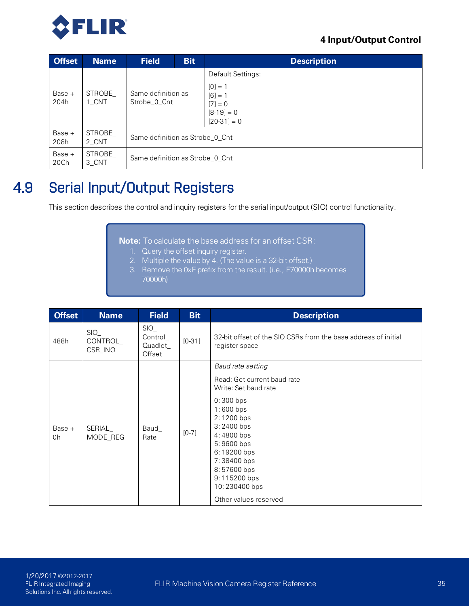

| <b>Offset</b>  | <b>Name</b>     | <b>Field</b>                       | <b>Bit</b> | <b>Description</b>                                                   |
|----------------|-----------------|------------------------------------|------------|----------------------------------------------------------------------|
|                |                 |                                    |            | Default Settings:                                                    |
| Base +<br>204h | STROBE<br>1 CNT | Same definition as<br>Strobe_0_Cnt |            | $[0] = 1$<br>$[6] = 1$<br>$[7] = 0$<br>$[8-19] = 0$<br>$[20-31] = 0$ |
| Base +<br>208h | STROBE<br>2 CNT | Same definition as Strobe 0 Cnt    |            |                                                                      |
| Base +<br>20Ch | STROBE<br>3 CNT | Same definition as Strobe 0 Cnt    |            |                                                                      |

## 4.9 Serial Input/Output Registers

This section describes the control and inquiry registers for the serial input/output (SIO) control functionality.

**Note:** To calculate the base address for an offset CSR:

- 1. Query the offset inquiry register.
- 2. Multiple the value by 4. (The value is a 32-bit offset.)
- 3. Remove the 0xF prefix from the result. (i.e., F70000h becomes 70000h)

| <b>Offset</b>  | <b>Name</b>                | <b>Field</b>                         | <b>Bit</b> | <b>Description</b>                                                                                                                                                                                                                                                |
|----------------|----------------------------|--------------------------------------|------------|-------------------------------------------------------------------------------------------------------------------------------------------------------------------------------------------------------------------------------------------------------------------|
| 488h           | SIO<br>CONTROL_<br>CSR_INQ | SIO<br>Control_<br>Quadlet<br>Offset | $[0-31]$   | 32-bit offset of the SIO CSRs from the base address of initial<br>register space                                                                                                                                                                                  |
| Base $+$<br>0h | SERIAL_<br>MODE_REG        | Baud<br>Rate                         | $[0-7]$    | Baud rate setting<br>Read: Get current baud rate<br>Write: Set baud rate<br>0:300 bps<br>1:600 bps<br>2:1200 bps<br>3:2400 bps<br>4:4800 bps<br>5:9600 bps<br>6:19200 bps<br>7:38400 bps<br>8:57600 bps<br>9:115200 bps<br>10:230400 bps<br>Other values reserved |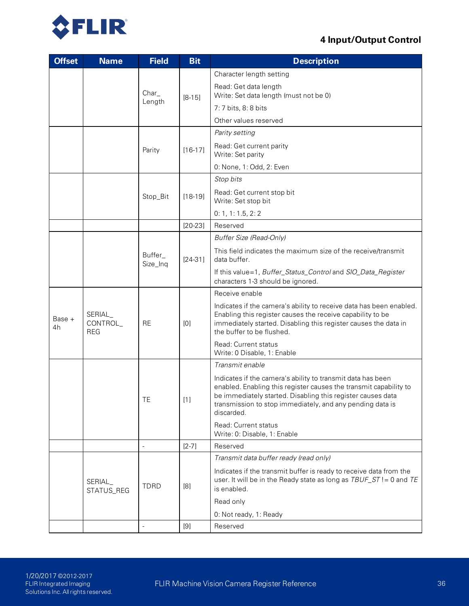

| <b>Offset</b> | <b>Name</b>                          | <b>Field</b>        | <b>Bit</b>                                                                                                                                              | <b>Description</b>                                                                                                                                                                                                                                                         |
|---------------|--------------------------------------|---------------------|---------------------------------------------------------------------------------------------------------------------------------------------------------|----------------------------------------------------------------------------------------------------------------------------------------------------------------------------------------------------------------------------------------------------------------------------|
|               |                                      |                     | $[8-15]$                                                                                                                                                | Character length setting                                                                                                                                                                                                                                                   |
|               |                                      | $Char_{-}$          |                                                                                                                                                         | Read: Get data length<br>Write: Set data length (must not be 0)                                                                                                                                                                                                            |
|               |                                      | Length              |                                                                                                                                                         | 7: 7 bits, 8: 8 bits                                                                                                                                                                                                                                                       |
|               |                                      |                     |                                                                                                                                                         | Other values reserved                                                                                                                                                                                                                                                      |
|               |                                      |                     |                                                                                                                                                         | Parity setting                                                                                                                                                                                                                                                             |
|               |                                      | Parity              | $[16-17]$                                                                                                                                               | Read: Get current parity<br>Write: Set parity                                                                                                                                                                                                                              |
|               |                                      |                     |                                                                                                                                                         | 0: None, 1: Odd, 2: Even                                                                                                                                                                                                                                                   |
|               |                                      |                     |                                                                                                                                                         | Stop bits                                                                                                                                                                                                                                                                  |
|               |                                      | Stop_Bit            | $[18-19]$                                                                                                                                               | Read: Get current stop bit<br>Write: Set stop bit                                                                                                                                                                                                                          |
|               |                                      |                     |                                                                                                                                                         | 0: 1, 1: 1.5, 2: 2                                                                                                                                                                                                                                                         |
|               |                                      |                     | $[20-23]$                                                                                                                                               | Reserved                                                                                                                                                                                                                                                                   |
|               |                                      |                     |                                                                                                                                                         | Buffer Size (Read-Only)                                                                                                                                                                                                                                                    |
|               |                                      | Buffer_<br>Size_Inq | $[24-31]$                                                                                                                                               | This field indicates the maximum size of the receive/transmit<br>data buffer.                                                                                                                                                                                              |
|               |                                      |                     |                                                                                                                                                         | If this value=1, Buffer_Status_Control and SIO_Data_Register<br>characters 1-3 should be ignored.                                                                                                                                                                          |
|               |                                      |                     |                                                                                                                                                         | Receive enable                                                                                                                                                                                                                                                             |
| Base +<br>4h  | SERIAL_<br>CONTROL_<br><b>REG</b>    | <b>RE</b>           | [0]                                                                                                                                                     | Indicates if the camera's ability to receive data has been enabled.<br>Enabling this register causes the receive capability to be<br>immediately started. Disabling this register causes the data in<br>the buffer to be flushed.                                          |
|               |                                      |                     |                                                                                                                                                         | Read: Current status<br>Write: 0 Disable, 1: Enable                                                                                                                                                                                                                        |
|               |                                      |                     |                                                                                                                                                         | Transmit enable                                                                                                                                                                                                                                                            |
|               |                                      | IE.                 | $\lfloor 1 \rfloor$                                                                                                                                     | Indicates if the camera's ability to transmit data has been<br>enabled. Enabling this register causes the transmit capability to<br>be immediately started. Disabling this register causes data<br>transmission to stop immediately, and any pending data is<br>discarded. |
|               |                                      |                     |                                                                                                                                                         | Read: Current status<br>Write: 0: Disable, 1: Enable                                                                                                                                                                                                                       |
|               |                                      | $\frac{1}{2}$       | $[2-7]$                                                                                                                                                 | Reserved                                                                                                                                                                                                                                                                   |
|               |                                      |                     |                                                                                                                                                         | Transmit data buffer ready (read only)                                                                                                                                                                                                                                     |
|               | SERIAL_<br><b>TDRD</b><br>STATUS_REG | [8]                 | Indicates if the transmit buffer is ready to receive data from the<br>user. It will be in the Ready state as long as TBUF_ST != 0 and TE<br>is enabled. |                                                                                                                                                                                                                                                                            |
|               |                                      |                     |                                                                                                                                                         | Read only                                                                                                                                                                                                                                                                  |
|               |                                      |                     |                                                                                                                                                         | 0: Not ready, 1: Ready                                                                                                                                                                                                                                                     |
|               |                                      |                     | [9]                                                                                                                                                     | Reserved                                                                                                                                                                                                                                                                   |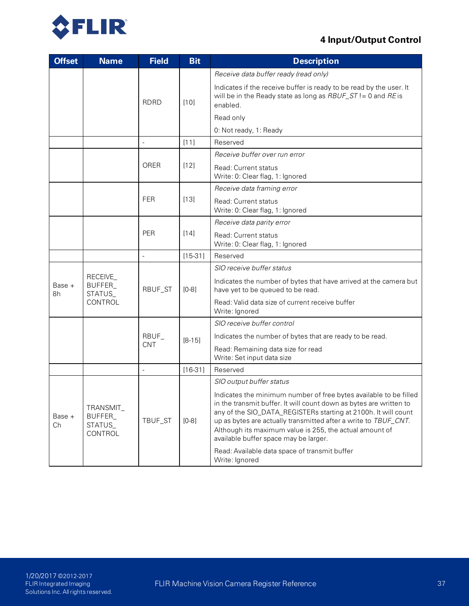

| <b>Offset</b> | <b>Name</b>                               | <b>Field</b>             | <b>Bit</b> | <b>Description</b>                                                                                                                                                                                                                                                                                                                                                               |
|---------------|-------------------------------------------|--------------------------|------------|----------------------------------------------------------------------------------------------------------------------------------------------------------------------------------------------------------------------------------------------------------------------------------------------------------------------------------------------------------------------------------|
|               |                                           |                          | $[10]$     | Receive data buffer ready (read only)                                                                                                                                                                                                                                                                                                                                            |
|               |                                           | <b>RDRD</b>              |            | Indicates if the receive buffer is ready to be read by the user. It<br>will be in the Ready state as long as $RBUF\_ST != 0$ and RE is<br>enabled.                                                                                                                                                                                                                               |
|               |                                           |                          |            | Read only                                                                                                                                                                                                                                                                                                                                                                        |
|               |                                           |                          |            | 0: Not ready, 1: Ready                                                                                                                                                                                                                                                                                                                                                           |
|               |                                           | $\blacksquare$           | $[11]$     | Reserved                                                                                                                                                                                                                                                                                                                                                                         |
|               |                                           |                          |            | Receive buffer over run error                                                                                                                                                                                                                                                                                                                                                    |
|               |                                           | ORER                     | $[12]$     | Read: Current status<br>Write: 0. Clear flag, 1: Ignored                                                                                                                                                                                                                                                                                                                         |
|               |                                           |                          |            | Receive data framing error                                                                                                                                                                                                                                                                                                                                                       |
|               |                                           | <b>FER</b>               | $[13]$     | Read: Current status<br>Write: 0: Clear flag, 1: Ignored                                                                                                                                                                                                                                                                                                                         |
|               |                                           |                          |            | Receive data parity error                                                                                                                                                                                                                                                                                                                                                        |
|               |                                           | PER                      | $[14]$     | Read: Current status<br>Write: 0: Clear flag, 1: Ignored                                                                                                                                                                                                                                                                                                                         |
|               |                                           | $\overline{\phantom{a}}$ | $[15-31]$  | Reserved                                                                                                                                                                                                                                                                                                                                                                         |
|               | RECEIVE_<br>BUFFER_<br>STATUS_            | RBUF_ST                  |            | SIO receive buffer status                                                                                                                                                                                                                                                                                                                                                        |
| Base +<br>8h  |                                           |                          | $[0-8]$    | Indicates the number of bytes that have arrived at the camera but<br>have yet to be queued to be read.                                                                                                                                                                                                                                                                           |
|               | CONTROL                                   |                          |            | Read: Valid data size of current receive buffer<br>Write: Ignored                                                                                                                                                                                                                                                                                                                |
|               |                                           |                          |            | SIO receive buffer control                                                                                                                                                                                                                                                                                                                                                       |
|               |                                           | RBUF_                    | $[8-15]$   | Indicates the number of bytes that are ready to be read.                                                                                                                                                                                                                                                                                                                         |
|               |                                           | <b>CNT</b>               |            | Read: Remaining data size for read<br>Write: Set input data size                                                                                                                                                                                                                                                                                                                 |
|               |                                           | $\overline{\phantom{a}}$ | $[16-31]$  | Reserved                                                                                                                                                                                                                                                                                                                                                                         |
|               |                                           |                          |            | SIO output buffer status                                                                                                                                                                                                                                                                                                                                                         |
| Base +<br>Ch  | TRANSMIT_<br>BUFFER_<br>STATUS<br>CONTROL | TBUF_ST                  | $[0-8]$    | Indicates the minimum number of free bytes available to be filled<br>in the transmit buffer. It will count down as bytes are written to<br>any of the SIO_DATA_REGISTERs starting at 2100h. It will count<br>up as bytes are actually transmitted after a write to TBUF_CNT.<br>Although its maximum value is 255, the actual amount of<br>available buffer space may be larger. |
|               |                                           |                          |            | Read: Available data space of transmit buffer<br>Write: Ignored                                                                                                                                                                                                                                                                                                                  |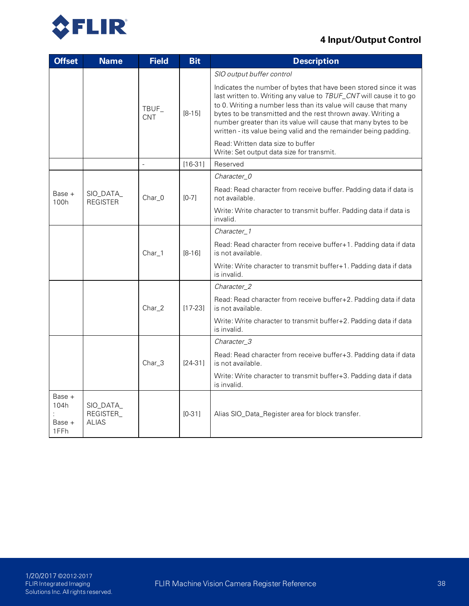



| <b>Offset</b>                    | <b>Name</b>                            | <b>Field</b>        | <b>Bit</b>                                                                     | <b>Description</b>                                                                                                                                                                                                                                                                                                                                                                                             |
|----------------------------------|----------------------------------------|---------------------|--------------------------------------------------------------------------------|----------------------------------------------------------------------------------------------------------------------------------------------------------------------------------------------------------------------------------------------------------------------------------------------------------------------------------------------------------------------------------------------------------------|
|                                  |                                        |                     |                                                                                | SIO output buffer control                                                                                                                                                                                                                                                                                                                                                                                      |
|                                  |                                        | TBUF_<br><b>CNT</b> | $[8 - 15]$                                                                     | Indicates the number of bytes that have been stored since it was<br>last written to. Writing any value to TBUF_CNT will cause it to go<br>to 0. Writing a number less than its value will cause that many<br>bytes to be transmitted and the rest thrown away. Writing a<br>number greater than its value will cause that many bytes to be<br>written - its value being valid and the remainder being padding. |
|                                  |                                        |                     |                                                                                | Read: Written data size to buffer<br>Write: Set output data size for transmit.                                                                                                                                                                                                                                                                                                                                 |
|                                  |                                        | $\overline{a}$      | $[16-31]$                                                                      | Reserved                                                                                                                                                                                                                                                                                                                                                                                                       |
|                                  |                                        |                     |                                                                                | Character_0                                                                                                                                                                                                                                                                                                                                                                                                    |
| Base +<br>100h                   | SIO_DATA_<br><b>REGISTER</b>           | Char_0              | $[0-7]$                                                                        | Read: Read character from receive buffer. Padding data if data is<br>not available.                                                                                                                                                                                                                                                                                                                            |
|                                  |                                        |                     | Write: Write character to transmit buffer. Padding data if data is<br>invalid. |                                                                                                                                                                                                                                                                                                                                                                                                                |
|                                  |                                        |                     |                                                                                | Character 1                                                                                                                                                                                                                                                                                                                                                                                                    |
|                                  |                                        | $Char_1$            | $[8-16]$                                                                       | Read: Read character from receive buffer+1. Padding data if data<br>is not available.                                                                                                                                                                                                                                                                                                                          |
|                                  |                                        |                     |                                                                                | Write: Write character to transmit buffer+1. Padding data if data<br>is invalid.                                                                                                                                                                                                                                                                                                                               |
|                                  |                                        |                     |                                                                                | Character_2                                                                                                                                                                                                                                                                                                                                                                                                    |
|                                  |                                        | Char_2              | $[17-23]$                                                                      | Read: Read character from receive buffer+2. Padding data if data<br>is not available.                                                                                                                                                                                                                                                                                                                          |
|                                  |                                        |                     |                                                                                | Write: Write character to transmit buffer+2. Padding data if data<br>is invalid.                                                                                                                                                                                                                                                                                                                               |
|                                  |                                        |                     |                                                                                | Character_3                                                                                                                                                                                                                                                                                                                                                                                                    |
|                                  |                                        | Char_3              | $[24-31]$                                                                      | Read: Read character from receive buffer+3. Padding data if data<br>is not available.                                                                                                                                                                                                                                                                                                                          |
|                                  |                                        |                     |                                                                                | Write: Write character to transmit buffer+3. Padding data if data<br>is invalid.                                                                                                                                                                                                                                                                                                                               |
| Base +<br>104h<br>Base +<br>1FFh | SIO_DATA_<br>REGISTER_<br><b>ALIAS</b> |                     | $[0-31]$                                                                       | Alias SIO_Data_Register area for block transfer.                                                                                                                                                                                                                                                                                                                                                               |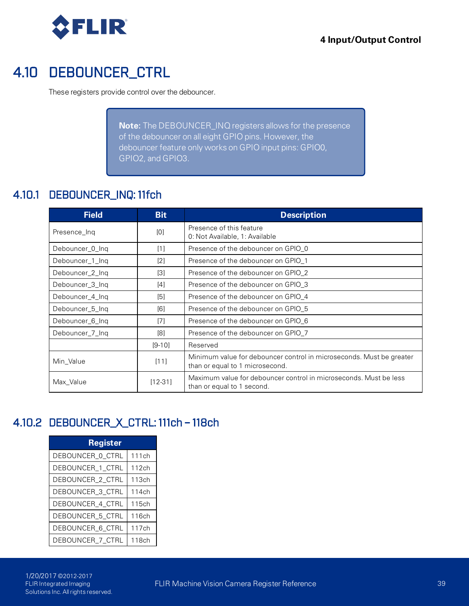

## 4.10 DEBOUNCER\_CTRL

These registers provide control over the debouncer.

**Note:** The DEBOUNCER\_INQ registers allows for the presence of the debouncer on all eight GPIO pins. However, the debouncer feature only works on GPIO input pins: GPIO0, GPIO2, and GPIO3.

### 4.10.1 DEBOUNCER\_INQ: 11fch

| <b>Field</b>    | <b>Bit</b>        | <b>Description</b>                                                                                      |  |
|-----------------|-------------------|---------------------------------------------------------------------------------------------------------|--|
| Presence_Ing    | [0]               | Presence of this feature<br>0: Not Available, 1: Available                                              |  |
| Debouncer 0_Ing | [1]               | Presence of the debouncer on GPIO_0                                                                     |  |
| Debouncer_1_Ing | [2]               | Presence of the debouncer on GPIO 1                                                                     |  |
| Debouncer_2_Ing | $\lceil 3 \rceil$ | Presence of the debouncer on GPIO_2                                                                     |  |
| Debouncer_3_Ing | [4]               | Presence of the debouncer on GPIO 3                                                                     |  |
| Debouncer_4_Ing | [5]               | Presence of the debouncer on GPIO_4                                                                     |  |
| Debouncer_5_Ing | [6]               | Presence of the debouncer on GPIO 5                                                                     |  |
| Debouncer_6_Inq | [7]               | Presence of the debouncer on GPIO 6                                                                     |  |
| Debouncer_7_Ing | [8]               | Presence of the debouncer on GPIO_7                                                                     |  |
|                 | $[9-10]$          | Reserved                                                                                                |  |
| Min Value       | [11]              | Minimum value for debouncer control in microseconds. Must be greater<br>than or equal to 1 microsecond. |  |
| Max_Value       | $[12-31]$         | Maximum value for debouncer control in microseconds. Must be less<br>than or equal to 1 second.         |  |

### 4.10.2 DEBOUNCER\_X\_CTRL: 111ch – 118ch

| <b>Register</b>  |       |
|------------------|-------|
| DEBOUNCER_0_CTRL | 111ch |
| DEBOUNCER 1 CTRL | 112ch |
| DEBOUNCER_2_CTRL | 113ch |
| DEBOUNCER_3_CTRL | 114ch |
| DEBOUNCER 4 CTRL | 115ch |
| DEBOUNCER 5 CTRL | 116ch |
| DEBOUNCER_6_CTRL | 117ch |
| DEBOUNCER_7_CTRL | 118ch |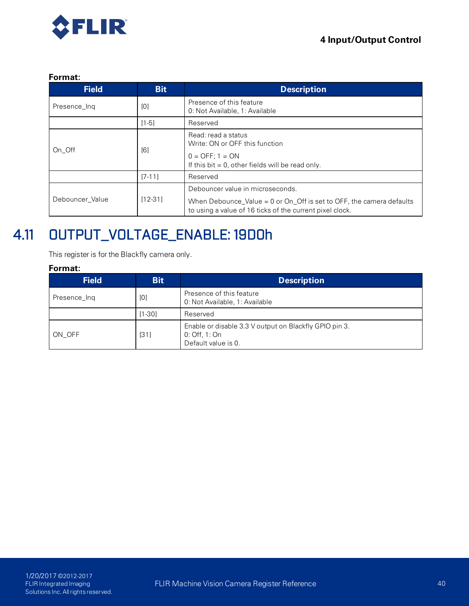

#### **Format:**

| <b>Field</b>    | <b>Bit</b> | <b>Description</b>                                                                                                                 |  |  |
|-----------------|------------|------------------------------------------------------------------------------------------------------------------------------------|--|--|
| Presence_Inq    | [0]        | Presence of this feature<br>0. Not Available, 1: Available                                                                         |  |  |
|                 | $[1-5]$    | Reserved                                                                                                                           |  |  |
| On Off          | [6]        | Read: read a status<br>Write: ON or OFF this function                                                                              |  |  |
|                 |            | $0 =$ OFF; $1 =$ ON<br>If this bit $= 0$ , other fields will be read only.                                                         |  |  |
|                 | $[7-11]$   | Reserved                                                                                                                           |  |  |
|                 | $[12-31]$  | Debouncer value in microseconds.                                                                                                   |  |  |
| Debouncer Value |            | When Debounce_Value = $0$ or On_Off is set to OFF, the camera defaults<br>to using a value of 16 ticks of the current pixel clock. |  |  |

## 4.11 OUTPUT\_VOLTAGE\_ENABLE: 19D0h

This register is for the Blackfly camera only.

| <b>Field</b> | <b>Bit</b> | <b>Description</b>                                                                           |  |  |
|--------------|------------|----------------------------------------------------------------------------------------------|--|--|
| Presence_Ing | [0]        | Presence of this feature<br>0: Not Available, 1: Available                                   |  |  |
|              | $[1 - 30]$ | Reserved                                                                                     |  |  |
| ON OFF       | $[31]$     | Enable or disable 3.3 V output on Blackfly GPIO pin 3.<br>0 Off, 1 On<br>Default value is 0. |  |  |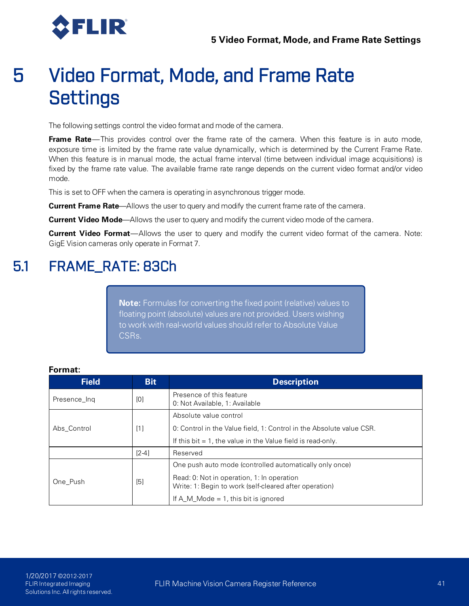

The following settings control the video format and mode of the camera.

**Frame Rate**—This provides control over the frame rate of the camera. When this feature is in auto mode, exposure time is limited by the frame rate value dynamically, which is determined by the Current Frame Rate. When this feature is in manual mode, the actual frame interval (time between individual image acquisitions) is fixed by the frame rate value. The available frame rate range depends on the current video format and/or video mode.

This is set to OFF when the camera is operating in asynchronous trigger mode.

**Current Frame Rate**—Allows the user to query and modify the current frame rate of the camera.

**Current Video Mode**—Allows the user to query and modify the current video mode of the camera.

**Current Video Format**—Allows the user to query and modify the current video format of the camera. Note: GigE Vision cameras only operate in Format 7.

## 5.1 FRAME\_RATE: 83Ch

**Note:** Formulas for converting the fixed point (relative) values to floating point (absolute) values are not provided. Users wishing to work with real-world values should refer to Absolute Value CSRs.

| <b>Field</b> | <b>Bit</b> | <b>Description</b>                                                                                   |  |
|--------------|------------|------------------------------------------------------------------------------------------------------|--|
| Presence Ing | [0]        | Presence of this feature<br>0: Not Available, 1: Available                                           |  |
|              |            | Absolute value control                                                                               |  |
| Abs Control  | [1]        | 0. Control in the Value field, 1: Control in the Absolute value CSR.                                 |  |
|              |            | If this bit $= 1$ , the value in the Value field is read-only.                                       |  |
|              | $[2-4]$    | Reserved                                                                                             |  |
|              |            | One push auto mode (controlled automatically only once)                                              |  |
| One_Push     | [5]        | Read: 0: Not in operation, 1: In operation<br>Write: 1: Begin to work (self-cleared after operation) |  |
|              |            | If A M Mode $= 1$ , this bit is ignored                                                              |  |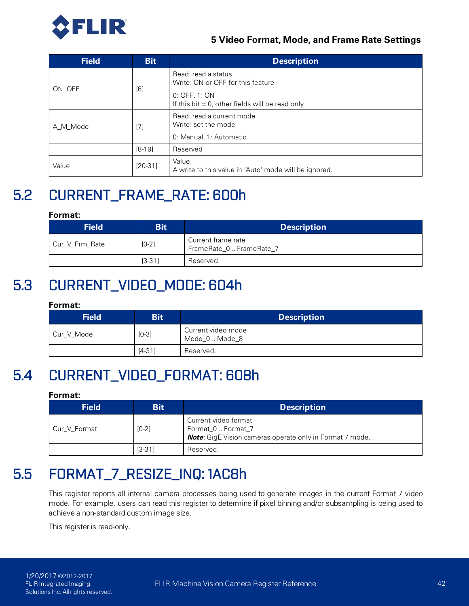

| <b>Field</b> | <b>Bit</b> | <b>Description</b>                                                                                                              |  |  |  |
|--------------|------------|---------------------------------------------------------------------------------------------------------------------------------|--|--|--|
| ON OFF       | [6]        | Read: read a status<br>Write: ON or OFF for this feature<br>0. OFF, 1. ON<br>If this bit $= 0$ , other fields will be read only |  |  |  |
| A_M_Mode     | [7]        | Read: read a current mode<br>Write: set the mode<br>0: Manual, 1: Automatic                                                     |  |  |  |
|              | $[8-19]$   | Reserved                                                                                                                        |  |  |  |
| Value        | $[20-31]$  | Value.<br>A write to this value in 'Auto' mode will be ignored.                                                                 |  |  |  |

## 5.2 CURRENT\_FRAME\_RATE: 600h

#### **Format:**

| <b>Field</b>              | <b>Bit</b> | <b>Description</b>                             |  |  |  |  |
|---------------------------|------------|------------------------------------------------|--|--|--|--|
| $[0-2]$<br>Cur V Frm Rate |            | Current frame rate<br>FrameRate_0  FrameRate_7 |  |  |  |  |
|                           | $[3-31]$   | Reserved.                                      |  |  |  |  |

## 5.3 CURRENT\_VIDEO\_MODE: 604h

#### **Format:**

| <b>Field</b> | <b>Bit</b> | <b>Description</b>                   |  |  |
|--------------|------------|--------------------------------------|--|--|
| Cur V Mode   | $[0-3]$    | Current video mode<br>Mode_0  Mode_8 |  |  |
|              | $[4-31]$   | Reserved.                            |  |  |

## 5.4 CURRENT\_VIDEO\_FORMAT: 608h

#### **Format:**

| <b>Field</b> | <b>Bit</b> | <b>Description</b>                                                                                            |  |  |
|--------------|------------|---------------------------------------------------------------------------------------------------------------|--|--|
| Cur V Format | $[0-2]$    | Current video format<br>Format_0  Format_7<br><b>Note:</b> GigE Vision cameras operate only in Format 7 mode. |  |  |
|              | $[3-31]$   | Reserved.                                                                                                     |  |  |

## 5.5 FORMAT\_7\_RESIZE\_INQ: 1AC8h

This register reports all internal camera processes being used to generate images in the current Format 7 video mode. For example, users can read this register to determine if pixel binning and/or subsampling is being used to achieve a non-standard custom image size.

This register is read-only.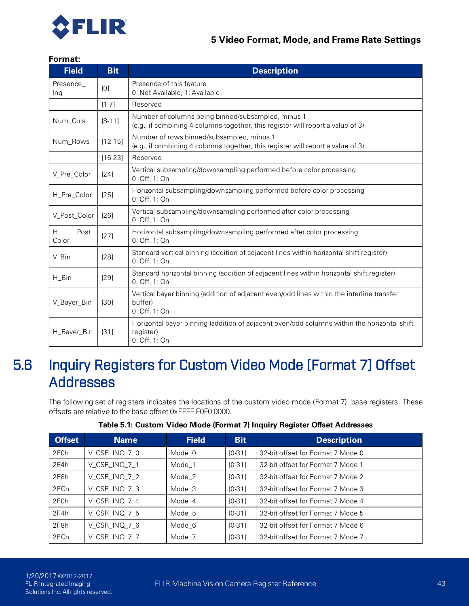

#### **Format:**

| <b>Field</b>             | <b>Bit</b>  | <b>Description</b>                                                                                                                    |
|--------------------------|-------------|---------------------------------------------------------------------------------------------------------------------------------------|
| Presence_<br>Ing         | [0]         | Presence of this feature<br>0: Not Available, 1: Available                                                                            |
|                          | $[1 - 7]$   | Reserved                                                                                                                              |
| Num_Cols                 | $[8-11]$    | Number of columns being binned/subsampled, minus 1<br>(e.g., if combining 4 columns together, this register will report a value of 3) |
| Num Rows                 | $[12 - 15]$ | Number of rows binned/subsampled, minus 1<br>(e.g., if combining 4 columns together, this register will report a value of 3)          |
|                          | $[16-23]$   | Reserved                                                                                                                              |
| V_Pre_Color              | [24]        | Vertical subsampling/downsampling performed before color processing<br>0: Off, 1: On                                                  |
| H_Pre_Color              | $[25]$      | Horizontal subsampling/downsampling performed before color processing<br>0: Off, 1: On                                                |
| V_Post_Color             | $[26]$      | Vertical subsampling/downsampling performed after color processing<br>0: Off, 1: On                                                   |
| $H_{-}$<br>Post<br>Color | $[27]$      | Horizontal subsampling/downsampling performed after color processing<br>0: Off, 1: On                                                 |
| V_Bin                    | [28]        | Standard vertical binning (addition of adjacent lines within horizontal shift register)<br>0: Off, 1: On                              |
| H_Bin                    | [29]        | Standard horizontal binning (addition of adjacent lines within horizontal shift register)<br>0: Off, 1: On                            |
| V Bayer Bin              | [30]        | Vertical bayer binning (addition of adjacent even/odd lines within the interline transfer<br>buffer)<br>0: Off, 1: On                 |
| H_Bayer_Bin              | $[31]$      | Horizontal bayer binning (addition of adjacent even/odd columns within the horizontal shift<br>register)<br>0 Off, 1: On              |

## 5.6 Inquiry Registers for Custom Video Mode (Format 7) Offset Addresses

The following set of registers indicates the locations of the custom video mode (Format 7) base registers. These offsets are relative to the base offset 0xFFFF F0F0 0000.

| <b>Offset</b>     | <b>Name</b>   | <b>Field</b> | <b>Bit</b> | <b>Description</b>                |
|-------------------|---------------|--------------|------------|-----------------------------------|
| 2E0h              | V_CSR_INQ_7_0 | Mode_0       | $[0-31]$   | 32-bit offset for Format 7 Mode 0 |
| 2E4h              | V_CSR_INQ_7_1 | Mode_1       | $[0-31]$   | 32-bit offset for Format 7 Mode 1 |
| 2E8h              | V_CSR_INQ_7_2 | Mode_2       | $[0-31]$   | 32-bit offset for Format 7 Mode 2 |
| 2ECh              | V_CSR_INQ_7_3 | Mode_3       | $IO-311$   | 32-bit offset for Format 7 Mode 3 |
| 2F <sub>0</sub> h | V CSR INQ 7 4 | Mode_4       | $[0-31]$   | 32-bit offset for Format 7 Mode 4 |
| 2F4h              | V_CSR_INQ_7_5 | Mode_5       | $[0-31]$   | 32-bit offset for Format 7 Mode 5 |
| 2F8h              | V_CSR_INQ_7_6 | Mode_6       | $[0-31]$   | 32-bit offset for Format 7 Mode 6 |
| 2FCh              | V_CSR_INQ_7_7 | Mode_7       | $IO-311$   | 32-bit offset for Format 7 Mode 7 |

#### **Table 5.1: Custom Video Mode (Format 7) Inquiry Register Offset Addresses**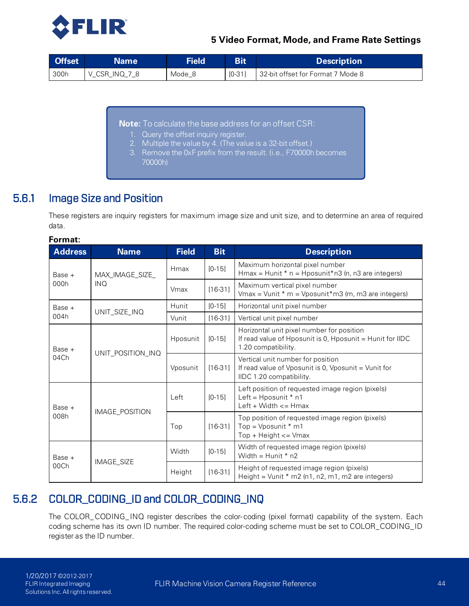

| <b>Offset</b> | <b>Name</b>   | <b>Field</b> | <b>Bit</b> | <b>Description</b>                 |
|---------------|---------------|--------------|------------|------------------------------------|
| 300h          | V CSR INQ 7 8 | Mode 8       | $[0-31]$   | 132-bit offset for Format 7 Mode 8 |

**Note:** To calculate the base address for an offset CSR:

- 1. Query the offset inquiry register.
- 2. Multiple the value by 4. (The value is a 32-bit offset.)
- 3. Remove the 0xF prefix from the result. (i.e., F70000h becomes 70000h)

### 5.6.1 Image Size and Position

**Format:**

<span id="page-53-0"></span>These registers are inquiry registers for maximum image size and unit size, and to determine an area of required data.

| <b>Address</b>                      | <b>Name</b>     | <b>Field</b> | <b>Bit</b> | <b>Description</b>                                                                                                            |
|-------------------------------------|-----------------|--------------|------------|-------------------------------------------------------------------------------------------------------------------------------|
| $Base +$                            | MAX_IMAGE_SIZE_ | Hmax         | $[0 - 15]$ | Maximum horizontal pixel number<br>$Hmax = Hunit * n = Hposunit * n3 (n, n3 are integers)$                                    |
| 000h                                | <b>INQ</b>      | Vmax         | $[16-31]$  | Maximum vertical pixel number<br>Vmax = Vunit * m = Vposunit*m3 (m, m3 are integers)                                          |
| Base +                              | UNIT_SIZE_INQ   | Hunit        | $[0-15]$   | Horizontal unit pixel number                                                                                                  |
| 004h                                |                 | Vunit        | $[16-31]$  | Vertical unit pixel number                                                                                                    |
| Base +<br>UNIT_POSITION_INQ<br>04Ch |                 | Hposunit     | $[0-15]$   | Horizontal unit pixel number for position<br>If read value of Hposunit is 0, Hposunit = Hunit for IIDC<br>1.20 compatibility. |
|                                     |                 | Vposunit     | $[16-31]$  | Vertical unit number for position<br>If read value of Vposunit is 0, Vposunit = Vunit for<br>IIDC 1.20 compatibility.         |
| Base +<br>IMAGE_POSITION<br>008h    |                 | Left         | $[0-15]$   | Left position of requested image region (pixels)<br>Left = $H$ posunit $*$ n1<br>Left + Width $\leq$ Hmax                     |
|                                     |                 | Top          | $[16-31]$  | Top position of requested image region (pixels)<br>Top = $V$ posunit * m1<br>$Top + Height \leq Vmax$                         |
| Base +<br>00Ch                      |                 | Width        | $[0-15]$   | Width of requested image region (pixels)<br>Width = $Hunit * n2$                                                              |
|                                     | IMAGE_SIZE      | Height       | $[16-31]$  | Height of requested image region (pixels)<br>Height = $Vunit * m2 (n1, n2, m1, m2 are integers)$                              |

### 5.6.2 COLOR\_CODING\_ID and COLOR\_CODING\_INQ

<span id="page-53-1"></span>The COLOR\_CODING\_INQ register describes the color- coding (pixel format) capability of the system. Each coding scheme has its own ID number. The required color-coding scheme must be set to COLOR\_CODING\_ID register as the ID number.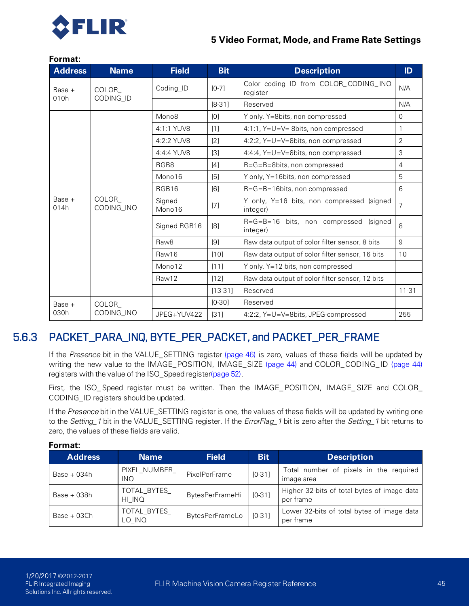

| <b>Address</b> | <b>Name</b>         | <b>Field</b>      | <b>Bit</b> | <b>Description</b>                                                                                                                                                                                                                                                                                                                                                             | ID             |  |
|----------------|---------------------|-------------------|------------|--------------------------------------------------------------------------------------------------------------------------------------------------------------------------------------------------------------------------------------------------------------------------------------------------------------------------------------------------------------------------------|----------------|--|
| Base $+$       | COLOR               | Coding_ID         | $[0-7]$    | Color coding ID from COLOR_CODING_INQ<br>register                                                                                                                                                                                                                                                                                                                              | N/A            |  |
| 010h           | CODING_ID           |                   | $[8-31]$   | Reserved                                                                                                                                                                                                                                                                                                                                                                       | N/A            |  |
|                |                     | Mono <sub>8</sub> | [0]        | Y only. Y=8bits, non compressed                                                                                                                                                                                                                                                                                                                                                | $\mathbf 0$    |  |
|                |                     | 4:1:1 YUV8        | [1]        | 4:1:1, $Y=U=V=8$ bits, non compressed                                                                                                                                                                                                                                                                                                                                          | 1              |  |
|                |                     | 4:2:2 YUV8        | $[2]$      | 4:2:2, Y=U=V=8bits, non compressed                                                                                                                                                                                                                                                                                                                                             | 2              |  |
|                |                     | 4:4:4 YUV8        | $[3]$      | 4:4:4, Y=U=V=8bits, non compressed                                                                                                                                                                                                                                                                                                                                             | 3              |  |
|                |                     | RGB8              | $[4]$      | $R = G = B = 8$ bits, non compressed                                                                                                                                                                                                                                                                                                                                           | $\overline{4}$ |  |
|                |                     | Mono16            | [5]        | Y only, Y=16bits, non compressed                                                                                                                                                                                                                                                                                                                                               | 5              |  |
|                |                     | RGB16             | [6]        | R=G=B=16bits, non compressed                                                                                                                                                                                                                                                                                                                                                   | 6              |  |
| Base +<br>014h | COLOR<br>CODING_INQ | Signed<br>Mono16  | [7]        | Y only, Y=16 bits, non compressed (signed<br>7<br>integer)<br>R=G=B=16 bits, non compressed<br>(signed<br>integer)<br>Raw data output of color filter sensor, 8 bits<br>Raw data output of color filter sensor, 16 bits<br>Y only. Y=12 bits, non compressed<br>Raw data output of color filter sensor, 12 bits<br>Reserved<br>Reserved<br>4:2:2, Y=U=V=8bits, JPEG-compressed |                |  |
|                |                     | Signed RGB16      | [8]        |                                                                                                                                                                                                                                                                                                                                                                                | 8              |  |
|                |                     | Raw <sub>8</sub>  | [9]        |                                                                                                                                                                                                                                                                                                                                                                                | 9              |  |
|                |                     | Raw16             | [10]       |                                                                                                                                                                                                                                                                                                                                                                                | 10             |  |
|                |                     | Mono12            | [11]       |                                                                                                                                                                                                                                                                                                                                                                                |                |  |
|                |                     | Raw12             | [12]       |                                                                                                                                                                                                                                                                                                                                                                                |                |  |
|                |                     |                   | $[13-31]$  |                                                                                                                                                                                                                                                                                                                                                                                | $11 - 31$      |  |
| Base $+$       | COLOR               |                   | $[0-30]$   |                                                                                                                                                                                                                                                                                                                                                                                |                |  |
| 030h           | CODING_INQ          | JPEG+YUV422       | [31]       |                                                                                                                                                                                                                                                                                                                                                                                | 255            |  |

#### **Format:**

### 5.6.3 PACKET\_PARA\_INQ, BYTE\_PER\_PACKET, and PACKET\_PER\_FRAME

<span id="page-54-0"></span>If the *Presence* bit in the VALUE\_SETTING register [\(page 46\)](#page-55-0) is zero, values of these fields will be updated by writing the new value to the IMAGE\_POSITION, IMAGE\_SIZE [\(page 44\)](#page-53-0) and COLOR\_CODING\_ID [\(page 44\)](#page-53-1) registers with the value of the ISO\_Speed registe[r\(page 52\)](#page-61-0).

First, the ISO\_ Speed register must be written. Then the IMAGE\_ POSITION, IMAGE\_ SIZE and COLOR\_ CODING\_ID registers should be updated.

If the *Presence* bit in the VALUE\_SETTING register is one, the values of these fields will be updated by writing one to the *Setting\_1* bit in the VALUE\_SETTING register. If the *ErrorFlag\_1* bit is zero after the *Setting\_1* bit returns to zero, the values of these fields are valid.

| <b>Address</b> | <b>Name</b>           | <b>Field</b>           | <b>Bit</b> | <b>Description</b>                                       |
|----------------|-----------------------|------------------------|------------|----------------------------------------------------------|
| $Base + 034h$  | PIXEL NUMBER<br>INQ.  | PixelPerFrame          | $[0-31]$   | Total number of pixels in the required<br>image area     |
| $Base + 038h$  | TOTAL BYTES<br>HI INQ | BytesPerFrameHi        | $[0-31]$   | Higher 32-bits of total bytes of image data<br>per frame |
| $Base + 03Ch$  | TOTAL BYTES<br>lo inq | <b>BytesPerFrameLo</b> | $IO-311$   | Lower 32-bits of total bytes of image data<br>per frame  |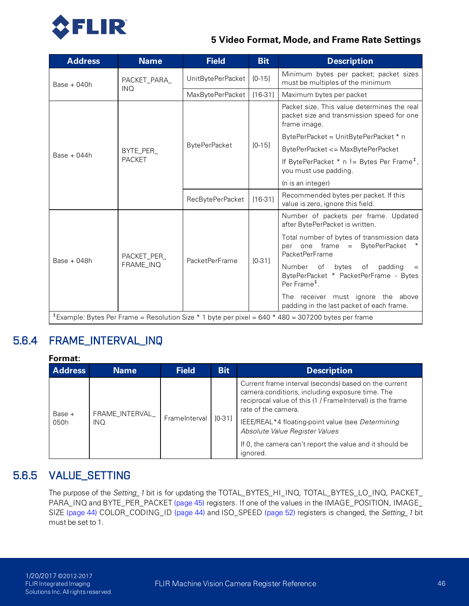

| <b>Address</b> | <b>Name</b>                                                                                                     | <b>Field</b>                  | <b>Bit</b> | <b>Description</b>                                                                                           |  |  |  |
|----------------|-----------------------------------------------------------------------------------------------------------------|-------------------------------|------------|--------------------------------------------------------------------------------------------------------------|--|--|--|
| $Base + 040h$  | PACKET_PARA_                                                                                                    | $[0-15]$<br>UnitBytePerPacket |            | Minimum bytes per packet; packet sizes<br>must be multiples of the minimum                                   |  |  |  |
|                | <b>INQ</b>                                                                                                      | MaxBytePerPacket              | $[16-31]$  | Maximum bytes per packet                                                                                     |  |  |  |
|                |                                                                                                                 |                               |            | Packet size. This value determines the real<br>packet size and transmission speed for one<br>frame image.    |  |  |  |
|                |                                                                                                                 |                               |            | BytePerPacket = UnitBytePerPacket * n                                                                        |  |  |  |
| $Base + 044h$  | BYTE_PER_                                                                                                       | <b>BytePerPacket</b>          | $[0-15]$   | BytePerPacket <= MaxBytePerPacket                                                                            |  |  |  |
|                | <b>PACKET</b>                                                                                                   |                               |            | If BytePerPacket $*$ n != Bytes Per Frame <sup>#</sup> ,<br>you must use padding.                            |  |  |  |
|                |                                                                                                                 |                               |            | (n is an integer)                                                                                            |  |  |  |
|                |                                                                                                                 | RecBytePerPacket              | $[16-31]$  | Recommended bytes per packet. If this<br>value is zero, ignore this field.                                   |  |  |  |
|                |                                                                                                                 | <b>PacketPerFrame</b>         | $[0-31]$   | Number of packets per frame. Updated<br>after BytePerPacket is written.                                      |  |  |  |
|                | PACKET PER<br>FRAME_INQ                                                                                         |                               |            | Total number of bytes of transmission data<br>per one frame = BytePerPacket<br>PacketPerFrame                |  |  |  |
| $Base + 048h$  |                                                                                                                 |                               |            | of<br>bytes<br>padding<br>Number<br>of<br>BytePerPacket * PacketPerFrame - Bytes<br>Per Frame <sup>#</sup> . |  |  |  |
|                |                                                                                                                 |                               |            | The receiver must ignore the above<br>padding in the last packet of each frame.                              |  |  |  |
|                | <sup>‡</sup> Example: Bytes Per Frame = Resolution Size * 1 byte per pixel = 640 * 480 = 307200 bytes per frame |                               |            |                                                                                                              |  |  |  |

### 5.6.4 FRAME\_INTERVAL\_INQ

| ⊦ormat: |
|---------|
|---------|

| <b>Address</b>   | <b>Name</b>                   | <b>Field</b>  | <b>Bit</b> | <b>Description</b>                                                                                                                                                                                                                                                                                                                                          |
|------------------|-------------------------------|---------------|------------|-------------------------------------------------------------------------------------------------------------------------------------------------------------------------------------------------------------------------------------------------------------------------------------------------------------------------------------------------------------|
| Base $+$<br>050h | FRAME_INTERVAL_<br><b>INQ</b> | FrameInterval | $[0-31]$   | Current frame interval (seconds) based on the current<br>camera conditions, including exposure time. The<br>reciprocal value of this (1 / FrameInterval) is the frame<br>rate of the camera.<br>IEEE/REAL*4 floating-point value (see Determining<br>Absolute Value Register Values<br>If 0, the camera can't report the value and it should be<br>ignored. |

### 5.6.5 VALUE\_SETTING

<span id="page-55-0"></span>The purpose of the *Setting\_1* bit is for updating the TOTAL\_BYTES\_HI\_INQ, TOTAL\_BYTES\_LO\_INQ, PACKET\_ PARA\_INQ and BYTE\_PER\_PACKET [\(page 45\)](#page-54-0) registers. If one of the values in the IMAGE\_POSITION, IMAGE\_ SIZE [\(page 44\)](#page-53-0) COLOR\_CODING\_ID [\(page 44\)](#page-53-1) and ISO\_SPEED [\(page 52\)](#page-61-0) registers is changed, the *Setting\_1* bit must be set to 1.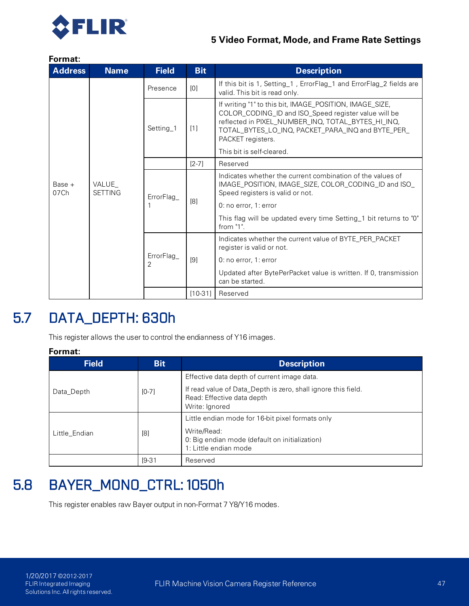

#### **Format:**

| <b>Address</b>   | <b>Name</b>             | <b>Field</b>    | <b>Bit</b> | <b>Description</b>                                                                                                                                                                                                                              |
|------------------|-------------------------|-----------------|------------|-------------------------------------------------------------------------------------------------------------------------------------------------------------------------------------------------------------------------------------------------|
|                  |                         | Presence        | [0]        | If this bit is 1, Setting_1, ErrorFlag_1 and ErrorFlag_2 fields are<br>valid. This bit is read only.                                                                                                                                            |
|                  |                         | Setting_1       | $[1]$      | If writing "1" to this bit, IMAGE_POSITION, IMAGE_SIZE,<br>COLOR_CODING_ID and ISO_Speed register value will be<br>reflected in PIXEL_NUMBER_INQ, TOTAL_BYTES_HI_INQ,<br>TOTAL_BYTES_LO_INQ, PACKET_PARA_INQ and BYTE_PER_<br>PACKET registers. |
|                  |                         |                 |            | This bit is self-cleared.                                                                                                                                                                                                                       |
|                  | VALUE<br><b>SETTING</b> |                 | $[2-7]$    | Reserved                                                                                                                                                                                                                                        |
| $Base +$<br>07Ch |                         | ErrorFlag_      | [8]        | Indicates whether the current combination of the values of<br>IMAGE_POSITION, IMAGE_SIZE, COLOR_CODING_ID and ISO_<br>Speed registers is valid or not.                                                                                          |
|                  |                         |                 |            | 0: no error, 1: error                                                                                                                                                                                                                           |
|                  |                         |                 |            | This flag will be updated every time Setting 1 bit returns to "0"<br>from $"1"$ .                                                                                                                                                               |
|                  |                         | ErrorFlag_<br>2 |            | Indicates whether the current value of BYTE_PER_PACKET<br>register is valid or not.                                                                                                                                                             |
|                  |                         |                 | [9]        | 0: no error, 1: error                                                                                                                                                                                                                           |
|                  |                         |                 |            | Updated after BytePerPacket value is written. If 0, transmission<br>can be started.                                                                                                                                                             |
|                  |                         |                 | $[10-31]$  | Reserved                                                                                                                                                                                                                                        |

## 5.7 DATA\_DEPTH: 630h

This register allows the user to control the endianness of Y16 images.

#### **Format:**

| <b>Field</b>  | <b>Bit</b> | <b>Description</b>                                                                                            |
|---------------|------------|---------------------------------------------------------------------------------------------------------------|
|               |            | Effective data depth of current image data.                                                                   |
| Data_Depth    | $[0-7]$    | If read value of Data_Depth is zero, shall ignore this field.<br>Read: Effective data depth<br>Write: Ignored |
|               |            | Little endian mode for 16-bit pixel formats only                                                              |
| Little_Endian | [8]        | Write/Read:<br>0: Big endian mode (default on initialization)<br>1: Little endian mode                        |
|               | $[9-31]$   | Reserved                                                                                                      |

## 5.8 BAYER\_MONO\_CTRL: 1050h

This register enables raw Bayer output in non-Format 7 Y8/Y16 modes.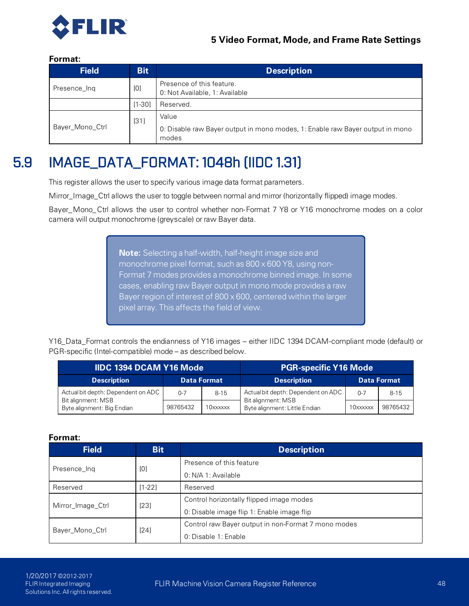

#### **Format:**

| <b>Field</b>    | <b>Bit</b> | <b>Description</b>                                                                              |
|-----------------|------------|-------------------------------------------------------------------------------------------------|
| Presence_Ing    | [0]        | Presence of this feature.<br>0: Not Available, 1: Available                                     |
|                 | $[1 - 30]$ | Reserved.                                                                                       |
| Bayer_Mono_Ctrl | [31]       | Value<br>0: Disable raw Bayer output in mono modes, 1: Enable raw Bayer output in mono<br>modes |

## 5.9 IMAGE\_DATA\_FORMAT: 1048h (IIDC 1.31)

This register allows the user to specify various image data format parameters.

Mirror\_Image\_Ctrl allows the user to toggle between normal and mirror (horizontally flipped) image modes.

Bayer\_Mono\_Ctrl allows the user to control whether non-Format 7 Y8 or Y16 monochrome modes on a color camera will output monochrome (greyscale) or raw Bayer data.

> **Note:** Selecting a half-width, half-height image size and monochrome pixel format, such as 800 x 600 Y8, using non-Format 7 modes provides a monochrome binned image. In some cases, enabling raw Bayer output in mono mode provides a raw Bayer region of interest of 800 x 600, centered within the larger pixel array. This affects the field of view.

Y16\_Data\_Format controls the endianness of Y16 images – either IIDC 1394 DCAM-compliant mode (default) or PGR-specific (Intel-compatible) mode – as described below.

| <b>IIDC 1394 DCAM Y16 Mode</b>                           |                    | <b>PGR-specific Y16 Mode</b> |                                                          |          |          |
|----------------------------------------------------------|--------------------|------------------------------|----------------------------------------------------------|----------|----------|
| <b>Description</b>                                       | <b>Data Format</b> |                              | <b>Description</b><br><b>Data Format</b>                 |          |          |
| Actual bit depth: Dependent on ADC<br>Bit alignment: MSB | $0 - 7$            | $8 - 15$                     | Actual bit depth: Dependent on ADC<br>Bit alignment: MSB | $0 - 7$  | $8 - 15$ |
| Byte alignment: Big Endian                               | 98765432           | 10xxxxxx                     | Byte alignment: Little Endian                            | 10xxxxxx | 98765432 |

| <b>Field</b><br><b>Bit</b> |          | <b>Description</b>                                  |  |  |
|----------------------------|----------|-----------------------------------------------------|--|--|
|                            | [0]      | Presence of this feature                            |  |  |
| Presence_Ing               |          | 0 N/A 1 Available                                   |  |  |
| Reserved                   | $[1-22]$ | Reserved                                            |  |  |
|                            | [23]     | Control horizontally flipped image modes            |  |  |
| Mirror_Image_Ctrl          |          | 0: Disable image flip 1: Enable image flip          |  |  |
|                            | [24]     | Control raw Bayer output in non-Format 7 mono modes |  |  |
| Bayer_Mono_Ctrl            |          | 0. Disable 1: Enable                                |  |  |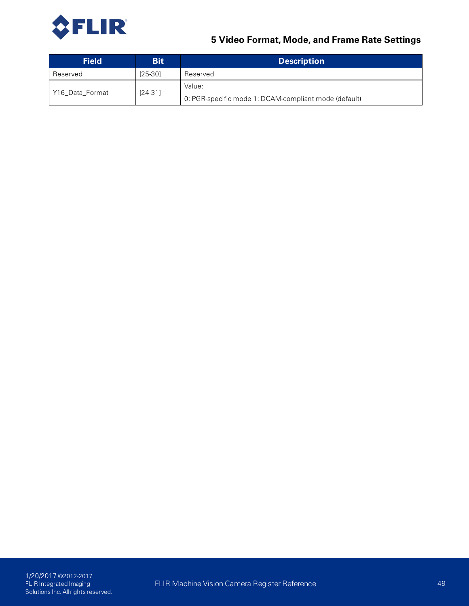

| <b>Field</b>    | <b>Bit</b> | <b>Description</b>                                    |
|-----------------|------------|-------------------------------------------------------|
| Reserved        | [25-30]    | Reserved                                              |
|                 | $[24-31]$  | Value:                                                |
| Y16 Data Format |            | 0. PGR-specific mode 1: DCAM-compliant mode (default) |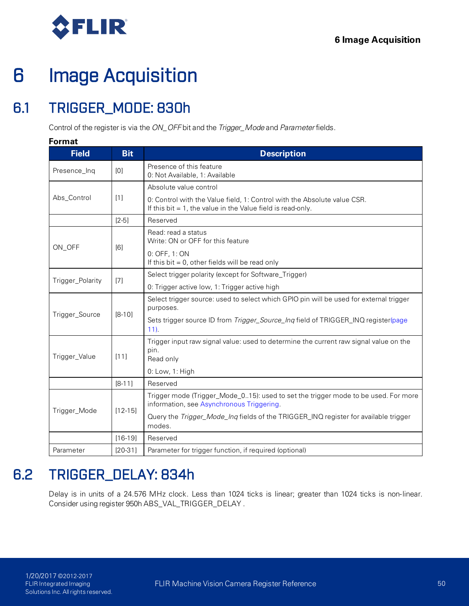

# 6 Image Acquisition

## <span id="page-59-0"></span>6.1 TRIGGER\_MODE: 830h

Control of the register is via the *ON\_OFF* bit and the *Trigger\_Mode* and *Parameter* fields.

#### **Format**

| <b>Field</b>     | <b>Bit</b>  | <b>Description</b>                                                                                                                         |
|------------------|-------------|--------------------------------------------------------------------------------------------------------------------------------------------|
| Presence_Inq     | [0]         | Presence of this feature<br>0: Not Available, 1: Available                                                                                 |
|                  |             | Absolute value control                                                                                                                     |
| Abs_Control      | $[1]$       | 0: Control with the Value field, 1: Control with the Absolute value CSR.<br>If this bit $= 1$ , the value in the Value field is read-only. |
|                  | $[2-5]$     | Reserved                                                                                                                                   |
|                  |             | Read: read a status<br>Write: ON or OFF for this feature                                                                                   |
| ON_OFF           | [6]         | 0: OFF, 1: ON<br>If this bit $= 0$ , other fields will be read only                                                                        |
|                  |             | Select trigger polarity (except for Software_Trigger)                                                                                      |
| Trigger_Polarity | $[7]$       | 0: Trigger active low, 1: Trigger active high                                                                                              |
|                  | $[8-10]$    | Select trigger source: used to select which GPIO pin will be used for external trigger<br>purposes.                                        |
| Trigger_Source   |             | Sets trigger source ID from Trigger_Source_Inq field of TRIGGER_INQ register(page<br>$11$ .                                                |
| Trigger_Value    | [11]        | Trigger input raw signal value: used to determine the current raw signal value on the<br>pin.<br>Read only                                 |
|                  |             | 0: Low, 1: High                                                                                                                            |
|                  | $[8 - 11]$  | Reserved                                                                                                                                   |
| Trigger_Mode     |             | Trigger mode (Trigger_Mode_015): used to set the trigger mode to be used. For more<br>information, see Asynchronous Triggering.            |
|                  | $[12 - 15]$ | Query the Trigger_Mode_Inq fields of the TRIGGER_INQ register for available trigger<br>modes.                                              |
|                  | $[16-19]$   | Reserved                                                                                                                                   |
| Parameter        | $[20-31]$   | Parameter for trigger function, if required (optional)                                                                                     |

## <span id="page-59-1"></span>6.2 TRIGGER\_DELAY: 834h

Delay is in units of a 24.576 MHz clock. Less than 1024 ticks is linear; greater than 1024 ticks is non-linear. Consider using register 950h ABS\_VAL\_TRIGGER\_DELAY .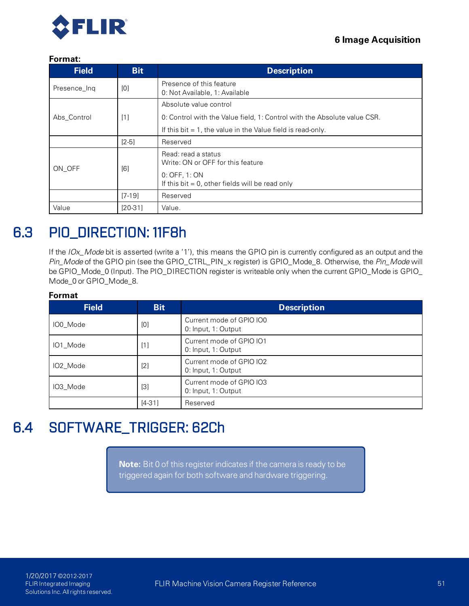

#### **Format:**

| <b>Field</b>  | <b>Bit</b> | <b>Description</b>                                                        |  |  |
|---------------|------------|---------------------------------------------------------------------------|--|--|
| Presence Ing  | [0]        | Presence of this feature<br>0. Not Available, 1. Available                |  |  |
|               |            | Absolute value control                                                    |  |  |
| Abs Control   | [1]        | 0: Control with the Value field, 1: Control with the Absolute value CSR.  |  |  |
|               |            | If this bit $= 1$ , the value in the Value field is read-only.            |  |  |
|               | $[2-5]$    | Reserved                                                                  |  |  |
| [6]<br>ON OFF |            | Read: read a status<br>Write: ON or OFF for this feature<br>0. OFF, 1: ON |  |  |
|               |            | If this bit $= 0$ , other fields will be read only                        |  |  |
|               | $[7-19]$   | Reserved                                                                  |  |  |
| Value         | $[20-31]$  | Value.                                                                    |  |  |

## 6.3 PIO\_DIRECTION: 11F8h

If the *IOx\_Mode* bit is asserted (write a '1'), this means the GPIO pin is currently configured as an output and the *Pin\_Mode* of the GPIO pin (see the GPIO\_CTRL\_PIN\_x register) is GPIO\_Mode\_8. Otherwise, the *Pin\_Mode* will be GPIO\_Mode\_0 (Input). The PIO\_DIRECTION register is writeable only when the current GPIO\_Mode is GPIO\_ Mode\_0 or GPIO\_Mode\_8.

#### **Format**

| <b>Field</b> | <b>Bit</b>        | <b>Description</b>                              |
|--------------|-------------------|-------------------------------------------------|
| IO0 Mode     | [0]               | Current mode of GPIO IO0<br>0: Input, 1: Output |
| IO1_Mode     | [1]               | Current mode of GPIO IO1<br>0: Input, 1: Output |
| IO2_Mode     | [2]               | Current mode of GPIO IO2<br>0: Input, 1: Output |
| IO3_Mode     | $\lceil 3 \rceil$ | Current mode of GPIO IO3<br>0: Input, 1: Output |
|              | $[4-31]$          | Reserved                                        |

## 6.4 SOFTWARE\_TRIGGER: 62Ch

**Note:** Bit 0 of this register indicates if the camera is ready to be triggered again for both software and hardware triggering.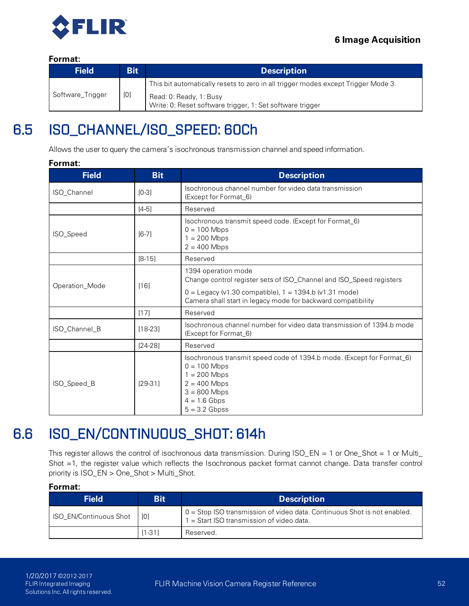

#### **Format:**

| <b>Field</b>     | <b>Bit</b> | <b>Description</b>                                                                   |
|------------------|------------|--------------------------------------------------------------------------------------|
| Software_Trigger |            | This bit automatically resets to zero in all trigger modes except Trigger Mode 3.    |
|                  | [0]        | Read: 0. Ready, 1: Busy<br>Write: 0: Reset software trigger, 1: Set software trigger |

## <span id="page-61-0"></span>6.5 ISO\_CHANNEL/ISO\_SPEED: 60Ch

Allows the user to query the camera's isochronous transmission channel and speed information.

#### **Format:**

| <b>Field</b>       | <b>Bit</b> | <b>Description</b>                                                                                                                                                                 |  |
|--------------------|------------|------------------------------------------------------------------------------------------------------------------------------------------------------------------------------------|--|
| <b>ISO Channel</b> | $[0-3]$    | Isochronous channel number for video data transmission<br>(Except for Format_6)                                                                                                    |  |
|                    | $[4-5]$    | Reserved                                                                                                                                                                           |  |
| ISO_Speed          | $[6-7]$    | Isochronous transmit speed code. (Except for Format_6)<br>$0 = 100$ Mbps<br>$1 = 200$ Mbps<br>$2 = 400$ Mbps                                                                       |  |
|                    | $[8-15]$   | Reserved                                                                                                                                                                           |  |
| Operation_Mode     | [16]       | 1394 operation mode<br>Change control register sets of ISO_Channel and ISO_Speed registers                                                                                         |  |
|                    |            | $0 =$ Legacy (v1.30 compatible), 1 = 1394.b (v1.31 mode)<br>Camera shall start in legacy mode for backward compatibility                                                           |  |
|                    | [17]       | Reserved                                                                                                                                                                           |  |
| ISO_Channel_B      | $[18-23]$  | Isochronous channel number for video data transmission of 1394 b mode<br>(Except for Format_6)                                                                                     |  |
|                    | $[24-28]$  | Reserved                                                                                                                                                                           |  |
| ISO_Speed_B        | $[29-31]$  | Isochronous transmit speed code of 1394.b mode. (Except for Format_6)<br>$0 = 100$ Mbps<br>$1 = 200$ Mbps<br>$2 = 400$ Mbps<br>$3 = 800$ Mbps<br>$4 = 1.6$ Gbps<br>$5 = 3.2$ Gbpss |  |

## 6.6 ISO\_EN/CONTINUOUS\_SHOT: 614h

This register allows the control of isochronous data transmission. During ISO\_EN = 1 or One\_Shot = 1 or Multi\_ Shot =1, the register value which reflects the Isochronous packet format cannot change. Data transfer control priority is ISO\_EN > One\_Shot > Multi\_Shot.

| <b>Field</b>           | <b>Bit</b> | <b>Description</b>                                                                                                       |
|------------------------|------------|--------------------------------------------------------------------------------------------------------------------------|
| ISO EN/Continuous Shot | [0]        | $10 =$ Stop ISO transmission of video data. Continuous Shot is not enabled.<br>1 = Start ISO transmission of video data. |
|                        | $[1 - 31]$ | Reserved.                                                                                                                |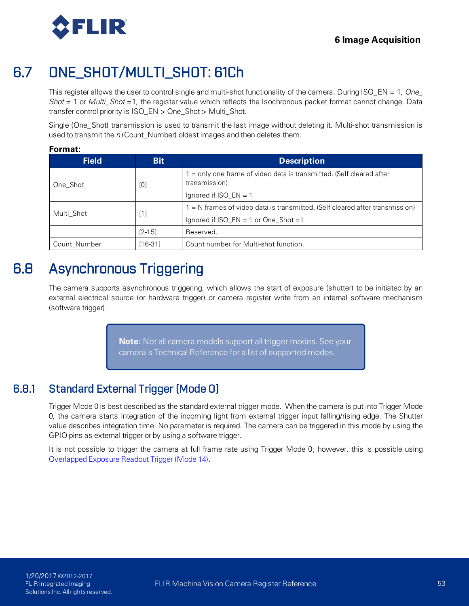

## 6.7 ONE\_SHOT/MULTI\_SHOT: 61Ch

This register allows the user to control single and multi-shot functionality of the camera. During ISO\_EN = 1, *One\_ Shot* = 1 or *Multi\_Shot* =1, the register value which reflects the Isochronous packet format cannot change. Data transfer control priority is ISO\_EN > One\_Shot > Multi\_Shot.

Single (One\_Shot) transmission is used to transmit the last image without deleting it. Multi-shot transmission is used to transmit the *n* (Count\_Number) oldest images and then deletes them.

#### **Format:**

| <b>Field</b> | <b>Bit</b> | <b>Description</b>                                                                    |  |
|--------------|------------|---------------------------------------------------------------------------------------|--|
| One Shot     | [0]        | $=$ only one frame of video data is transmitted. (Self cleared after<br>transmission) |  |
|              |            | Ignored if ISO $EN = 1$                                                               |  |
| Multi Shot   | [1]        | 1 = N frames of video data is transmitted. (Self cleared after transmission)          |  |
|              |            | Ignored if ISO_EN = 1 or One_Shot =1                                                  |  |
|              | $[2 - 15]$ | Reserved.                                                                             |  |
| Count Number | $[16-31]$  | Count number for Multi-shot function.                                                 |  |

## <span id="page-62-0"></span>6.8 Asynchronous Triggering

The camera supports asynchronous triggering, which allows the start of exposure (shutter) to be initiated by an external electrical source (or hardware trigger) or camera register write from an internal software mechanism (software trigger).

> **Note:** Not all camera models support all trigger modes. See your camera's Technical Reference for a list of supported modes.

### 6.8.1 Standard External Trigger (Mode 0)

<span id="page-62-1"></span>Trigger Mode 0 is best described as the standard external trigger mode. When the camera is put into Trigger Mode 0, the camera starts integration of the incoming light from external trigger input falling/rising edge. The Shutter value describes integration time. No parameter is required. The camera can be triggered in this mode by using the GPIO pins as external trigger or by using a software trigger.

It is not possible to trigger the camera at full frame rate using Trigger Mode 0; however, this is possible using [Overlapped Exposure Readout Trigger \(Mode 14\)](#page-68-0).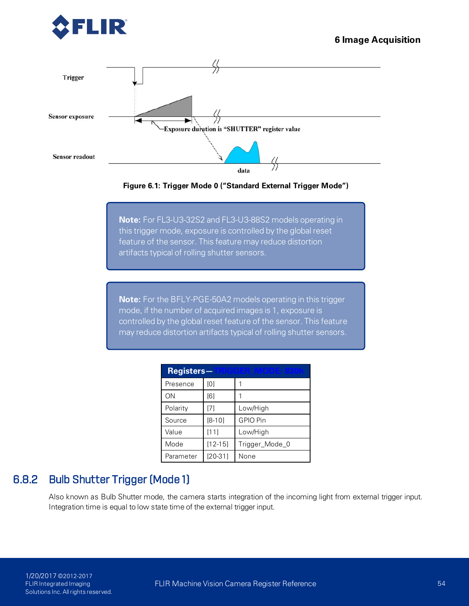



**Figure 6.1: Trigger Mode 0 ("Standard External Trigger Mode")**

**Note:** For FL3-U3-32S2 and FL3-U3-88S2 models operating in this trigger mode, exposure is controlled by the global reset feature of the sensor. This feature may reduce distortion artifacts typical of rolling shutter sensors.

**Note:** For the BFLY-PGE-50A2 models operating in this trigger mode, if the number of acquired images is 1, exposure is controlled by the global reset feature of the sensor. This feature may reduce distortion artifacts typical of rolling shutter sensors.

| <b>Registers—TRIGGER_MODE: 880h</b> |             |                 |  |  |
|-------------------------------------|-------------|-----------------|--|--|
| Presence                            | [0]         |                 |  |  |
| ΟN                                  | [6]         |                 |  |  |
| Polarity                            | [7]         | Low/High        |  |  |
| Source                              | $[8-10]$    | <b>GPIO Pin</b> |  |  |
| Value                               | [11]        | Low/High        |  |  |
| Mode                                | $[12 - 15]$ | Trigger_Mode_0  |  |  |
| Parameter                           | $[20-31]$   | None            |  |  |

### 6.8.2 Bulb Shutter Trigger (Mode 1)

Also known as Bulb Shutter mode, the camera starts integration of the incoming light from external trigger input. Integration time is equal to low state time of the external trigger input.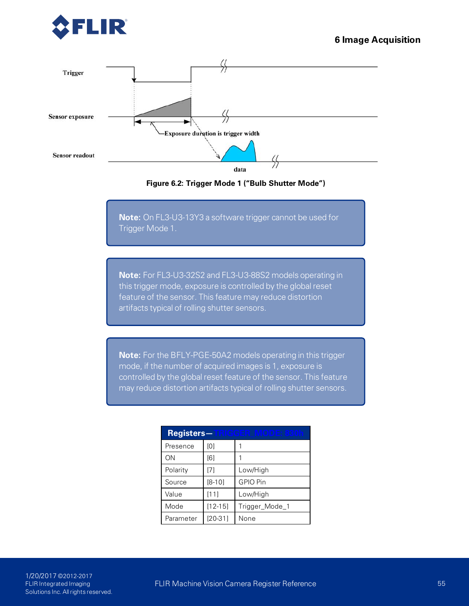





**Note:** On FL3-U3-13Y3 a software trigger cannot be used for Trigger Mode 1.

**Note:** For FL3-U3-32S2 and FL3-U3-88S2 models operating in this trigger mode, exposure is controlled by the global reset feature of the sensor. This feature may reduce distortion artifacts typical of rolling shutter sensors.

**Note:** For the BFLY-PGE-50A2 models operating in this trigger mode, if the number of acquired images is 1, exposure is controlled by the global reset feature of the sensor. This feature may reduce distortion artifacts typical of rolling shutter sensors.

| <b>Registers—TRIGGER MODE: 880h</b> |             |                |  |  |
|-------------------------------------|-------------|----------------|--|--|
| Presence                            | [0]         |                |  |  |
| ΟN                                  | [6]         |                |  |  |
| Polarity                            | [7]         | Low/High       |  |  |
| Source                              | $[8-10]$    | GPIO Pin       |  |  |
| Value                               | [11]        | Low/High       |  |  |
| Mode                                | $[12 - 15]$ | Trigger_Mode_1 |  |  |
| Parameter                           | $[20-31]$   | None           |  |  |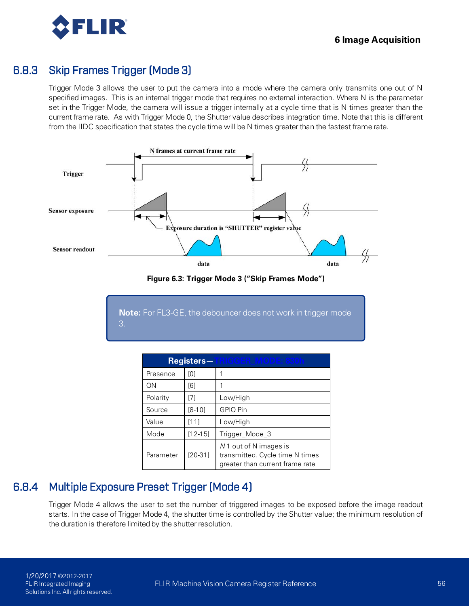

### 6.8.3 Skip Frames Trigger (Mode 3)

Trigger Mode 3 allows the user to put the camera into a mode where the camera only transmits one out of N specified images. This is an internal trigger mode that requires no external interaction. Where N is the parameter set in the Trigger Mode, the camera will issue a trigger internally at a cycle time that is N times greater than the current frame rate. As with Trigger Mode 0, the Shutter value describes integration time. Note that this is different from the IIDC specification that states the cycle time will be N times greater than the fastest frame rate.



**Figure 6.3: Trigger Mode 3 ("Skip Frames Mode")**

**Note:** For FL3-GE, the debouncer does not work in trigger mode 3.

| <b>Registers-TRIGGER MODE: 830h</b> |             |                                                                                              |  |  |
|-------------------------------------|-------------|----------------------------------------------------------------------------------------------|--|--|
| Presence                            | [0]         |                                                                                              |  |  |
| ΟN                                  | [6]         |                                                                                              |  |  |
| Polarity                            | [7]         | Low/High                                                                                     |  |  |
| Source                              | $[8-10]$    | GPIO Pin                                                                                     |  |  |
| Value                               | [11]        | Low/High                                                                                     |  |  |
| Mode                                | $[12 - 15]$ | Trigger_Mode_3                                                                               |  |  |
| Parameter                           | $[20-31]$   | N 1 out of N images is<br>transmitted. Cycle time N times<br>greater than current frame rate |  |  |

### 6.8.4 Multiple Exposure Preset Trigger (Mode 4)

Trigger Mode 4 allows the user to set the number of triggered images to be exposed before the image readout starts. In the case of Trigger Mode 4, the shutter time is controlled by the Shutter value; the minimum resolution of the duration is therefore limited by the shutter resolution.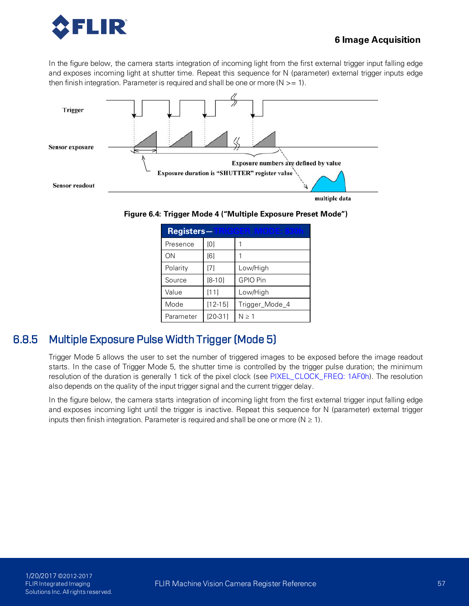

#### **6 Image Acquisition**

In the figure below, the camera starts integration of incoming light from the first external trigger input falling edge and exposes incoming light at shutter time. Repeat this sequence for N (parameter) external trigger inputs edge then finish integration. Parameter is required and shall be one or more ( $N > = 1$ ).



**Figure 6.4: Trigger Mode 4 ("Multiple Exposure Preset Mode")**

| Registers-TRIGGER MODE: 880h |             |                |  |  |
|------------------------------|-------------|----------------|--|--|
| Presence                     | [0]         |                |  |  |
| ΟN                           | [6]         |                |  |  |
| Polarity                     | [7]         | Low/High       |  |  |
| Source                       | $[8-10]$    | GPIO Pin       |  |  |
| Value                        | [11]        | Low/High       |  |  |
| Mode                         | $[12 - 15]$ | Trigger_Mode_4 |  |  |
| Parameter                    | $[20-31]$   | N > 1          |  |  |

### 6.8.5 Multiple Exposure Pulse Width Trigger (Mode 5)

Trigger Mode 5 allows the user to set the number of triggered images to be exposed before the image readout starts. In the case of Trigger Mode 5, the shutter time is controlled by the trigger pulse duration; the minimum resolution of the duration is generally 1 tick of the pixel clock (see [PIXEL\\_CLOCK\\_FREQ: 1AF0h](#page-32-0)). The resolution also depends on the quality of the input trigger signal and the current trigger delay.

In the figure below, the camera starts integration of incoming light from the first external trigger input falling edge and exposes incoming light until the trigger is inactive. Repeat this sequence for N (parameter) external trigger inputs then finish integration. Parameter is required and shall be one or more ( $N \ge 1$ ).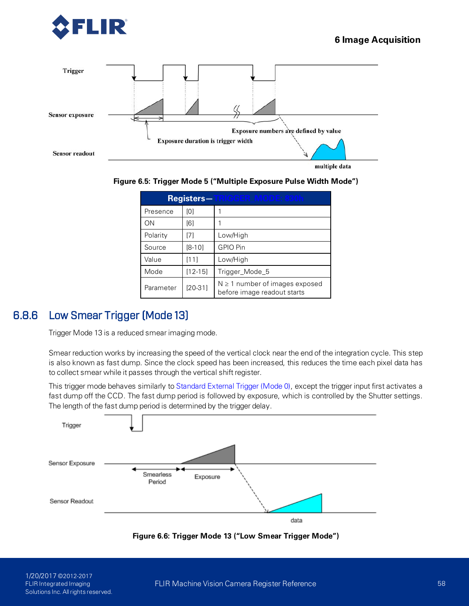





| <b>Registers—TRIGGER MODE: 830h</b> |             |                                                                    |  |  |
|-------------------------------------|-------------|--------------------------------------------------------------------|--|--|
| Presence                            | [0]         |                                                                    |  |  |
| ON                                  | [6]         |                                                                    |  |  |
| Polarity                            | [7]         | Low/High                                                           |  |  |
| Source                              | $[8-10]$    | GPIO Pin                                                           |  |  |
| Value                               | [11]        | Low/High                                                           |  |  |
| Mode                                | $[12 - 15]$ | Trigger_Mode_5                                                     |  |  |
| Parameter                           | $[20-31]$   | $N \geq 1$ number of images exposed<br>before image readout starts |  |  |

### 6.8.6 Low Smear Trigger (Mode 13)

Trigger Mode 13 is a reduced smear imaging mode.

Smear reduction works by increasing the speed of the vertical clock near the end of the integration cycle. This step is also known as fast dump. Since the clock speed has been increased, this reduces the time each pixel data has to collect smear while it passes through the vertical shift register.

This trigger mode behaves similarly to [Standard External Trigger \(Mode 0\)](#page-62-1), except the trigger input first activates a fast dump off the CCD. The fast dump period is followed by exposure, which is controlled by the Shutter settings. The length of the fast dump period is determined by the trigger delay.



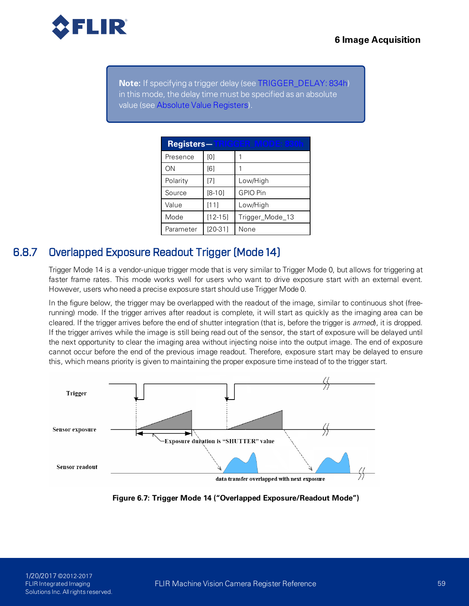

**Note:** If specifying a trigger delay (see [TRIGGER\\_DELAY: 834h\)](#page-59-1) in this mode, the delay time must be specified as an absolute value (see [Absolute Value Registers](#page-14-0)).

| <b>Registers—TRIGGER MODE: 830h</b> |             |                 |  |  |
|-------------------------------------|-------------|-----------------|--|--|
| Presence                            | [0]         |                 |  |  |
| ΟN                                  | [6]         |                 |  |  |
| Polarity                            | [7]         | Low/High        |  |  |
| Source                              | $[8-10]$    | <b>GPIO Pin</b> |  |  |
| Value                               | [11]        | Low/High        |  |  |
| Mode                                | $[12 - 15]$ | Trigger_Mode_13 |  |  |
| Parameter                           | $[20-31]$   | None            |  |  |

### 6.8.7 Overlapped Exposure Readout Trigger (Mode 14)

<span id="page-68-0"></span>Trigger Mode 14 is a vendor-unique trigger mode that is very similar to Trigger Mode 0, but allows for triggering at faster frame rates. This mode works well for users who want to drive exposure start with an external event. However, users who need a precise exposure start should use Trigger Mode 0.

In the figure below, the trigger may be overlapped with the readout of the image, similar to continuous shot (freerunning) mode. If the trigger arrives after readout is complete, it will start as quickly as the imaging area can be cleared. If the trigger arrives before the end of shutter integration (that is, before the trigger is *armed*), it is dropped. If the trigger arrives while the image is still being read out of the sensor, the start of exposure will be delayed until the next opportunity to clear the imaging area without injecting noise into the output image. The end of exposure cannot occur before the end of the previous image readout. Therefore, exposure start may be delayed to ensure this, which means priority is given to maintaining the proper exposure time instead of to the trigger start.



**Figure 6.7: Trigger Mode 14 ("Overlapped Exposure/Readout Mode")**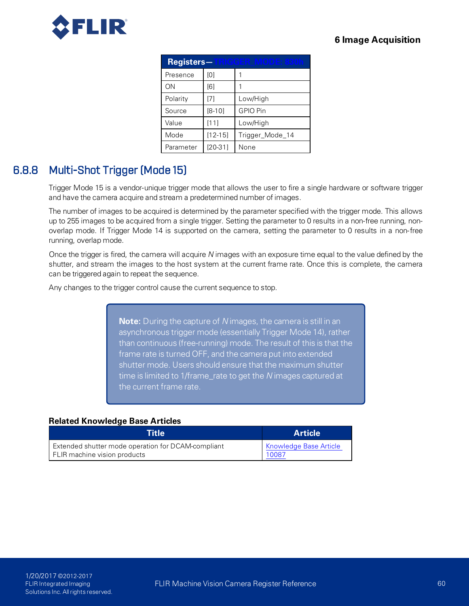

| <b>Registers-TRIGGER MODE: 830h</b> |                   |                 |
|-------------------------------------|-------------------|-----------------|
| Presence                            | [0]               |                 |
| ON                                  | [6]               |                 |
| Polarity                            | $\lceil 7 \rceil$ | Low/High        |
| Source                              | $[8 - 10]$        | <b>GPIO Pin</b> |
| Value                               | [11]              | Low/High        |
| Mode                                | $[12 - 15]$       | Trigger_Mode_14 |
| Parameter                           | $[20-31]$         | None            |

### 6.8.8 Multi-Shot Trigger (Mode 15)

Trigger Mode 15 is a vendor-unique trigger mode that allows the user to fire a single hardware or software trigger and have the camera acquire and stream a predetermined number of images.

The number of images to be acquired is determined by the parameter specified with the trigger mode. This allows up to 255 images to be acquired from a single trigger. Setting the parameter to 0 results in a non-free running, nonoverlap mode. If Trigger Mode 14 is supported on the camera, setting the parameter to 0 results in a non- free running, overlap mode.

Once the trigger is fired, the camera will acquire *N* images with an exposure time equal to the value defined by the shutter, and stream the images to the host system at the current frame rate. Once this is complete, the camera can be triggered again to repeat the sequence.

Any changes to the trigger control cause the current sequence to stop.

**Note:** During the capture of *N* images, the camera is still in an asynchronous trigger mode (essentially Trigger Mode 14), rather than continuous (free-running) mode. The result of this is that the frame rate is turned OFF, and the camera put into extended shutter mode. Users should ensure that the maximum shutter time is limited to 1/frame\_rate to get the *N* images captured at the current frame rate.

#### **Related Knowledge Base Articles**

| Title                                              | <b>Article</b> '              |
|----------------------------------------------------|-------------------------------|
| Extended shutter mode operation for DCAM-compliant | <b>Knowledge Base Article</b> |
| FLIR machine vision products                       | <u>10087</u>                  |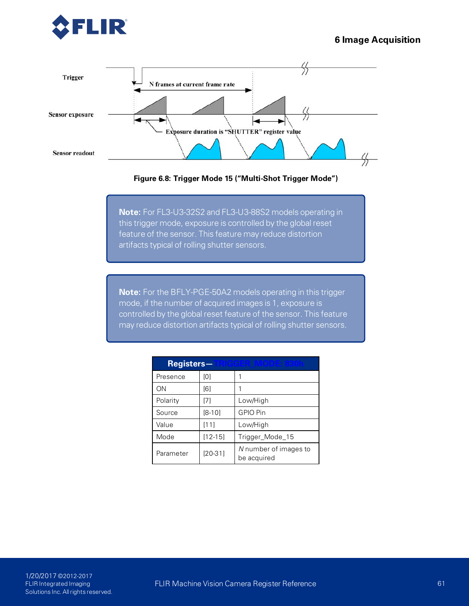





**Note:** For FL3-U3-32S2 and FL3-U3-88S2 models operating in this trigger mode, exposure is controlled by the global reset feature of the sensor. This feature may reduce distortion artifacts typical of rolling shutter sensors.

**Note:** For the BFLY-PGE-50A2 models operating in this trigger mode, if the number of acquired images is 1, exposure is controlled by the global reset feature of the sensor. This feature may reduce distortion artifacts typical of rolling shutter sensors.

| <b>Registers—TRICGER MODE: 830h</b> |             |                                      |
|-------------------------------------|-------------|--------------------------------------|
| Presence                            | [0]         |                                      |
| ΟN                                  | [6]         |                                      |
| Polarity                            | [7]         | Low/High                             |
| Source                              | $[8-10]$    | <b>GPIO Pin</b>                      |
| Value                               | [11]        | Low/High                             |
| Mode                                | $[12 - 15]$ | Trigger_Mode_15                      |
| Parameter                           | $[20-31]$   | N number of images to<br>be acquired |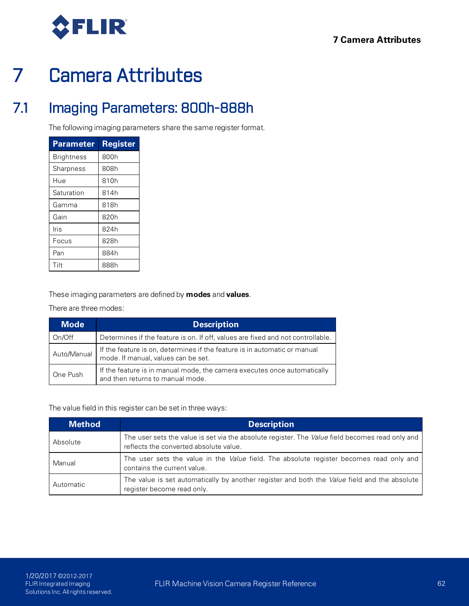

# 7 Camera Attributes

## 7.1 Imaging Parameters: 800h-888h

The following imaging parameters share the same register format.

| Parameter  | Register |
|------------|----------|
| Brightness | 800h     |
| Sharpness  | 808h     |
| Hue        | 810h     |
| Saturation | 814h     |
| Gamma      | 818h     |
| Gain       | 820h     |
| Iris       | 824h     |
| Focus      | 828h     |
| Pan        | 884h     |
| Tilt       | 888h     |

These imaging parameters are defined by **modes** and **values**.

There are three modes:

| <b>Mode</b> | <b>Description</b>                                                                                               |
|-------------|------------------------------------------------------------------------------------------------------------------|
| On/Off      | Determines if the feature is on. If off, values are fixed and not controllable.                                  |
| Auto/Manual | If the feature is on, determines if the feature is in automatic or manual<br>mode. If manual, values can be set. |
| One Push    | If the feature is in manual mode, the camera executes once automatically<br>and then returns to manual mode.     |

The value field in this register can be set in three ways:

| <b>Method</b> | <b>Description</b>                                                                                                                               |
|---------------|--------------------------------------------------------------------------------------------------------------------------------------------------|
| Absolute      | The user sets the value is set via the absolute register. The <i>Value</i> field becomes read only and<br>reflects the converted absolute value. |
| Manual        | The user sets the value in the <i>Value</i> field. The absolute register becomes read only and<br>contains the current value.                    |
| Automatic     | The value is set automatically by another register and both the Value field and the absolute<br>register become read only.                       |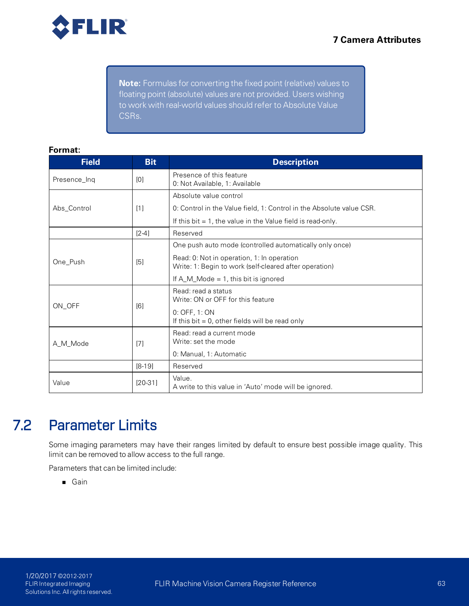

**Note:** Formulas for converting the fixed point (relative) values to floating point (absolute) values are not provided. Users wishing to work with real-world values should refer to Absolute Value CSRs.

#### **Format:**

| <b>Field</b> | <b>Bit</b>           | <b>Description</b>                                                                                   |
|--------------|----------------------|------------------------------------------------------------------------------------------------------|
| Presence Ing | [0]                  | Presence of this feature<br>0. Not Available, 1: Available                                           |
|              |                      | Absolute value control                                                                               |
| Abs_Control  | [1]                  | 0. Control in the Value field, 1: Control in the Absolute value CSR.                                 |
|              |                      | If this bit $= 1$ , the value in the Value field is read-only.                                       |
|              | $[2-4]$              | Reserved                                                                                             |
|              |                      | One push auto mode (controlled automatically only once)                                              |
| One Push     | [5]                  | Read: 0: Not in operation, 1: In operation<br>Write: 1: Begin to work (self-cleared after operation) |
|              |                      | If $A_M$ Mode = 1, this bit is ignored                                                               |
| ON_OFF       | [6]                  | Read: read a status<br>Write: ON or OFF for this feature                                             |
|              |                      | 0: OFF, 1: ON<br>If this bit $= 0$ , other fields will be read only                                  |
| A M Mode     | [7]                  | Read: read a current mode<br>Write: set the mode                                                     |
|              |                      | 0: Manual, 1: Automatic                                                                              |
|              | $[8-19]$<br>Reserved |                                                                                                      |
| Value        | $[20-31]$            | Value.<br>A write to this value in 'Auto' mode will be ignored.                                      |

# 7.2 Parameter Limits

Some imaging parameters may have their ranges limited by default to ensure best possible image quality. This limit can be removed to allow access to the full range.

Parameters that can be limited include:

<sup>n</sup> Gain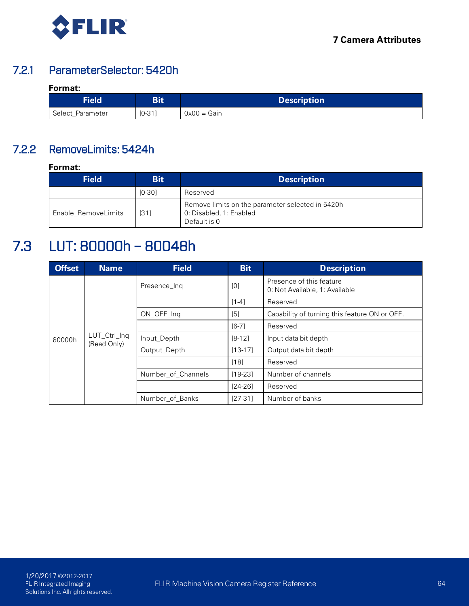

# 7.2.1 ParameterSelector: 5420h

## **Format:**

| <b>Field</b>     | DH.      | <b>Description</b> |
|------------------|----------|--------------------|
| Select_Parameter | $IO-31]$ | $0x00 = Gain$      |

# 7.2.2 RemoveLimits: 5424h

**Format:**

| <b>Bit</b><br><b>Field</b> |          | <b>Description</b>                                                                          |  |  |  |
|----------------------------|----------|---------------------------------------------------------------------------------------------|--|--|--|
|                            | $[0-30]$ | Reserved                                                                                    |  |  |  |
| Enable RemoveLimits        | [31]     | Remove limits on the parameter selected in 5420h<br>0. Disabled, 1: Enabled<br>Default is 0 |  |  |  |

# 7.3 LUT: 80000h – 80048h

| <b>Offset</b> | <b>Name</b>                 | <b>Field</b>       | <b>Bit</b> | <b>Description</b>                                         |
|---------------|-----------------------------|--------------------|------------|------------------------------------------------------------|
|               |                             | Presence Ing       | [0]        | Presence of this feature<br>0: Not Available, 1: Available |
|               |                             |                    | $[1-4]$    | Reserved                                                   |
|               |                             | ON_OFF_Ing         | [5]        | Capability of turning this feature ON or OFF.              |
|               |                             |                    | $[6-7]$    | Reserved                                                   |
| 80000h        | LUT_Ctrl_Inq<br>(Read Only) | Input_Depth        | $[8-12]$   | Input data bit depth                                       |
|               |                             | Output_Depth       | $[13-17]$  | Output data bit depth                                      |
|               |                             |                    | [18]       | Reserved                                                   |
|               |                             | Number_of_Channels | $[19-23]$  | Number of channels                                         |
|               |                             |                    | $[24-26]$  | Reserved                                                   |
|               |                             | Number_of_Banks    | $[27-31]$  | Number of banks                                            |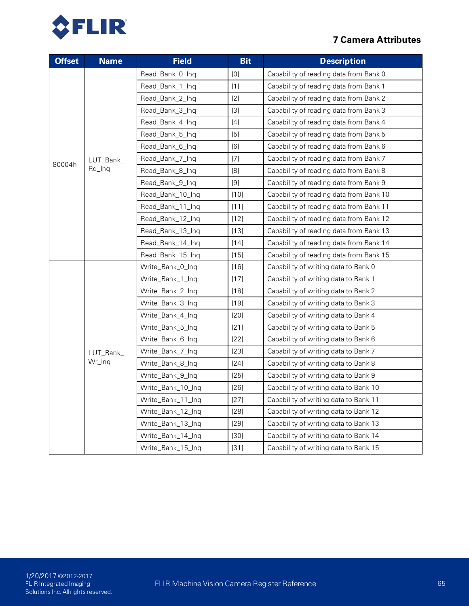

| <b>Offset</b> | <b>Name</b> | <b>Field</b>      | <b>Bit</b> | <b>Description</b>                      |
|---------------|-------------|-------------------|------------|-----------------------------------------|
|               |             | Read_Bank_0_Inq   | [0]        | Capability of reading data from Bank 0  |
|               |             | Read_Bank_1_Inq   | $[1]$      | Capability of reading data from Bank 1  |
|               |             | Read_Bank_2_Inq   | $[2]$      | Capability of reading data from Bank 2  |
|               |             | Read_Bank_3_Ing   | $[3]$      | Capability of reading data from Bank 3  |
|               |             | Read_Bank_4_Ing   | $[4]$      | Capability of reading data from Bank 4  |
|               |             | Read_Bank_5_Inq   | [5]        | Capability of reading data from Bank 5  |
|               |             | Read_Bank_6_Ing   | [6]        | Capability of reading data from Bank 6  |
| 80004h        | LUT_Bank_   | Read_Bank_7_Inq   | $[7]$      | Capability of reading data from Bank 7  |
|               | Rd_Inq      | Read_Bank_8_Inq   | [8]        | Capability of reading data from Bank 8  |
|               |             | Read_Bank_9_Inq   | $[9]$      | Capability of reading data from Bank 9  |
|               |             | Read_Bank_10_Ing  | $[10]$     | Capability of reading data from Bank 10 |
|               |             | Read_Bank_11_Inq  | $[11]$     | Capability of reading data from Bank 11 |
|               |             | Read_Bank_12_Inq  | $[12]$     | Capability of reading data from Bank 12 |
|               |             | Read_Bank_13_Inq  | [13]       | Capability of reading data from Bank 13 |
|               |             | Read_Bank_14_Inq  | [14]       | Capability of reading data from Bank 14 |
|               |             | Read_Bank_15_Inq  | $[15]$     | Capability of reading data from Bank 15 |
|               |             | Write_Bank_0_Ing  | $[16]$     | Capability of writing data to Bank 0    |
|               |             | Write_Bank_1_Ing  | $[17]$     | Capability of writing data to Bank 1    |
|               |             | Write_Bank_2_Inq  | $[18]$     | Capability of writing data to Bank 2    |
|               |             | Write_Bank_3_Inq  | $[19]$     | Capability of writing data to Bank 3    |
|               |             | Write_Bank_4_Inq  | [20]       | Capability of writing data to Bank 4    |
|               |             | Write_Bank_5_Inq  | $[21]$     | Capability of writing data to Bank 5    |
|               |             | Write_Bank_6_Inq  | $[22]$     | Capability of writing data to Bank 6    |
|               | LUT_Bank_   | Write_Bank_7_Inq  | $[23]$     | Capability of writing data to Bank 7    |
|               | Wr_Inq      | Write_Bank_8_Inq  | $[24]$     | Capability of writing data to Bank 8    |
|               |             | Write_Bank_9_Ing  | $[25]$     | Capability of writing data to Bank 9    |
|               |             | Write_Bank_10_Inq | $[26]$     | Capability of writing data to Bank 10   |
|               |             | Write_Bank_11_Inq | [27]       | Capability of writing data to Bank 11   |
|               |             | Write_Bank_12_Inq | $[28]$     | Capability of writing data to Bank 12   |
|               |             | Write_Bank_13_Ing | $[29]$     | Capability of writing data to Bank 13   |
|               |             | Write_Bank_14_Inq | $[30]$     | Capability of writing data to Bank 14   |
|               |             | Write_Bank_15_Inq | $[31]$     | Capability of writing data to Bank 15   |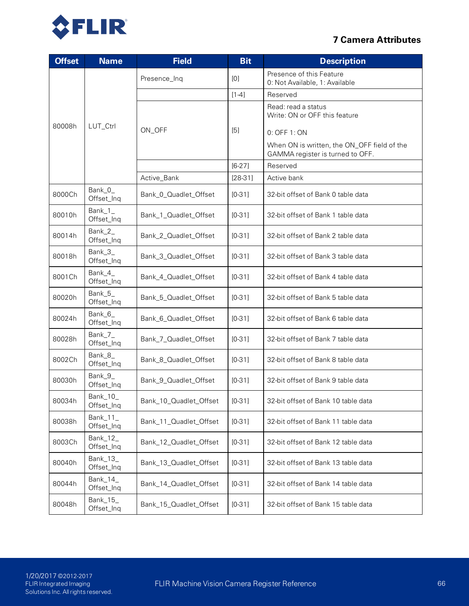

| <b>Offset</b> | <b>Name</b>              | <b>Field</b>           | <b>Bit</b> | <b>Description</b>                                                              |
|---------------|--------------------------|------------------------|------------|---------------------------------------------------------------------------------|
|               |                          | Presence_Inq           | [0]        | Presence of this Feature<br>0. Not Available, 1: Available                      |
|               |                          |                        | $[1-4]$    | Reserved                                                                        |
|               |                          |                        |            | Read: read a status<br>Write: ON or OFF this feature                            |
| 80008h        | LUT_Ctrl                 | ON_OFF                 | [5]        | 0: OFF 1: ON                                                                    |
|               |                          |                        |            | When ON is written, the ON_OFF field of the<br>GAMMA register is turned to OFF. |
|               |                          |                        | $[6-27]$   | Reserved                                                                        |
|               |                          | Active_Bank            | $[28-31]$  | Active bank                                                                     |
| 8000Ch        | Bank_0_<br>Offset_Inq    | Bank_0_Quadlet_Offset  | $[0-31]$   | 32-bit offset of Bank 0 table data                                              |
| 80010h        | Bank_1_<br>Offset_Inq    | Bank_1_Quadlet_Offset  | $[0-31]$   | 32-bit offset of Bank 1 table data                                              |
| 80014h        | Bank_2_<br>Offset_Inq    | Bank_2_Quadlet_Offset  | $[0-31]$   | 32-bit offset of Bank 2 table data                                              |
| 80018h        | Bank_3_<br>Offset_Inq    | Bank_3_Quadlet_Offset  | $[0-31]$   | 32-bit offset of Bank 3 table data                                              |
| 8001Ch        | Bank_4_<br>Offset_Inq    | Bank_4_Quadlet_Offset  | $[0-31]$   | 32-bit offset of Bank 4 table data                                              |
| 80020h        | Bank_5_<br>Offset_Inq    | Bank_5_Quadlet_Offset  | $[0-31]$   | 32-bit offset of Bank 5 table data                                              |
| 80024h        | Bank_6_<br>Offset_Inq    | Bank_6_Quadlet_Offset  | $[0-31]$   | 32-bit offset of Bank 6 table data                                              |
| 80028h        | Bank_7_<br>Offset_Inq    | Bank_7_Quadlet_Offset  | $[0-31]$   | 32-bit offset of Bank 7 table data                                              |
| 8002Ch        | Bank_8_<br>Offset_Inq    | Bank_8_Quadlet_Offset  | $[0-31]$   | 32-bit offset of Bank 8 table data                                              |
| 80030h        | Bank_9_<br>Offset_Inq    | Bank_9_Quadlet_Offset  | $[0-31]$   | 32-bit offset of Bank 9 table data                                              |
| 80034h        | Bank_10_<br>Offset_Inq   | Bank_10_Quadlet_Offset | $[0-31]$   | 32-bit offset of Bank 10 table data                                             |
| 80038h        | Bank_ $11$<br>Offset_Inq | Bank_11_Quadlet_Offset | $[0-31]$   | 32-bit offset of Bank 11 table data                                             |
| 8003Ch        | Bank $12$<br>Offset_Inq  | Bank_12_Quadlet_Offset | $[0-31]$   | 32-bit offset of Bank 12 table data                                             |
| 80040h        | Bank_13_<br>Offset_Inq   | Bank_13_Quadlet_Offset | $[0-31]$   | 32-bit offset of Bank 13 table data                                             |
| 80044h        | Bank_ $14$<br>Offset_Inq | Bank_14_Quadlet_Offset | $[0-31]$   | 32-bit offset of Bank 14 table data                                             |
| 80048h        | Bank_ $15$<br>Offset_Inq | Bank_15_Quadlet_Offset | $[0-31]$   | 32-bit offset of Bank 15 table data                                             |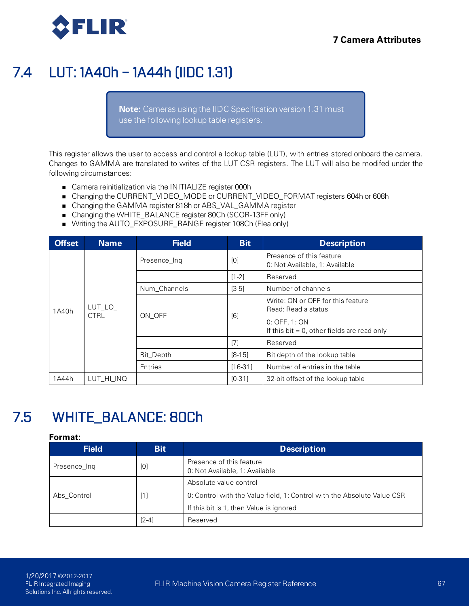

# 7.4 LUT: 1A40h – 1A44h (IIDC 1.31)

**Note:** Cameras using the IIDC Specification version 1.31 must use the following lookup table registers.

This register allows the user to access and control a lookup table (LUT), with entries stored onboard the camera. Changes to GAMMA are translated to writes of the LUT CSR registers. The LUT will also be modifed under the following circumstances:

- Camera reinitialization via the INITIALIZE register 000h
- Changing the CURRENT\_VIDEO\_MODE or CURRENT\_VIDEO\_FORMAT registers 604h or 608h
- Changing the GAMMA register 818h or ABS\_VAL\_GAMMA register
- Changing the WHITE\_BALANCE register 80Ch (SCOR-13FF only)
- Writing the AUTO\_EXPOSURE\_RANGE register 108Ch (Flea only)

| <b>Offset</b> | <b>Name</b>            | <b>Field</b> | <b>Bit</b> | <b>Description</b>                                              |
|---------------|------------------------|--------------|------------|-----------------------------------------------------------------|
|               |                        | Presence_Inq | [0]        | Presence of this feature<br>0: Not Available, 1: Available      |
|               |                        |              | $[1-2]$    | Reserved                                                        |
|               |                        | Num_Channels | $[3-5]$    | Number of channels                                              |
| 1A40h         | LUT_LO_<br><b>CTRL</b> | ON OFF       | [6]        | Write: ON or OFF for this feature<br>Read: Read a status        |
|               |                        |              |            | 0. OFF, 1. ON<br>If this bit $= 0$ , other fields are read only |
|               |                        |              | [7]        | Reserved                                                        |
|               |                        | Bit_Depth    | $[8-15]$   | Bit depth of the lookup table                                   |
|               |                        | Entries      | $[16-31]$  | Number of entries in the table                                  |
| 1A44h         | LUT HI INQ             |              | $IO - 311$ | 32-bit offset of the lookup table                               |

# 7.5 WHITE\_BALANCE: 80Ch

| <b>Field</b> | <b>Bit</b> | <b>Description</b>                                                      |
|--------------|------------|-------------------------------------------------------------------------|
| Presence_Ing | [0]        | Presence of this feature<br>0: Not Available, 1: Available              |
|              |            | Absolute value control                                                  |
| Abs Control  | [1]        | 0: Control with the Value field, 1: Control with the Absolute Value CSR |
|              |            | If this bit is 1, then Value is ignored                                 |
|              | $[2-4]$    | Reserved                                                                |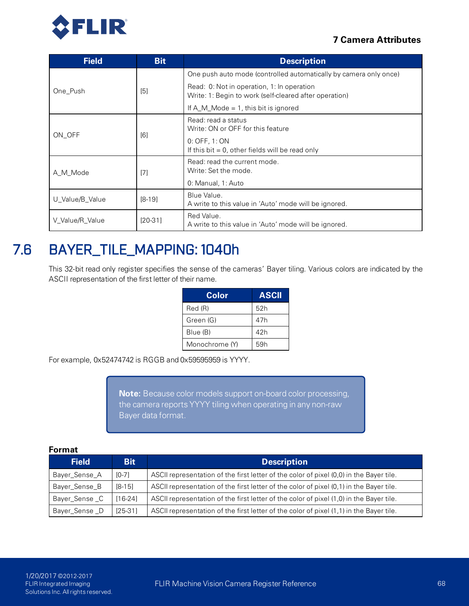

| <b>Field</b>    | <b>Bit</b> | <b>Description</b>                                                                                   |
|-----------------|------------|------------------------------------------------------------------------------------------------------|
|                 | [5]        | One push auto mode (controlled automatically by camera only once)                                    |
| One Push        |            | Read: 0: Not in operation, 1: In operation<br>Write: 1: Begin to work (self-cleared after operation) |
|                 |            | If $A_M$ Mode = 1, this bit is ignored                                                               |
| ON OFF          |            | Read: read a status<br>Write: ON or OFF for this feature                                             |
|                 | [6]        | 0. OFF, 1. ON<br>If this bit $= 0$ , other fields will be read only                                  |
| [7]<br>A M Mode |            | Read: read the current mode.<br>Write: Set the mode.                                                 |
|                 |            | 0: Manual, 1: Auto                                                                                   |
| U_Value/B_Value | $[8-19]$   | Blue Value.<br>A write to this value in 'Auto' mode will be ignored.                                 |
| V Value/R Value | $[20-31]$  | Red Value.<br>A write to this value in 'Auto' mode will be ignored.                                  |

# 7.6 BAYER\_TILE\_MAPPING: 1040h

This 32-bit read only register specifies the sense of the cameras' Bayer tiling. Various colors are indicated by the ASCII representation of the first letter of their name.

| Color          | <b>ASCII</b> |
|----------------|--------------|
| Red (R)        | 52h          |
| Green (G)      | 47h          |
| Blue (B)       | 42h          |
| Monochrome (Y) | 59h          |

For example, 0x52474742 is RGGB and 0x59595959 is YYYY.

**Note:** Because color models support on-board color processing, the camera reports YYYY tiling when operating in any non-raw Bayer data format.

| <b>Field</b>  | <b>Bit</b> | <b>Description</b>                                                                      |
|---------------|------------|-----------------------------------------------------------------------------------------|
| Bayer_Sense_A | $[0-7]$    | ASCII representation of the first letter of the color of pixel (0,0) in the Bayer tile. |
| Bayer_Sense_B | $[8-15]$   | ASCII representation of the first letter of the color of pixel (0,1) in the Bayer tile. |
| Bayer_Sense_C | $[16-24]$  | ASCII representation of the first letter of the color of pixel (1,0) in the Bayer tile. |
| Bayer_Sense_D | $[25-31]$  | ASCII representation of the first letter of the color of pixel (1,1) in the Bayer tile. |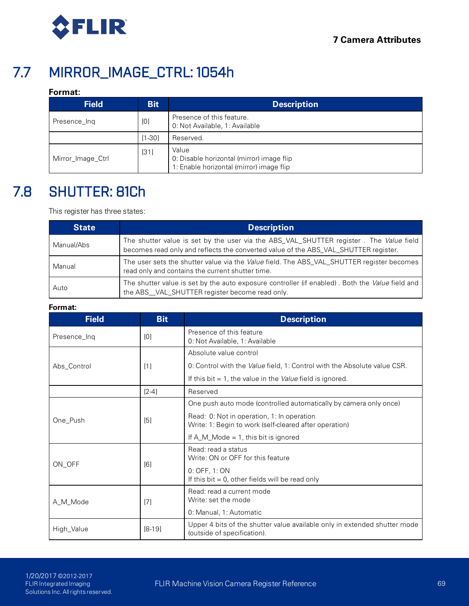

# 7.7 MIRROR\_IMAGE\_CTRL: 1054h

## **Format:**

| <b>Field</b>      | <b>Bit</b> | <b>Description</b>                                                                             |  |
|-------------------|------------|------------------------------------------------------------------------------------------------|--|
| Presence_Ing      | [0]        | Presence of this feature.<br>0: Not Available, 1: Available                                    |  |
|                   | $[1 - 30]$ | Reserved.                                                                                      |  |
| Mirror_Image_Ctrl | [31]       | Value<br>0: Disable horizontal (mirror) image flip<br>1: Enable horizontal (mirror) image flip |  |

# <span id="page-78-0"></span>7.8 SHUTTER: 81Ch

This register has three states:

| <b>State</b> | <b>Description</b>                                                                                                                                                            |
|--------------|-------------------------------------------------------------------------------------------------------------------------------------------------------------------------------|
| Manual/Abs   | The shutter value is set by the user via the ABS_VAL_SHUTTER register. The Value field<br>becomes read only and reflects the converted value of the ABS_VAL_SHUTTER register. |
| Manual       | The user sets the shutter value via the <i>Value</i> field. The ABS_VAL_SHUTTER register becomes<br>read only and contains the current shutter time.                          |
| Auto         | The shutter value is set by the auto exposure controller (if enabled). Both the Value field and<br>the ABS_VAL_SHUTTER register become read only.                             |

| <b>Field</b> | <b>Bit</b>                                                                                                           | <b>Description</b>                                                                                   |  |
|--------------|----------------------------------------------------------------------------------------------------------------------|------------------------------------------------------------------------------------------------------|--|
| Presence_Ing | [0]                                                                                                                  | Presence of this feature<br>0: Not Available, 1: Available                                           |  |
|              |                                                                                                                      | Absolute value control                                                                               |  |
| Abs_Control  | [1]                                                                                                                  | 0: Control with the Value field, 1: Control with the Absolute value CSR.                             |  |
|              |                                                                                                                      | If this bit $= 1$ , the value in the <i>Value</i> field is ignored.                                  |  |
|              | $[2-4]$                                                                                                              | Reserved                                                                                             |  |
|              |                                                                                                                      | One push auto mode (controlled automatically by camera only once)                                    |  |
| One_Push     | [5]                                                                                                                  | Read: 0: Not in operation, 1: In operation<br>Write: 1: Begin to work (self-cleared after operation) |  |
|              |                                                                                                                      | If $A_M$ Mode = 1, this bit is ignored                                                               |  |
| ON_OFF       | [6]                                                                                                                  | Read: read a status<br>Write: ON or OFF for this feature                                             |  |
|              |                                                                                                                      | 0: OFF, 1: ON<br>If this bit $= 0$ , other fields will be read only                                  |  |
| A_M_Mode     | $[7]$                                                                                                                | Read: read a current mode<br>Write: set the mode                                                     |  |
|              |                                                                                                                      | 0: Manual, 1: Automatic                                                                              |  |
| High_Value   | Upper 4 bits of the shutter value available only in extended shutter mode<br>$[8-19]$<br>(outside of specification). |                                                                                                      |  |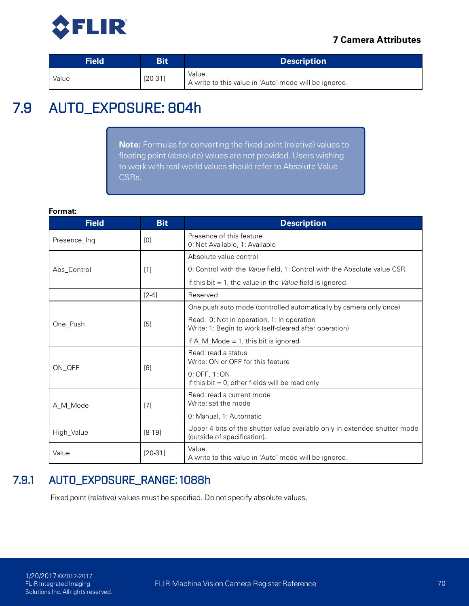

| <b>Field</b> | Bit       | <b>Description</b>                                              |
|--------------|-----------|-----------------------------------------------------------------|
| Value        | $[20-31]$ | Value.<br>A write to this value in 'Auto' mode will be ignored. |

# 7.9 AUTO\_EXPOSURE: 804h

**Note:** Formulas for converting the fixed point (relative) values to floating point (absolute) values are not provided. Users wishing to work with real-world values should refer to Absolute Value CSRs.

#### **Format:**

| <b>Field</b> | <b>Bit</b> | <b>Description</b>                                                                                       |  |  |  |
|--------------|------------|----------------------------------------------------------------------------------------------------------|--|--|--|
| Presence_Ing | [0]        | Presence of this feature<br>0: Not Available, 1: Available                                               |  |  |  |
|              |            | Absolute value control                                                                                   |  |  |  |
| Abs Control  | [1]        | 0: Control with the Value field, 1: Control with the Absolute value CSR.                                 |  |  |  |
|              |            | If this bit $= 1$ , the value in the <i>Value</i> field is ignored.                                      |  |  |  |
|              | $[2-4]$    | Reserved                                                                                                 |  |  |  |
|              |            | One push auto mode (controlled automatically by camera only once)                                        |  |  |  |
| One Push     | [5]        | Read: 0: Not in operation, 1: In operation<br>Write: 1: Begin to work (self-cleared after operation)     |  |  |  |
|              |            | If $A_M$ Mode = 1, this bit is ignored                                                                   |  |  |  |
|              | [6]        | Read: read a status<br>Write: ON or OFF for this feature                                                 |  |  |  |
| ON OFF       |            | 0: OFF, 1: ON                                                                                            |  |  |  |
|              |            | If this bit $= 0$ , other fields will be read only                                                       |  |  |  |
| A_M_Mode     | [7]        | Read: read a current mode<br>Write: set the mode                                                         |  |  |  |
|              |            | 0: Manual, 1: Automatic                                                                                  |  |  |  |
| High_Value   | $[8-19]$   | Upper 4 bits of the shutter value available only in extended shutter mode<br>(outside of specification). |  |  |  |
| Value        | $[20-31]$  | Value.<br>A write to this value in 'Auto' mode will be ignored.                                          |  |  |  |

# 7.9.1 AUTO\_EXPOSURE\_RANGE: 1088h

Fixed point (relative) values must be specified. Do not specify absolute values.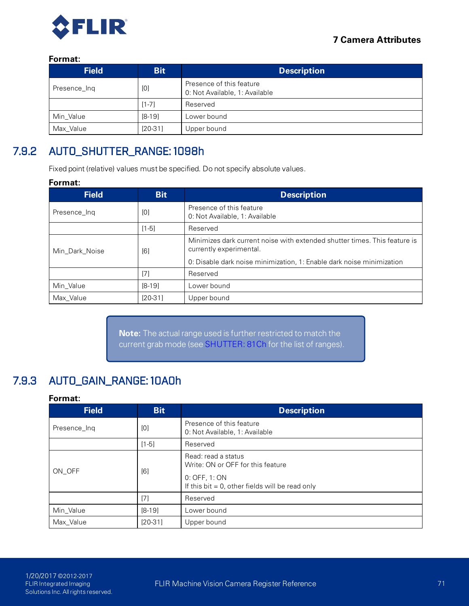

## **Format:**

| <b>Field</b> | <b>Bit</b> | <b>Description</b>                                         |
|--------------|------------|------------------------------------------------------------|
| Presence_Ing | [0]        | Presence of this feature<br>0: Not Available, 1: Available |
|              | $[1 - 7]$  | Reserved                                                   |
| Min Value    | $[8-19]$   | Lower bound                                                |
| Max Value    | $[20-31]$  | Upper bound                                                |

# 7.9.2 AUTO\_SHUTTER\_RANGE: 1098h

Fixed point (relative) values must be specified. Do not specify absolute values.

### **Format:**

| <b>Field</b>   | <b>Bit</b> | <b>Description</b>                                                                                   |
|----------------|------------|------------------------------------------------------------------------------------------------------|
| Presence Ing   | [0]        | Presence of this feature<br>0. Not Available, 1. Available                                           |
|                | $[1-5]$    | Reserved                                                                                             |
| Min_Dark_Noise | [6]        | Minimizes dark current noise with extended shutter times. This feature is<br>currently experimental. |
|                |            | 0: Disable dark noise minimization, 1: Enable dark noise minimization                                |
|                | [7]        | Reserved                                                                                             |
| Min Value      | $[8-19]$   | Lower bound                                                                                          |
| Max Value      | $[20-31]$  | Upper bound                                                                                          |

**Note:** The actual range used is further restricted to match the current grab mode (see [SHUTTER: 81Ch](#page-78-0) for the list of ranges).

# 7.9.3 AUTO\_GAIN\_RANGE: 10A0h

| <b>Field</b> | <b>Bit</b> | <b>Description</b>                                                                                                              |
|--------------|------------|---------------------------------------------------------------------------------------------------------------------------------|
| Presence_Ing | [0]        | Presence of this feature<br>0. Not Available, 1. Available                                                                      |
|              | $[1-5]$    | Reserved                                                                                                                        |
| ON OFF       | [6]        | Read: read a status<br>Write: ON or OFF for this feature<br>0. OFF, 1. ON<br>If this bit $= 0$ , other fields will be read only |
|              | [7]        | Reserved                                                                                                                        |
| Min_Value    | $[8-19]$   | Lower bound                                                                                                                     |
| Max Value    | $[20-31]$  | Upper bound                                                                                                                     |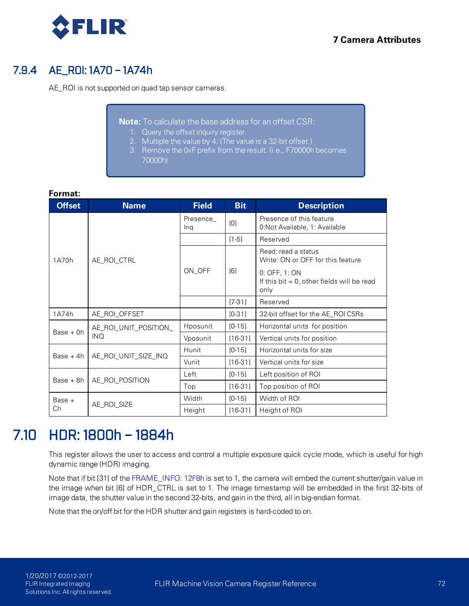

# 7.9.4 AE\_ROI: 1A70 – 1A74h

AE\_ROI is not supported on quad tap sensor cameras.

**Note:** To calculate the base address for an offset CSR:

- 1. Query the offset inquiry register.
- 2. Multiple the value by 4. (The value is a 32-bit offset.)
- 3. Remove the 0xF prefix from the result. (i.e., F70000h becomes 70000h)

**Format:**

| <b>Offset</b> | <b>Name</b>           | <b>Field</b>    | <b>Bit</b> | <b>Description</b>                                                     |
|---------------|-----------------------|-----------------|------------|------------------------------------------------------------------------|
|               |                       | Presence<br>Ing | [0]        | Presence of this feature<br>0 Not Available, 1: Available              |
|               |                       |                 | $[1-5]$    | Reserved                                                               |
| 1A70h         | AE ROI CTRL           |                 |            | Read: read a status<br>Write: ON or OFF for this feature               |
|               |                       | ON_OFF          | [6]        | 0: OFF, 1: ON<br>If this bit $= 0$ , other fields will be read<br>only |
|               |                       |                 | $[7-31]$   | Reserved                                                               |
| 1A74h         | AE ROI OFFSET         |                 | $[0-31]$   | 32-bit offset for the AE ROI CSRs                                      |
| $Base + 0h$   | AE_ROI_UNIT_POSITION_ | Hposunit        | $[0-15]$   | Horizontal units for position                                          |
|               | <b>INQ</b>            | Vposunit        | $[16-31]$  | Vertical units for position                                            |
| Base $+4h$    | AE ROI UNIT SIZE INQ  | Hunit           | $[0-15]$   | Horizontal units for size                                              |
|               |                       | Vunit           | $[16-31]$  | Vertical units for size                                                |
| $Base + 8h$   | AE_ROL POSITION       | Left            | $[0-15]$   | Left position of ROI                                                   |
|               |                       | Top             | $[16-31]$  | Top position of ROI                                                    |
| $Base +$      |                       | Width           | $[0-15]$   | Width of ROI                                                           |
| Ch            | AE_ROI_SIZE           | Height          | $[16-31]$  | Height of ROI                                                          |

# 7.10 HDR: 1800h – 1884h

This register allows the user to access and control a multiple exposure quick cycle mode, which is useful for high dynamic range (HDR) imaging.

Note that if bit [31] of the [FRAME\\_INFO: 12F8h](#page-89-0) is set to 1, the camera will embed the current shutter/gain value in the image when bit [6] of HDR\_CTRL is set to 1. The image timestamp will be embedded in the first 32-bits of image data, the shutter value in the second 32-bits, and gain in the third, all in big-endian format.

Note that the on/off bit for the HDR shutter and gain registers is hard-coded to on.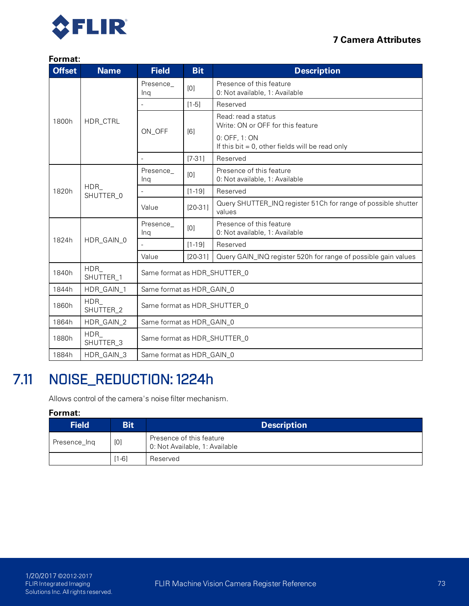

#### **Format:**

| <b>Offset</b> | <b>Name</b>      | <b>Field</b>                 | <b>Bit</b><br><b>Description</b> |                                                                         |  |  |
|---------------|------------------|------------------------------|----------------------------------|-------------------------------------------------------------------------|--|--|
|               |                  | Presence_<br>Ing             | [0]                              | Presence of this feature<br>0. Not available, 1: Available              |  |  |
|               |                  |                              | $[1-5]$                          | Reserved                                                                |  |  |
| 1800h         | HDR_CTRL         |                              | [6]                              | Read: read a status<br>Write: ON or OFF for this feature                |  |  |
|               |                  | ON_OFF                       |                                  | 0: OFF, 1: ON<br>If this bit $= 0$ , other fields will be read only     |  |  |
|               |                  |                              | $[7-31]$                         | Reserved                                                                |  |  |
|               |                  | Presence_<br>Ing             | [0]                              | Presence of this feature<br>0. Not available, 1: Available              |  |  |
| 1820h         | HDR<br>SHUTTER_0 |                              | $[1 - 19]$                       | Reserved                                                                |  |  |
|               |                  | Value                        | $[20-31]$                        | Query SHUTTER_INQ register 51Ch for range of possible shutter<br>values |  |  |
|               |                  | Presence<br>Ing              | [0]                              | Presence of this feature<br>0. Not available, 1: Available              |  |  |
| 1824h         | HDR_GAIN_0       |                              | $[1 - 19]$                       | Reserved                                                                |  |  |
|               |                  | Value                        | $[20-31]$                        | Query GAIN_INQ register 520h for range of possible gain values          |  |  |
| 1840h         | HDR<br>SHUTTER_1 | Same format as HDR_SHUTTER_0 |                                  |                                                                         |  |  |
| 1844h         | HDR_GAIN_1       | Same format as HDR_GAIN_0    |                                  |                                                                         |  |  |
| 1860h         | HDR<br>SHUTTER_2 | Same format as HDR_SHUTTER_0 |                                  |                                                                         |  |  |
| 1864h         | HDR_GAIN_2       | Same format as HDR_GAIN_0    |                                  |                                                                         |  |  |
| 1880h         | HDR<br>SHUTTER_3 | Same format as HDR_SHUTTER_0 |                                  |                                                                         |  |  |
| 1884h         | HDR_GAIN_3       | Same format as HDR_GAIN_0    |                                  |                                                                         |  |  |

# <span id="page-82-0"></span>7.11 NOISE\_REDUCTION: 1224h

Allows control of the camera's noise filter mechanism.

| <b>Field</b> | <b>Bit</b> | <b>Description</b>                                         |
|--------------|------------|------------------------------------------------------------|
| Presence_Ing | [0]        | Presence of this feature<br>0: Not Available, 1: Available |
|              | [1-6]      | Reserved                                                   |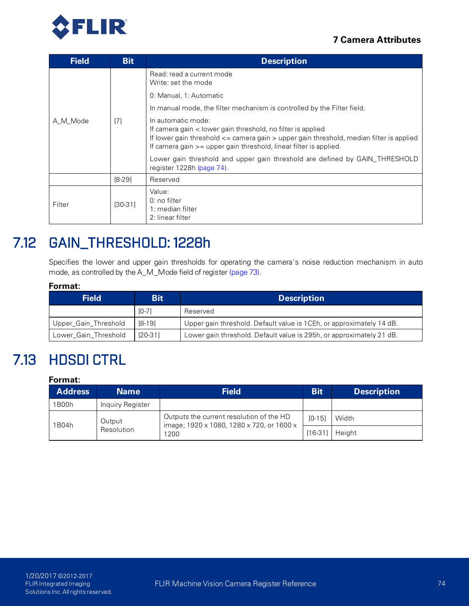



| <b>Field</b> | <b>Bit</b> | <b>Description</b>                                                                                                                                                                                                                                                                                                               |
|--------------|------------|----------------------------------------------------------------------------------------------------------------------------------------------------------------------------------------------------------------------------------------------------------------------------------------------------------------------------------|
|              |            | Read: read a current mode<br>Write: set the mode                                                                                                                                                                                                                                                                                 |
|              |            | 0. Manual, 1: Automatic                                                                                                                                                                                                                                                                                                          |
|              |            | In manual mode, the filter mechanism is controlled by the Filter field.                                                                                                                                                                                                                                                          |
| A M Mode     | [7]        | In automatic mode:<br>If camera gain < lower gain threshold, no filter is applied<br>If lower gain threshold <= camera gain > upper gain threshold, median filter is applied<br>If camera gain >= upper gain threshold, linear filter is applied.<br>Lower gain threshold and upper gain threshold are defined by GAIN_THRESHOLD |
|              | $[8-29]$   | register 1228h (page 74).<br>Reserved                                                                                                                                                                                                                                                                                            |
| Filter       | $[30-31]$  | Value:<br>$0:$ no filter<br>1: median filter<br>2: linear filter                                                                                                                                                                                                                                                                 |

# <span id="page-83-0"></span>7.12 GAIN\_THRESHOLD: 1228h

Specifies the lower and upper gain thresholds for operating the camera's noise reduction mechanism in auto mode, as controlled by the A\_M\_Mode field of register [\(page 73\)](#page-82-0).

## **Format:**

| <b>Field</b>         | <b>Bit</b> | <b>Description</b>                                                   |
|----------------------|------------|----------------------------------------------------------------------|
|                      | $[0-7]$    | Reserved                                                             |
| Upper_Gain_Threshold | [8-19]     | Upper gain threshold. Default value is 1CEh, or approximately 14 dB. |
| Lower_Gain_Threshold | [20-31]    | Lower gain threshold. Default value is 295h, or approximately 21 dB. |

# 7.13 HDSDI CTRL

| <b>Address</b> | <b>Name</b>          | <b>Field</b>                                                                          | <b>Bit</b> | <b>Description</b> |
|----------------|----------------------|---------------------------------------------------------------------------------------|------------|--------------------|
| 1B00h          | Inquiry Register     |                                                                                       |            |                    |
| 1B04h          | Output<br>Resolution | Outputs the current resolution of the HD<br>image; 1920 x 1080, 1280 x 720, or 1600 x | $[0-15]$   | Width              |
|                |                      | 1200                                                                                  | $[16-31]$  | Height             |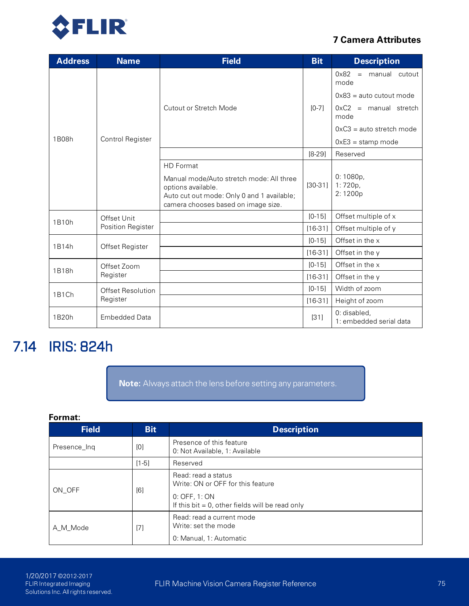

| <b>Address</b>       | <b>Name</b>          | <b>Field</b>                                                                                                                                                            | <b>Bit</b> | <b>Description</b>                                             |
|----------------------|----------------------|-------------------------------------------------------------------------------------------------------------------------------------------------------------------------|------------|----------------------------------------------------------------|
|                      |                      |                                                                                                                                                                         |            | $0x82 =$<br>manual cutout<br>mode<br>$0x83$ = auto cutout mode |
|                      |                      | <b>Cutout or Stretch Mode</b>                                                                                                                                           | $[0-7]$    | $0xC2$ = manual stretch<br>mode                                |
|                      |                      |                                                                                                                                                                         |            | $0xC3 = auto stretch mode$                                     |
| 1B08h                | Control Register     |                                                                                                                                                                         |            | $0xE3 =$ stamp mode                                            |
|                      |                      |                                                                                                                                                                         | $[8-29]$   | Reserved                                                       |
|                      |                      | <b>HD</b> Format<br>Manual mode/Auto stretch mode: All three<br>options available.<br>Auto cut out mode: Only 0 and 1 available;<br>camera chooses based on image size. | $[30-31]$  | 0:1080p,<br>1:720p,<br>2:1200p                                 |
| Offset Unit<br>1B10h |                      |                                                                                                                                                                         | $[0-15]$   | Offset multiple of x                                           |
|                      | Position Register    |                                                                                                                                                                         | $[16-31]$  | Offset multiple of y                                           |
| 1B14h                |                      |                                                                                                                                                                         | $[0-15]$   | Offset in the x                                                |
|                      | Offset Register      |                                                                                                                                                                         | $[16-31]$  | Offset in the y                                                |
| 1B18h                | Offset Zoom          |                                                                                                                                                                         | $[0 - 15]$ | Offset in the x                                                |
|                      | Register             |                                                                                                                                                                         | $[16-31]$  | Offset in the y                                                |
| 1B1Ch                | Offset Resolution    |                                                                                                                                                                         | $[0-15]$   | Width of zoom                                                  |
|                      | Register             |                                                                                                                                                                         | $[16-31]$  | Height of zoom                                                 |
| 1B20h                | <b>Embedded Data</b> |                                                                                                                                                                         | $[31]$     | 0: disabled,<br>1: embedded serial data                        |

# 7.14 IRIS: 824h

**Note:** Always attach the lens before setting any parameters.

| <b>Field</b> | <b>Bit</b> | <b>Description</b>                                                                                                              |
|--------------|------------|---------------------------------------------------------------------------------------------------------------------------------|
| Presence Ing | [0]        | Presence of this feature<br>0: Not Available, 1: Available                                                                      |
|              | $[1-5]$    | Reserved                                                                                                                        |
| ON_OFF       | [6]        | Read: read a status<br>Write: ON or OFF for this feature<br>0. OFF, 1. ON<br>If this bit $= 0$ , other fields will be read only |
| A M Mode     | $[7]$      | Read: read a current mode<br>Write: set the mode<br>0. Manual, 1: Automatic                                                     |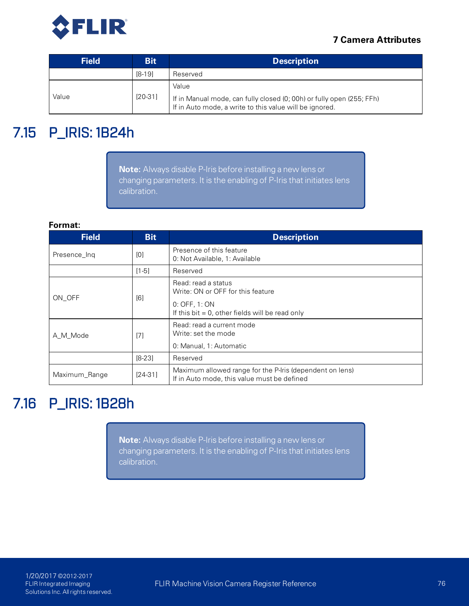

| <b>Field</b> | <b>Bit</b> | <b>Description</b>                                                                                                                        |
|--------------|------------|-------------------------------------------------------------------------------------------------------------------------------------------|
|              | $[8-19]$   | Reserved                                                                                                                                  |
| Value        | $[20-31]$  | Value<br>If in Manual mode, can fully closed (0; 00h) or fully open (255; FFh)<br>If in Auto mode, a write to this value will be ignored. |

# 7.15 P\_IRIS: 1B24h

**Note:** Always disable P-Iris before installing a new lens or changing parameters. It is the enabling of P-Iris that initiates lens calibration.

#### **Format:**

| <b>Field</b>  | <b>Bit</b> | <b>Description</b>                                                                                      |
|---------------|------------|---------------------------------------------------------------------------------------------------------|
| Presence_Ing  | [0]        | Presence of this feature<br>0: Not Available, 1: Available                                              |
|               | $[1-5]$    | Reserved                                                                                                |
| ON OFF        | [6]        | Read: read a status<br>Write: ON or OFF for this feature                                                |
|               |            | 0. OFF, 1. ON<br>If this bit $= 0$ , other fields will be read only                                     |
| A_M_Mode      | $[7]$      | Read: read a current mode<br>Write: set the mode                                                        |
|               |            | 0: Manual, 1: Automatic                                                                                 |
|               | $[8-23]$   | Reserved                                                                                                |
| Maximum_Range | $[24-31]$  | Maximum allowed range for the P-Iris (dependent on lens)<br>If in Auto mode, this value must be defined |

# 7.16 P\_IRIS: 1B28h

**Note:** Always disable P-Iris before installing a new lens or changing parameters. It is the enabling of P-Iris that initiates lens calibration.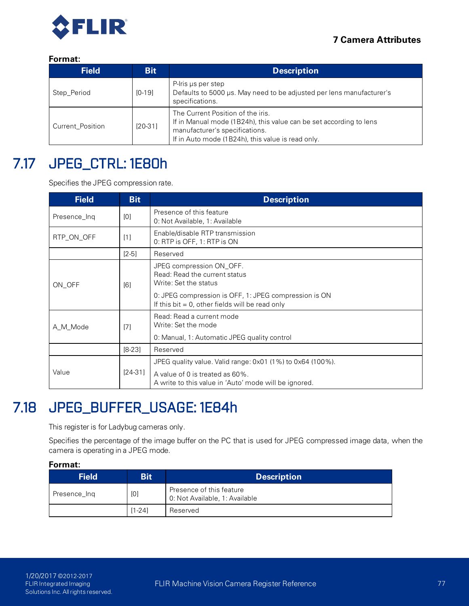

## **Format:**

| <b>Field</b>     | <b>Bit</b> | <b>Description</b>                                                                                                                                                                             |
|------------------|------------|------------------------------------------------------------------------------------------------------------------------------------------------------------------------------------------------|
| Step_Period      | $[0-19]$   | P-Iris us per step<br>Defaults to 5000 µs. May need to be adjusted per lens manufacturer's<br>specifications.                                                                                  |
| Current Position | $[20-31]$  | The Current Position of the iris.<br>If in Manual mode (1B24h), this value can be set according to lens<br>manufacturer's specifications.<br>If in Auto mode (1B24h), this value is read only. |

# 7.17 JPEG\_CTRL: 1E80h

Specifies the JPEG compression rate.

| <b>Field</b> | <b>Bit</b> | <b>Description</b>                                                                                          |  |
|--------------|------------|-------------------------------------------------------------------------------------------------------------|--|
| Presence_Ing | [0]        | Presence of this feature<br>0: Not Available, 1: Available                                                  |  |
| RTP_ON_OFF   | [1]        | Enable/disable RTP transmission<br>0: RTP is OFF, 1: RTP is ON                                              |  |
|              | $[2-5]$    | Reserved                                                                                                    |  |
| ON OFF       | [6]        | JPEG compression ON_OFF.<br>Read: Read the current status<br>Write: Set the status                          |  |
|              |            | 0: JPEG compression is OFF, 1: JPEG compression is ON<br>If this bit $= 0$ , other fields will be read only |  |
| A M Mode     | [7]        | Read: Read a current mode<br>Write: Set the mode                                                            |  |
|              |            | 0. Manual, 1: Automatic JPEG quality control                                                                |  |
|              | $[8-23]$   | Reserved                                                                                                    |  |
|              |            | JPEG quality value. Valid range: $0 \times 01$ (1%) to $0 \times 64$ (100%).                                |  |
| Value        | $[24-31]$  | A value of 0 is treated as 60%.<br>A write to this value in 'Auto' mode will be ignored.                    |  |

# 7.18 JPEG\_BUFFER\_USAGE: 1E84h

This register is for Ladybug cameras only.

Specifies the percentage of the image buffer on the PC that is used for JPEG compressed image data, when the camera is operating in a JPEG mode.

| <b>Field</b> | <b>Bit</b> | <b>Description</b>                                         |
|--------------|------------|------------------------------------------------------------|
| Presence Ing | [0]        | Presence of this feature<br>0: Not Available, 1: Available |
|              | $[1 - 24]$ | Reserved                                                   |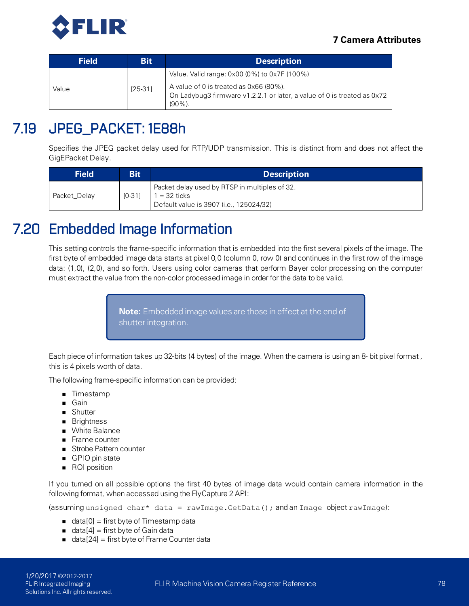

| <b>Field</b> | <b>Bit</b> | <b>Description</b>                                                                                                            |
|--------------|------------|-------------------------------------------------------------------------------------------------------------------------------|
|              |            | Value. Valid range: 0x00 (0%) to 0x7F (100%)                                                                                  |
| Value        | $[25-31]$  | A value of 0 is treated as 0x66 (80%).<br>On Ladybug3 firmware v1.2.2.1 or later, a value of 0 is treated as 0x72<br>$(90\%)$ |

# 7.19 JPEG\_PACKET: 1E88h

Specifies the JPEG packet delay used for RTP/UDP transmission. This is distinct from and does not affect the GigEPacket Delay.

| <b>Field</b> | <b>Bit</b> | <b>Description</b>                                                                                       |
|--------------|------------|----------------------------------------------------------------------------------------------------------|
| Packet Delay | $[0 - 31]$ | Packet delay used by RTSP in multiples of 32.<br>1 = 32 ticks<br>Default value is 3907 (i.e., 125024/32) |

# 7.20 Embedded Image Information

This setting controls the frame-specific information that is embedded into the first several pixels of the image. The first byte of embedded image data starts at pixel 0,0 (column 0, row 0) and continues in the first row of the image data: (1,0), (2,0), and so forth. Users using color cameras that perform Bayer color processing on the computer must extract the value from the non-color processed image in order for the data to be valid.

> **Note:** Embedded image values are those in effect at the end of shutter integration.

Each piece of information takes up 32-bits (4 bytes) of the image. When the camera is using an 8- bit pixel format , this is 4 pixels worth of data.

The following frame-specific information can be provided:

- **n** Timestamp
- **n** Gain
- **n** Shutter
- **n** Brightness
- **Nhite Balance**
- Frame counter
- **n** Strobe Pattern counter
- GPIO pin state
- ROI position

If you turned on all possible options the first 40 bytes of image data would contain camera information in the following format, when accessed using the FlyCapture 2 API:

(assuming unsigned char\* data = rawImage.GetData(); and an Image object rawImage):

- data $[0]$  = first byte of Timestamp data
- data $[4]$  = first byte of Gain data
- $\blacksquare$  data[24] = first byte of Frame Counter data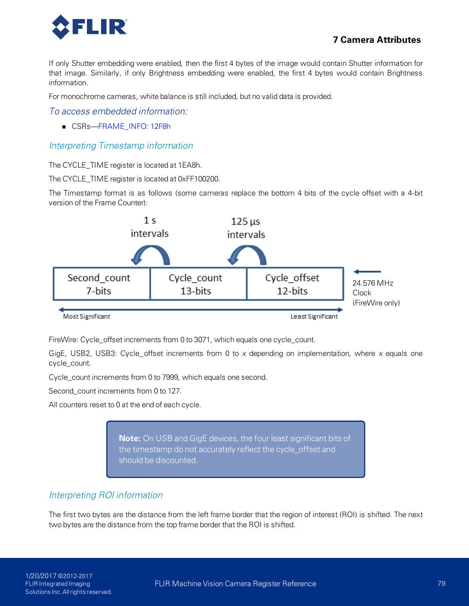

If only Shutter embedding were enabled, then the first 4 bytes of the image would contain Shutter information for that image. Similarly, if only Brightness embedding were enabled, the first 4 bytes would contain Brightness information.

For monochrome cameras, white balance is still included, but no valid data is provided.

## *To access embedded information:*

■ CSRs—FRAME\_INFO: 12F8h

## <span id="page-88-1"></span>*Interpreting Timestamp information*

The CYCLE\_TIME register is located at 1EA8h.

The CYCLE\_TIME register is located at 0xFF100200.

The Timestamp format is as follows (some cameras replace the bottom 4 bits of the cycle offset with a 4-bit version of the Frame Counter):



FireWire: Cycle\_offset increments from 0 to 3071, which equals one cycle\_count.

GigE, USB2, USB3: Cycle\_ offset increments from 0 to *x* depending on implementation, where *x* equals one cycle\_count.

Cycle\_count increments from 0 to 7999, which equals one second.

Second\_count increments from 0 to 127.

All counters reset to 0 at the end of each cycle.

**Note:** On USB and GigE devices, the four least significant bits of the timestamp do not accurately reflect the cycle\_offset and should be discounted.

## <span id="page-88-0"></span>*Interpreting ROI information*

The first two bytes are the distance from the left frame border that the region of interest (ROI) is shifted. The next two bytes are the distance from the top frame border that the ROI is shifted.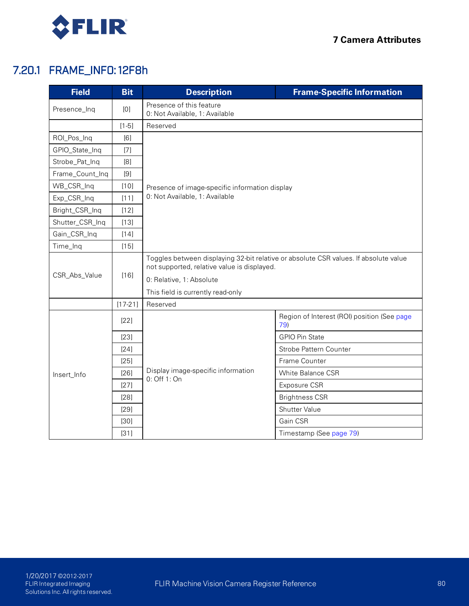

# 7.20.1 FRAME\_INFO: 12F8h

<span id="page-89-0"></span>

| <b>Field</b>    | <b>Bit</b> | <b>Description</b>                                         | <b>Frame-Specific Information</b>                                                    |  |  |  |
|-----------------|------------|------------------------------------------------------------|--------------------------------------------------------------------------------------|--|--|--|
| Presence_Inq    | [0]        | Presence of this feature<br>0: Not Available, 1: Available |                                                                                      |  |  |  |
|                 | $[1-5]$    | Reserved                                                   |                                                                                      |  |  |  |
| ROI_Pos_Inq     | [6]        |                                                            |                                                                                      |  |  |  |
| GPIO_State_Inq  | $[7]$      |                                                            |                                                                                      |  |  |  |
| Strobe_Pat_Inq  | [8]        | Presence of image-specific information display             |                                                                                      |  |  |  |
| Frame_Count_Inq | $[9]$      |                                                            |                                                                                      |  |  |  |
| WB_CSR_Inq      | $[10]$     |                                                            |                                                                                      |  |  |  |
| Exp_CSR_Inq     | [11]       | 0. Not Available, 1: Available                             |                                                                                      |  |  |  |
| Bright_CSR_Inq  | $[12]$     |                                                            |                                                                                      |  |  |  |
| Shutter_CSR_Inq | $[13]$     |                                                            |                                                                                      |  |  |  |
| Gain_CSR_Inq    | $[14]$     |                                                            |                                                                                      |  |  |  |
| Time_Inq        | $[15]$     |                                                            |                                                                                      |  |  |  |
| CSR_Abs_Value   | $[16]$     | not supported, relative value is displayed.                | Toggles between displaying 32-bit relative or absolute CSR values. If absolute value |  |  |  |
|                 |            | 0: Relative, 1: Absolute                                   |                                                                                      |  |  |  |
|                 |            | This field is currently read-only                          |                                                                                      |  |  |  |
|                 | $[17-21]$  | Reserved                                                   |                                                                                      |  |  |  |
|                 | $[22]$     |                                                            | Region of Interest (ROI) position (See page<br>79)                                   |  |  |  |
|                 | $[23]$     |                                                            | <b>GPIO Pin State</b>                                                                |  |  |  |
|                 | $[24]$     |                                                            | Strobe Pattern Counter                                                               |  |  |  |
|                 | $[25]$     |                                                            | Frame Counter                                                                        |  |  |  |
| Insert_Info     | $[26]$     | Display image-specific information<br>0: Off 1: On         | <b>White Balance CSR</b>                                                             |  |  |  |
|                 | [27]       |                                                            | Exposure CSR                                                                         |  |  |  |
|                 | $[28]$     |                                                            | <b>Brightness CSR</b>                                                                |  |  |  |
|                 | $[29]$     |                                                            | Shutter Value                                                                        |  |  |  |
|                 | $[30]$     |                                                            | Gain CSR                                                                             |  |  |  |
|                 | $[31]$     |                                                            | Timestamp (See page 79)                                                              |  |  |  |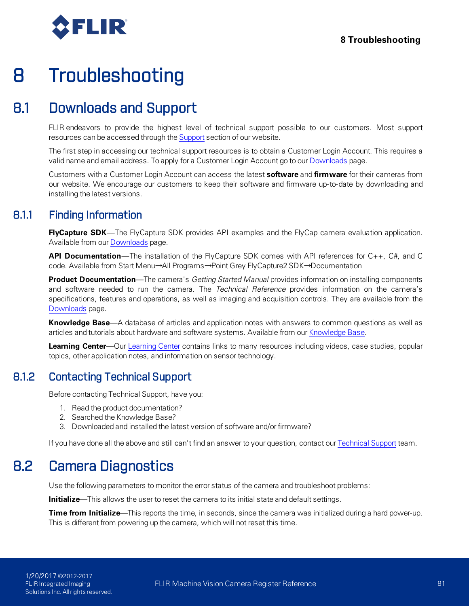

# 8 Troubleshooting

# 8.1 Downloads and Support

FLIR endeavors to provide the highest level of technical support possible to our customers. Most support resources can be accessed through the [Support](http://www.ptgrey.com/support) section of our website.

The first step in accessing our technical support resources is to obtain a Customer Login Account. This requires a valid name and email address. To apply for a Customer Login Account go to our [Downloads](http://www.ptgrey.com/support/downloads/) page.

Customers with a Customer Login Account can access the latest **software** and **firmware** for their cameras from our website. We encourage our customers to keep their software and firmware up-to-date by downloading and installing the latest versions.

# 8.1.1 Finding Information

**FlyCapture SDK**—The FlyCapture SDK provides API examples and the FlyCap camera evaluation application. Available from our [Downloads](http://www.ptgrey.com/support/downloads) page.

**API Documentation**—The installation of the FlyCapture SDK comes with API references for C++, C#, and C code. Available from Start Menu→All Programs→Point Grey FlyCapture2 SDK→Documentation

**Product Documentation**—The camera's *Getting Started Manual* provides information on installing components and software needed to run the camera. The *Technical Reference* provides information on the camera's specifications, features and operations, as well as imaging and acquisition controls. They are available from the [Downloads](http://www.ptgrey.com/support/downloads) page.

**Knowledge Base**—A database of articles and application notes with answers to common questions as well as articles and tutorials about hardware and software systems. Available from our [Knowledge](http://www.ptgrey.com/support/knowledge-base) Base.

**Learning Center**—Our [Learning](https://www.ptgrey.com/Learningcenter) Center contains links to many resources including videos, case studies, popular topics, other application notes, and information on sensor technology.

# 8.1.2 Contacting Technical Support

Before contacting Technical Support, have you:

- 1. Read the product documentation?
- 2. Searched the Knowledge Base?
- 3. Downloaded and installed the latest version of software and/or firmware?

If you have done all the above and still can't find an answer to your question, contact our [Technical](http://www.ptgrey.com/support/ticket) Support team.

# 8.2 Camera Diagnostics

Use the following parameters to monitor the error status of the camera and troubleshoot problems:

**Initialize**—This allows the user to reset the camera to its initial state and default settings.

**Time from Initialize**—This reports the time, in seconds, since the camera was initialized during a hard power-up. This is different from powering up the camera, which will not reset this time.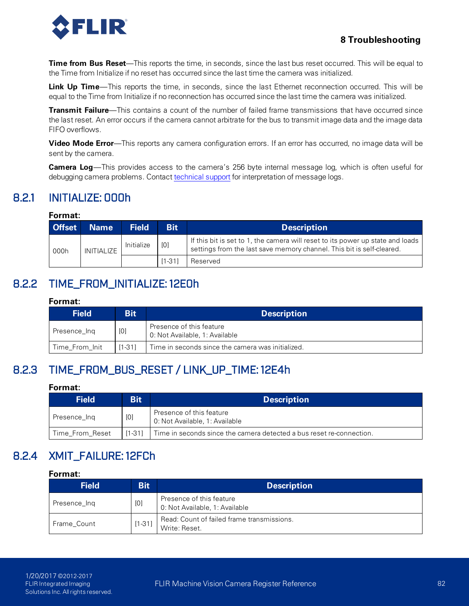

## **8 Troubleshooting**

**Time from Bus Reset**—This reports the time, in seconds, since the last bus reset occurred. This will be equal to the Time from Initialize if no reset has occurred since the last time the camera was initialized.

**Link Up Time**—This reports the time, in seconds, since the last Ethernet reconnection occurred. This will be equal to the Time from Initialize if no reconnection has occurred since the last time the camera was initialized.

**Transmit Failure**—This contains a count of the number of failed frame transmissions that have occurred since the last reset. An error occurs if the camera cannot arbitrate for the bus to transmit image data and the image data FIFO overflows.

**Video Mode Error**—This reports any camera configuration errors. If an error has occurred, no image data will be sent by the camera.

**Camera Log**—This provides access to the camera's 256 byte internal message log, which is often useful for debugging camera problems. Contact [technical](http://www.ptgrey.com/support/contact-us) support for interpretation of message logs.

# 8.2.1 INITIALIZE: 000h

## **Format:**

| <b>Offset</b>      | <b>Name</b> | <b>Field</b> | <b>Bit</b>                                                                                                                                                | <b>Description</b> |
|--------------------|-------------|--------------|-----------------------------------------------------------------------------------------------------------------------------------------------------------|--------------------|
| INITIALIZE<br>000h | Initialize  | [0]          | If this bit is set to 1, the camera will reset to its power up state and loads  <br>settings from the last save memory channel. This bit is self-cleared. |                    |
|                    |             |              | $[1 - 31]$                                                                                                                                                | Reserved           |

## 8.2.2 TIME\_FROM\_INITIALIZE: 12E0h

#### **Format:**

| <b>Field</b>   | Bit        | <b>Description</b>                                         |  |  |  |  |
|----------------|------------|------------------------------------------------------------|--|--|--|--|
| Presence_Ing   | [0]        | Presence of this feature<br>0: Not Available, 1: Available |  |  |  |  |
| Time_From_Init | $[1 - 31]$ | Time in seconds since the camera was initialized.          |  |  |  |  |

# 8.2.3 TIME\_FROM\_BUS\_RESET / LINK\_UP\_TIME: 12E4h

#### **Format:**

| <b>Field</b>    | <b>Bit</b> | <b>Description</b>                                                   |
|-----------------|------------|----------------------------------------------------------------------|
| Presence_Ing    | [0]        | Presence of this feature<br>0: Not Available, 1: Available           |
| Time From Reset | $[1-31]$   | Time in seconds since the camera detected a bus reset re-connection. |

# 8.2.4 XMIT\_FAILURE: 12FCh

| <b>Field</b> | <b>Bit</b> | <b>Description</b>                                          |
|--------------|------------|-------------------------------------------------------------|
| Presence Ing | [0]        | Presence of this feature<br>0. Not Available, 1: Available  |
| Frame Count  | $[1 - 31]$ | Read: Count of failed frame transmissions.<br>Write: Reset. |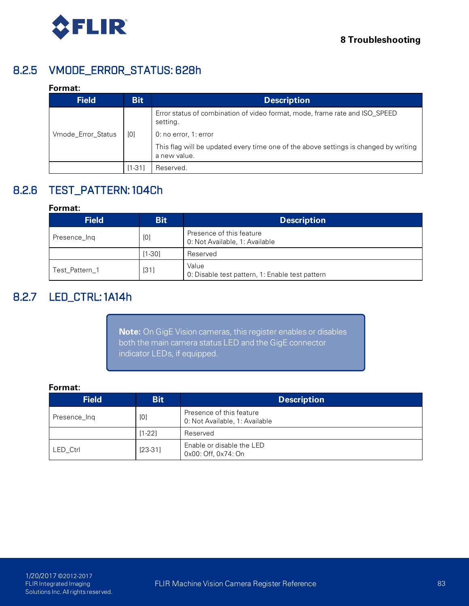

# 8.2.5 VMODE\_ERROR\_STATUS: 628h

### **Format:**

| <b>Field</b>       | <b>Bit</b> | <b>Description</b>                                                                                   |
|--------------------|------------|------------------------------------------------------------------------------------------------------|
|                    |            | Error status of combination of video format, mode, frame rate and ISO SPEED<br>setting.              |
| Vmode Error Status | [0]        | 0. no error, 1. error                                                                                |
|                    |            | This flag will be updated every time one of the above settings is changed by writing<br>a new value. |
|                    | 11-311     | Reserved.                                                                                            |

# 8.2.6 TEST\_PATTERN: 104Ch

### **Format:**

| <b>Field</b>   | <b>Bit</b> | <b>Description</b>                                         |
|----------------|------------|------------------------------------------------------------|
| Presence Ing   | [0]        | Presence of this feature<br>0: Not Available, 1: Available |
|                | [1-30]     | Reserved                                                   |
| Test Pattern 1 | [31]       | Value<br>0: Disable test pattern, 1: Enable test pattern   |

# 8.2.7 LED\_CTRL: 1A14h

**Note:** On GigE Vision cameras, this register enables or disables both the main camera status LED and the GigE connector indicator LEDs, if equipped.

| <b>Field</b> | <b>Bit</b> | <b>Description</b>                                         |
|--------------|------------|------------------------------------------------------------|
| Presence_Ing | [0]        | Presence of this feature<br>0: Not Available, 1: Available |
|              | $[1-22]$   | Reserved                                                   |
| LED Ctrl     | $[23-31]$  | Enable or disable the LED<br>0x00: Off, 0x74: On           |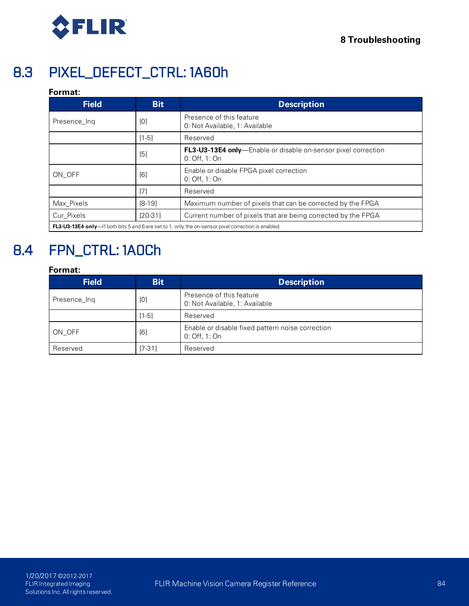

# 8.3 PIXEL\_DEFECT\_CTRL: 1A60h

## **Format:**

| <b>Field</b>                                                                                                | <b>Bit</b> | <b>Description</b>                                                                     |  |  |  |
|-------------------------------------------------------------------------------------------------------------|------------|----------------------------------------------------------------------------------------|--|--|--|
| Presence_Inq                                                                                                | [0]        | Presence of this feature<br>0: Not Available, 1: Available                             |  |  |  |
|                                                                                                             | $[1-5]$    | Reserved                                                                               |  |  |  |
|                                                                                                             | [5]        | <b>FL3-U3-13E4 only</b> —Enable or disable on-sensor pixel correction<br>0. Off, 1. On |  |  |  |
| ON OFF                                                                                                      | [6]        | Enable or disable FPGA pixel correction<br>0. Off, 1. On                               |  |  |  |
|                                                                                                             | [7]        | Reserved                                                                               |  |  |  |
| Max Pixels                                                                                                  | $[8-19]$   | Maximum number of pixels that can be corrected by the FPGA                             |  |  |  |
| Cur Pixels                                                                                                  | $[20-31]$  | Current number of pixels that are being corrected by the FPGA                          |  |  |  |
| <b>FL3-U3-13E4 only</b> —If both bits 5 and 6 are set to 1, only the on-sensor pixel correction is enabled. |            |                                                                                        |  |  |  |

# 8.4 FPN\_CTRL: 1A0Ch

| <b>Field</b> | <b>Bit</b> | <b>Description</b>                                                |
|--------------|------------|-------------------------------------------------------------------|
| Presence_Ing | [0]        | Presence of this feature<br>0: Not Available, 1: Available        |
|              | $[1-5]$    | Reserved                                                          |
| ON OFF       | [6]        | Enable or disable fixed pattern noise correction<br>0: Off, 1: On |
| Reserved     | $[7-31]$   | Reserved                                                          |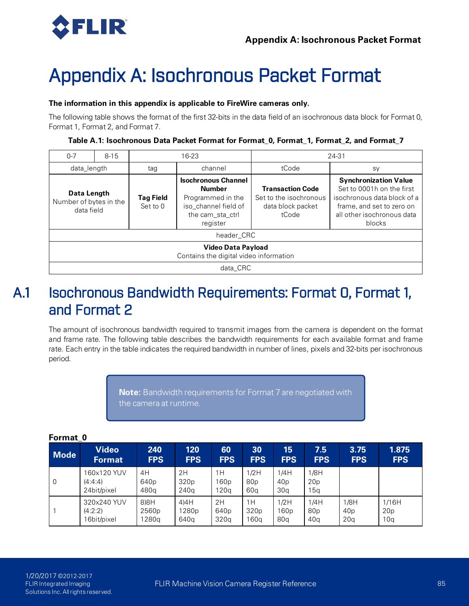

# Appendix A: Isochronous Packet Format

### **The information in this appendix is applicable to FireWire cameras only.**

The following table shows the format of the first 32-bits in the data field of an isochronous data block for Format 0, Format 1, Format 2, and Format 7.

| $0 - 7$                                                             | $8 - 15$ |                                                                                                                                                            | $16 - 23$  | 24-31                                                                           |                                                                                                                                                               |  |  |
|---------------------------------------------------------------------|----------|------------------------------------------------------------------------------------------------------------------------------------------------------------|------------|---------------------------------------------------------------------------------|---------------------------------------------------------------------------------------------------------------------------------------------------------------|--|--|
| data_length                                                         |          | tag                                                                                                                                                        | channel    | tCode                                                                           | sy                                                                                                                                                            |  |  |
| Data Length<br>Number of bytes in the<br>data field                 |          | <b>Isochronous Channel</b><br><b>Number</b><br><b>Tag Field</b><br>Programmed in the<br>iso_channel field of<br>Set to $0$<br>the cam sta ctrl<br>register |            | <b>Transaction Code</b><br>Set to the isochronous<br>data block packet<br>tCode | <b>Synchronization Value</b><br>Set to 0001h on the first<br>isochronous data block of a<br>frame, and set to zero on<br>all other isochronous data<br>blocks |  |  |
|                                                                     |          |                                                                                                                                                            | header CRC |                                                                                 |                                                                                                                                                               |  |  |
| <b>Video Data Payload</b><br>Contains the digital video information |          |                                                                                                                                                            |            |                                                                                 |                                                                                                                                                               |  |  |
| data CRC                                                            |          |                                                                                                                                                            |            |                                                                                 |                                                                                                                                                               |  |  |

# A.1 Isochronous Bandwidth Requirements: Format 0, Format 1, and Format 2

The amount of isochronous bandwidth required to transmit images from the camera is dependent on the format and frame rate. The following table describes the bandwidth requirements for each available format and frame rate. Each entry in the table indicates the required bandwidth in number of lines, pixels and 32-bits per isochronous period.

> **Note:** Bandwidth requirements for Format 7 are negotiated with the camera at runtime.

| <b>Mode</b>    | <b>Video</b>                          | 240                            | 120                            | 60                 | 30                             | 15                                         | 7.5                            | 3.75            | 1.875           |
|----------------|---------------------------------------|--------------------------------|--------------------------------|--------------------|--------------------------------|--------------------------------------------|--------------------------------|-----------------|-----------------|
|                | <b>Format</b>                         | <b>FPS</b>                     | <b>FPS</b>                     | <b>FPS</b>         | <b>FPS</b>                     | <b>FPS</b>                                 | <b>FPS</b>                     | <b>FPS</b>      | <b>FPS</b>      |
| $\overline{0}$ | 160x120 YUV<br>(4:4:4)<br>24bit/pixel | 4H<br>640 <sub>p</sub><br>480a | 2H<br>320 <sub>p</sub><br>240q | 1H<br>160p<br>120a | 1/2H<br>80 <sub>p</sub><br>60a | 1/4H<br>40 <sub>p</sub><br>30 <sub>q</sub> | 1/8H<br>20 <sub>p</sub><br>15q |                 |                 |
|                | 320x240 YUV                           | 8)8H                           | 4)4H                           | 2H                 | 1H                             | 1/2H                                       | 1/4H                           | 1/8H            | 1/16H           |
|                | (4:2:2)                               | 2560p                          | 1280p                          | 640 <sub>p</sub>   | 320 <sub>p</sub>               | 160p                                       | 80p                            | 40 <sub>p</sub> | 20 <sub>p</sub> |
|                | 16bit/pixel                           | 1280a                          | 640a                           | 320q               | 160a                           | 80a                                        | 40 <sub>q</sub>                | 20 <sub>q</sub> | 10 <sub>q</sub> |

## **Format\_0**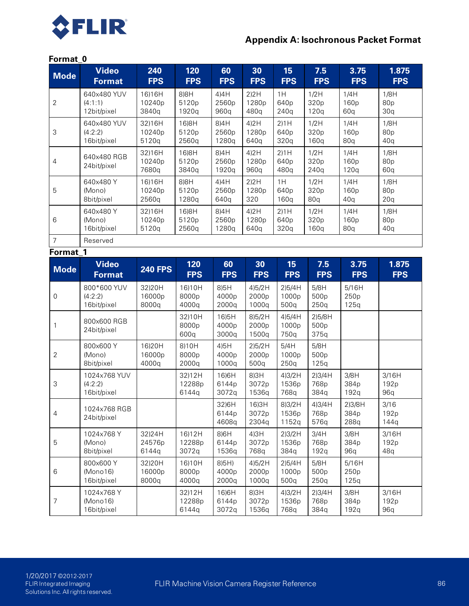

## **Appendix A: Isochronous Packet Format**

#### **Format\_0**

| <b>Mode</b>    | <b>Video</b><br><b>Format</b>          | 240<br><b>FPS</b>         | 120<br><b>FPS</b>         | 60<br><b>FPS</b>                         | 30<br><b>FPS</b>                  | 15<br><b>FPS</b>         | 7.5<br><b>FPS</b>      | 3.75<br><b>FPS</b>     | 1.875<br><b>FPS</b>              |
|----------------|----------------------------------------|---------------------------|---------------------------|------------------------------------------|-----------------------------------|--------------------------|------------------------|------------------------|----------------------------------|
| $\overline{2}$ | 640x480 YUV<br>(4:1:1)<br>12bit/pixel  | 16)16H<br>10240p<br>3840q | H(8)<br>5120p<br>1920q    | 4)4H<br>2560p<br>960q                    | 2)2H<br>1280p<br>480q             | 1H<br>640p<br>240q       | 1/2H<br>320p<br>120q   | 1/4H<br>160p<br>60q    | 1/8H<br>80p<br>30q               |
| $\mathsf 3$    | 640x480 YUV<br>(4:2:2)<br>16bit/pixel  | 32)16H<br>10240p<br>5120g | 16)8H<br>5120p<br>2560q   | 8)4H<br>2560p<br>1280q                   | 4)2H<br>1280p<br>640q             | 2)1H<br>640p<br>320q     | 1/2H<br>320p<br>160q   | 1/4H<br>160p<br>80q    | 1/8H<br>80 <sub>p</sub><br>40q   |
| $\overline{4}$ | 640x480 RGB<br>24bit/pixel             | 32)16H<br>10240p<br>7680q | 16)8H<br>5120p<br>3840q   | 8)4H<br>2560p<br>1920q                   | 4)2H<br>1280 <sub>p</sub><br>960q | 2)1H<br>640p<br>480q     | 1/2H<br>320p<br>240q   | 1/4H<br>160p<br>120q   | 1/8H<br>80p<br>60q               |
| 5              | 640x480Y<br>(Mono)<br>8bit/pixel       | 16)16H<br>10240p<br>2560q | B(8)<br>5120p<br>1280q    | 4)4H<br>2560p<br>640q                    | 2)2H<br>1280p<br>320              | 1H<br>640p<br>160q       | 1/2H<br>320p<br>80q    | 1/4H<br>160p<br>40q    | 1/8H<br>80 <sub>p</sub><br>20q   |
| $6\,$          | 640x480Y<br>(Mono)<br>16bit/pixel      | 32)16H<br>10240p<br>5120q | 16)8H<br>5120p<br>2560q   | 8)4H<br>2560p<br>1280q                   | 4)2H<br>1280p<br>640q             | 2)1H<br>640p<br>320q     | 1/2H<br>320p<br>160q   | 1/4H<br>160p<br>80q    | 1/8H<br>80p<br>40q               |
| $\overline{7}$ | Reserved                               |                           |                           |                                          |                                   |                          |                        |                        |                                  |
| Format_1       |                                        |                           |                           |                                          |                                   |                          |                        |                        |                                  |
| <b>Mode</b>    | <b>Video</b><br><b>Format</b>          | <b>240 FPS</b>            | 120<br><b>FPS</b>         | 60<br><b>FPS</b>                         | 30<br><b>FPS</b>                  | 15<br><b>FPS</b>         | 7.5<br><b>FPS</b>      | 3.75<br><b>FPS</b>     | 1.875<br><b>FPS</b>              |
| 0              | 800*600 YUV<br>(4.2.2)<br>16bit/pixel  | 32)20H<br>16000p<br>8000q | 16)10H<br>8000p<br>4000q  | 8)5H<br>4000p<br>2000q                   | 4)5/2H<br>2000p<br>1000q          | 2)5/4H<br>1000p<br>500q  | 5/8H<br>500p<br>250q   | 5/16H<br>250p<br>125q  |                                  |
| 1              | 800x600 RGB<br>24bit/pixel             |                           | 32)10H<br>8000p<br>600q   | 16)5H<br>4000p<br>3000q                  | 8)5/2H<br>2000p<br>1500q          | 4)5/4H<br>1000p<br>750q  | 2)5/8H<br>500p<br>375q |                        |                                  |
| 2              | 800x600Y<br>(Mono)<br>8bit/pixel       | 16)20H<br>16000p<br>4000q | 8)10H<br>8000p<br>2000q   | 4)5H<br>4000p<br>1000q                   | 2)5/2H<br>2000p<br>500q           | 5/4H<br>1000p<br>250q    | 5/8H<br>500p<br>125q   |                        |                                  |
| 3              | 1024x768 YUV<br>(4.2.2)<br>16bit/pixel |                           | 32)12H<br>12288p<br>6144q | 16)6H<br>6144p<br>3072q                  | 8)3H<br>3072p<br>1536q            | 4)3/2H<br>1536p<br>768q  | 2)3/4H<br>768p<br>384q | 3/8H<br>384p<br>192q   | 3/16H<br>192p<br>96q             |
| 4              | 1024x768 RGB<br>24bit/pixel            |                           |                           | 32)6H<br>6144p<br>4608q                  | 16)3H<br>3072p<br>2304q           | 8)3/2H<br>1536p<br>1152q | 4)3/4H<br>768p<br>576q | 2)3/8H<br>384p<br>288q | 3/16<br>192p<br>144q             |
| 5              | 1024x768Y<br>(Mono)<br>8bit/pixel      | 32)24H<br>24576p<br>6144q | 16)12H<br>12288p<br>3072q | $H$ <sub>8</sub> $(8)$<br>6144p<br>1536q | 4)3H<br>3072p<br>768q             | 2)3/2H<br>1536p<br>384q  | 3/4H<br>768p<br>192q   | 3/8H<br>384p<br>96q    | 3/16H<br>192 <sub>p</sub><br>48q |
| 6              | 800x600Y<br>(Mono16)<br>16bit/pixel    | 32)20H<br>16000p<br>8000q | 16)10H<br>8000p<br>4000q  | 8)5H<br>4000p<br>2000q                   | 4)5/2H<br>2000p<br>1000q          | 2)5/4H<br>1000p<br>500q  | 5/8H<br>500p<br>250q   | 5/16H<br>250p<br>125q  |                                  |
| 7              | 1024x768Y<br>(Mono16)<br>16bit/pixel   |                           | 32)12H<br>12288p<br>6144q | 16)6H<br>6144p<br>3072q                  | 8)3H<br>3072p<br>1536q            | 4)3/2H<br>1536p<br>768q  | 2)3/4H<br>768p<br>384q | 3/8H<br>384p<br>192q   | 3/16H<br>192 <sub>p</sub><br>96q |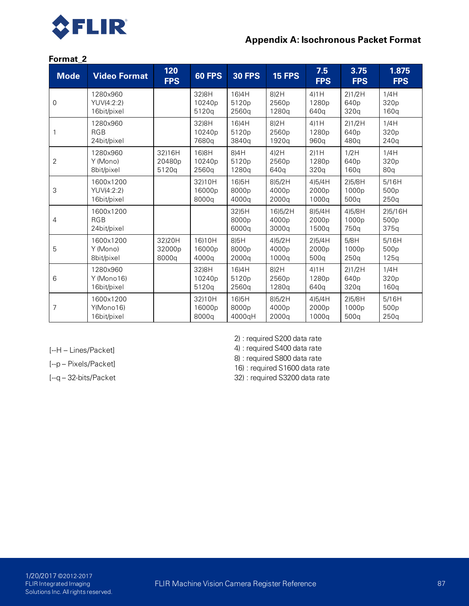

## **Appendix A: Isochronous Packet Format**

### **Format\_2**

| <b>Mode</b> | <b>Video Format</b>                    | 120<br><b>FPS</b>         | <b>60 FPS</b>                         | <b>30 FPS</b>                                  | <b>15 FPS</b>                         | 7.5<br><b>FPS</b>                    | 3.75<br><b>FPS</b>                              | 1.875<br><b>FPS</b>                 |
|-------------|----------------------------------------|---------------------------|---------------------------------------|------------------------------------------------|---------------------------------------|--------------------------------------|-------------------------------------------------|-------------------------------------|
| 0           | 1280×960<br>YUV(4:2:2)<br>16bit/pixel  |                           | 32)8H<br>10240p<br>5120g              | 16)4H<br>5120p<br>2560q                        | 8)2H<br>2560p<br>1280g                | 4)1H<br>1280p<br>640g                | 2)1/2H<br>640p<br>320q                          | 1/4H<br>320p<br>160q                |
|             | 1280x960<br><b>RGB</b><br>24bit/pixel  |                           | 32) 8H<br>10240p<br>7680g             | 16)4H<br>5120p<br>3840q                        | 8)2H<br>2560p<br>1920q                | $4$ ) $1H$<br>1280p<br>960q          | 2)1/2H<br>640p<br>480 <sub>a</sub>              | 1/4H<br>320p<br>240q                |
| 2           | 1280x960<br>Y (Mono)<br>8bit/pixel     | 32)16H<br>20480p<br>5120q | 16)8H<br>10240 <sub>p</sub><br>2560q  | 8)4H<br>5120 <sub>p</sub><br>1280q             | 4)2H<br>2560p<br>640q                 | $2$ ) $1H$<br>1280p<br>320q          | 1/2H<br>640 <sub>p</sub><br>160q                | 1/4H<br>320p<br>80q                 |
| 3           | 1600x1200<br>YUV(4:2:2)<br>16bit/pixel |                           | 32)10H<br>16000p<br>8000g             | 16)5H<br>8000p<br>4000g                        | 8)5/2H<br>4000 <sub>p</sub><br>2000q  | 4)5/4H<br>2000p<br>1000g             | 2)5/8H<br>1000p<br>500g                         | 5/16H<br>500 <sub>p</sub><br>250q   |
| 4           | 1600x1200<br><b>RGB</b><br>24bit/pixel |                           |                                       | 32)5H<br>8000 <sub>p</sub><br>6000q            | 16)5/2H<br>4000 <sub>p</sub><br>3000q | 8)5/4H<br>2000 <sub>p</sub><br>1500q | 4)5/8H<br>1000 <sub>p</sub><br>750 <sub>a</sub> | 2)5/16H<br>500 <sub>p</sub><br>375q |
| 5           | 1600x1200<br>Y (Mono)<br>8bit/pixel    | 32)20H<br>32000p<br>8000q | 16)10H<br>16000 <sub>p</sub><br>4000g | 8)5H<br>8000 <sub>p</sub><br>2000 <sub>a</sub> | 4)5/2H<br>4000 <sub>p</sub><br>1000g  | 2)5/4H<br>2000p<br>500g              | 5/8H<br>1000 <sub>p</sub><br>250 <sub>q</sub>   | 5/16H<br>500p<br>125q               |
| 6           | 1280×960<br>Y (Mono16)<br>16bit/pixel  |                           | 32)8H<br>10240 <sub>p</sub><br>5120g  | 16)4H<br>5120p<br>2560g                        | 8)2H<br>2560p<br>1280g                | 4)1H<br>1280 <sub>p</sub><br>640a    | 2)1/2H<br>640 <sub>p</sub><br>320q              | 1/4H<br>320p<br>160q                |
| 7           | 1600x1200<br>Y(Mono16)<br>16bit/pixel  |                           | 32)10H<br>16000 <sub>p</sub><br>8000q | 16)5H<br>8000 <sub>p</sub><br>4000gH           | 8)5/2H<br>4000 <sub>p</sub><br>2000q  | 4)5/4H<br>2000 <sub>p</sub><br>1000g | 2)5/8H<br>1000p<br>500g                         | 5/16H<br>500p<br>250q               |

[--H – Lines/Packet]

[--p – Pixels/Packet]

[--q – 32-bits/Packet

2) : required S200 data rate

4) : required S400 data rate

8) : required S800 data rate

16) : required S1600 data rate

32) : required S3200 data rate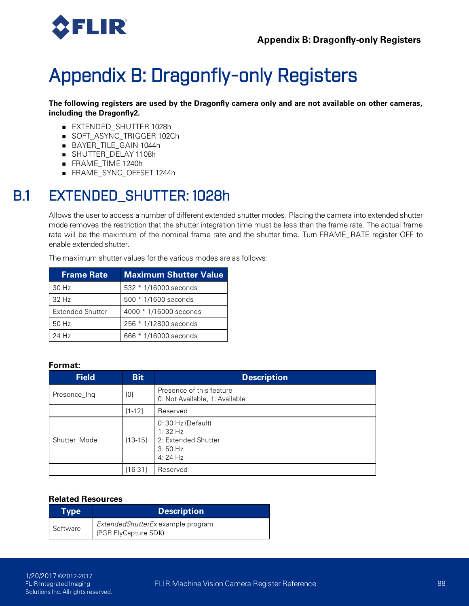

# Appendix B: Dragonfly-only Registers

**The following registers are used by the Dragonfly camera only and are not available on other cameras, including the Dragonfly2.**

- **EXTENDED\_SHUTTER 1028h**
- SOFT\_ASYNC\_TRIGGER 102Ch
- <sup>n</sup> BAYER\_TILE\_GAIN 1044h
- <sup>n</sup> SHUTTER\_DELAY 1108h
- <sup>n</sup> FRAME\_TIME 1240h
- <sup>n</sup> FRAME\_SYNC\_OFFSET 1244h

# B.1 EXTENDED\_SHUTTER: 1028h

Allows the user to access a number of different extended shutter modes. Placing the camera into extended shutter mode removes the restriction that the shutter integration time must be less than the frame rate. The actual frame rate will be the maximum of the nominal frame rate and the shutter time. Turn FRAME\_RATE register OFF to enable extended shutter.

The maximum shutter values for the various modes are as follows:

| <b>Frame Rate</b>       | <b>Maximum Shutter Value</b> |
|-------------------------|------------------------------|
| 30 Hz                   | 532 * 1/16000 seconds        |
| 32H <sub>z</sub>        | 500 * 1/1600 seconds         |
| <b>Extended Shutter</b> | 4000 * 1/16000 seconds       |
| 50 Hz                   | 256 * 1/12800 seconds        |
| 24 Hz                   | 666 * 1/16000 seconds        |

#### **Format:**

| <b>Field</b> | <b>Bit</b> | <b>Description</b>                                                                |
|--------------|------------|-----------------------------------------------------------------------------------|
| Presence_Ing | [0]        | Presence of this feature<br>0: Not Available, 1: Available                        |
|              | $[1 - 12]$ | Reserved                                                                          |
| Shutter Mode | $[13-15]$  | $0:30$ Hz (Default)<br>$1:32$ Hz<br>2: Extended Shutter<br>$3:50$ Hz<br>$4:24$ Hz |
|              | [16-31]    | Reserved                                                                          |

#### **Related Resources**

| <b>Type</b> | <b>Description</b>                                        |  |  |
|-------------|-----------------------------------------------------------|--|--|
| Software    | ExtendedShutterEx example program<br>(PGR FlyCapture SDK) |  |  |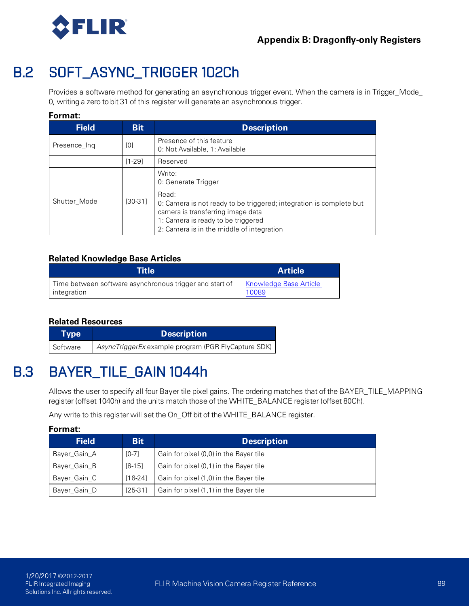

# B.2 SOFT\_ASYNC\_TRIGGER 102Ch

Provides a software method for generating an asynchronous trigger event. When the camera is in Trigger\_Mode\_ 0, writing a zero to bit 31 of this register will generate an asynchronous trigger.

## **Format:**

| <b>Field</b> | <b>Bit</b> | <b>Description</b>                                                                                                                                                                                                                    |
|--------------|------------|---------------------------------------------------------------------------------------------------------------------------------------------------------------------------------------------------------------------------------------|
| Presence_Ing | [0]        | Presence of this feature<br>0: Not Available, 1: Available                                                                                                                                                                            |
|              | $[1-29]$   | Reserved                                                                                                                                                                                                                              |
| Shutter Mode | [30-31]    | Write:<br>0: Generate Trigger<br>Read:<br>0: Camera is not ready to be triggered; integration is complete but<br>camera is transferring image data<br>1: Camera is ready to be triggered<br>2: Camera is in the middle of integration |

## **Related Knowledge Base Articles**

| Title                                                   | <b>Article</b>                |
|---------------------------------------------------------|-------------------------------|
| Time between software asynchronous trigger and start of | <b>Knowledge Base Article</b> |
| integration                                             | 10089                         |

#### **Related Resources**

| Type     | <b>Description</b>                                  |
|----------|-----------------------------------------------------|
| Software | AsyncTriggerEx example program (PGR FlyCapture SDK) |

# B.3 BAYER\_TILE\_GAIN 1044h

Allows the user to specify all four Bayer tile pixel gains. The ordering matches that of the BAYER\_TILE\_MAPPING register (offset 1040h) and the units match those of the WHITE\_BALANCE register (offset 80Ch).

Any write to this register will set the On\_Off bit of the WHITE\_BALANCE register.

| Format:      |            |                                        |  |  |
|--------------|------------|----------------------------------------|--|--|
| <b>Field</b> | <b>Bit</b> | <b>Description</b>                     |  |  |
| Bayer_Gain_A | $[0-7]$    | Gain for pixel (0,0) in the Bayer tile |  |  |
| Bayer_Gain_B | $[8-15]$   | Gain for pixel (0,1) in the Bayer tile |  |  |
| Bayer_Gain_C | $[16-24]$  | Gain for pixel (1,0) in the Bayer tile |  |  |
| Bayer_Gain_D | $[25-31]$  | Gain for pixel (1,1) in the Bayer tile |  |  |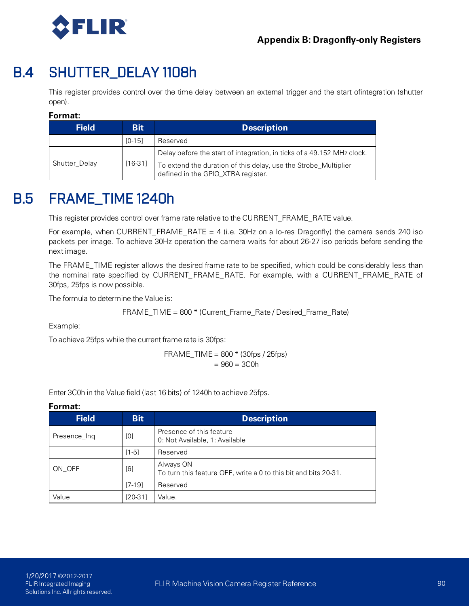

# B.4 SHUTTER\_DELAY 1108h

This register provides control over the time delay between an external trigger and the start ofintegration (shutter open).

### **Format:**

| <b>Field</b>  | <b>Bit</b> | <b>Description</b>                                                                                    |
|---------------|------------|-------------------------------------------------------------------------------------------------------|
|               | $[0-15]$   | Reserved                                                                                              |
|               |            | Delay before the start of integration, in ticks of a 49.152 MHz clock.                                |
| Shutter Delay | $[16-31]$  | To extend the duration of this delay, use the Strobe_Multiplier<br>defined in the GPIO_XTRA register. |

# B.5 FRAME\_TIME 1240h

This register provides control over frame rate relative to the CURRENT\_FRAME\_RATE value.

For example, when CURRENT\_FRAME\_RATE = 4 (i.e. 30Hz on a lo-res Dragonfly) the camera sends 240 iso packets per image. To achieve 30Hz operation the camera waits for about 26-27 iso periods before sending the next image.

The FRAME\_TIME register allows the desired frame rate to be specified, which could be considerably less than the nominal rate specified by CURRENT\_FRAME\_RATE. For example, with a CURRENT\_FRAME\_RATE of 30fps, 25fps is now possible.

The formula to determine the Value is:

FRAME\_TIME = 800 \* (Current\_Frame\_Rate / Desired\_Frame\_Rate)

Example:

To achieve 25fps while the current frame rate is 30fps:

FFAME\_TIME = 800 \* (30fps / 25fps) = 
$$
960 = 3C0h
$$

Enter 3C0h in the Value field (last 16 bits) of 1240h to achieve 25fps.

| <b>Field</b> | <b>Bit</b> | <b>Description</b>                                                           |
|--------------|------------|------------------------------------------------------------------------------|
| Presence_Ing | [0]        | Presence of this feature<br>0: Not Available, 1: Available                   |
|              | $[1-5]$    | Reserved                                                                     |
| ON OFF       | [6]        | Always ON<br>To turn this feature OFF, write a 0 to this bit and bits 20-31. |
|              | $[7-19]$   | Reserved                                                                     |
| Value        | $[20-31]$  | Value.                                                                       |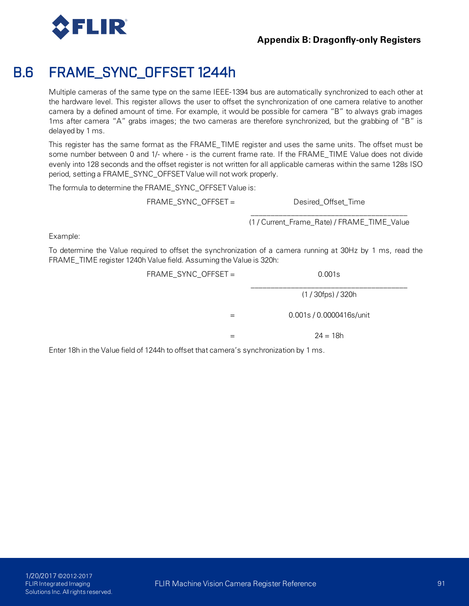

## **Appendix B: Dragonfly-only Registers**

# B.6 FRAME\_SYNC\_OFFSET 1244h

Multiple cameras of the same type on the same IEEE-1394 bus are automatically synchronized to each other at the hardware level. This register allows the user to offset the synchronization of one camera relative to another camera by a defined amount of time. For example, it would be possible for camera "B" to always grab images 1ms after camera "A" grabs images; the two cameras are therefore synchronized, but the grabbing of "B" is delayed by 1 ms.

This register has the same format as the FRAME\_TIME register and uses the same units. The offset must be some number between 0 and 1/- where - is the current frame rate. If the FRAME\_TIME Value does not divide evenly into 128 seconds and the offset register is not written for all applicable cameras within the same 128s ISO period, setting a FRAME\_SYNC\_OFFSET Value will not work properly.

The formula to determine the FRAME\_SYNC\_OFFSET Value is:

FRAME\_SYNC\_OFFSET = Desired\_Offset\_Time

\_\_\_\_\_\_\_\_\_\_\_\_\_\_\_\_\_\_\_\_\_\_\_\_\_\_\_\_\_\_\_\_\_\_\_\_\_\_\_ (1 / Current\_Frame\_Rate) / FRAME\_TIME\_Value

Example:

To determine the Value required to offset the synchronization of a camera running at 30Hz by 1 ms, read the FRAME\_TIME register 1240h Value field. Assuming the Value is 320h:

| FRAME_SYNC_OFFSET = | 0.001s                   |
|---------------------|--------------------------|
|                     | $(1/30$ fps $)/320$ h    |
|                     | 0.001s / 0.0000416s/unit |
|                     | $24 = 18h$               |
|                     | .                        |

Enter 18h in the Value field of 1244h to offset that camera's synchronization by 1 ms.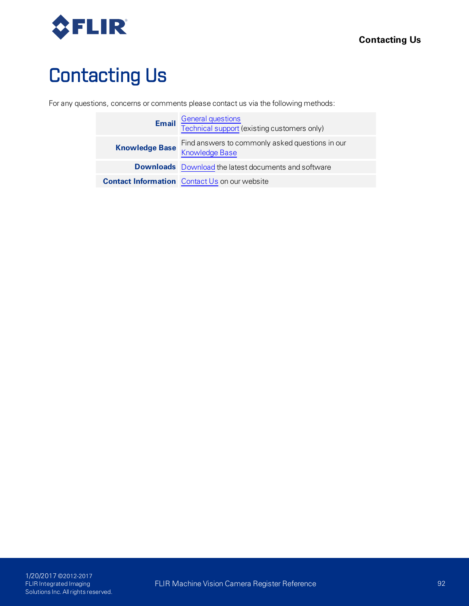

# Contacting Us

For any questions, concerns or comments please contact us via the following methods:

|                       | <b>Email</b> General questions<br>Technical support (existing customers only) |
|-----------------------|-------------------------------------------------------------------------------|
| <b>Knowledge Base</b> | Find answers to commonly asked questions in our<br><b>Knowledge Base</b>      |
|                       | <b>Downloads</b> Download the latest documents and software                   |
|                       | <b>Contact Information</b> Contact Us on our website                          |